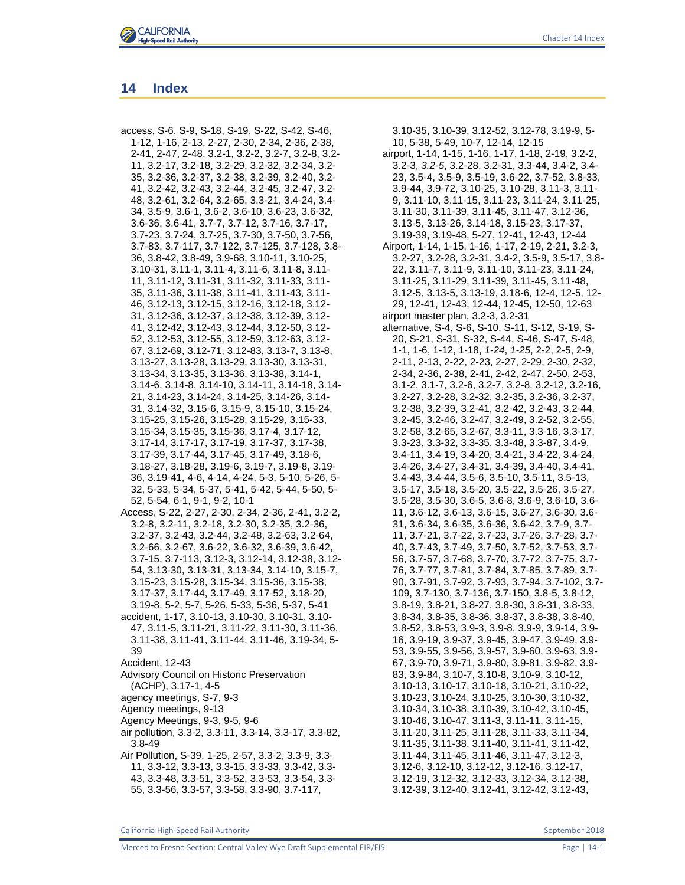

## **14 Index**

access, S-6, S-9, S-18, S-19, S-22, S-42, S-46, 1-12, 1-16, 2-13, 2-27, 2-30, 2-34, 2-36, 2-38, 2-41, 2-47, 2-48, 3.2-1, 3.2-2, 3.2-7, 3.2-8, 3.2- 11, 3.2-17, 3.2-18, 3.2-29, 3.2-32, 3.2-34, 3.2- 35, 3.2-36, 3.2-37, 3.2-38, 3.2-39, 3.2-40, 3.2- 41, 3.2-42, 3.2-43, 3.2-44, 3.2-45, 3.2-47, 3.2- 48, 3.2-61, 3.2-64, 3.2-65, 3.3-21, 3.4-24, 3.4- 34, 3.5-9, 3.6-1, 3.6-2, 3.6-10, 3.6-23, 3.6-32, 3.6-36, 3.6-41, 3.7-7, 3.7-12, 3.7-16, 3.7-17, 3.7-23, 3.7-24, 3.7-25, 3.7-30, 3.7-50, 3.7-56, 3.7-83, 3.7-117, 3.7-122, 3.7-125, 3.7-128, 3.8- 36, 3.8-42, 3.8-49, 3.9-68, 3.10-11, 3.10-25, 3.10-31, 3.11-1, 3.11-4, 3.11-6, 3.11-8, 3.11- 11, 3.11-12, 3.11-31, 3.11-32, 3.11-33, 3.11- 35, 3.11-36, 3.11-38, 3.11-41, 3.11-43, 3.11- 46, 3.12-13, 3.12-15, 3.12-16, 3.12-18, 3.12- 31, 3.12-36, 3.12-37, 3.12-38, 3.12-39, 3.12- 41, 3.12-42, 3.12-43, 3.12-44, 3.12-50, 3.12- 52, 3.12-53, 3.12-55, 3.12-59, 3.12-63, 3.12- 67, 3.12-69, 3.12-71, 3.12-83, 3.13-7, 3.13-8, 3.13-27, 3.13-28, 3.13-29, 3.13-30, 3.13-31, 3.13-34, 3.13-35, 3.13-36, 3.13-38, 3.14-1, 3.14-6, 3.14-8, 3.14-10, 3.14-11, 3.14-18, 3.14- 21, 3.14-23, 3.14-24, 3.14-25, 3.14-26, 3.14- 31, 3.14-32, 3.15-6, 3.15-9, 3.15-10, 3.15-24, 3.15-25, 3.15-26, 3.15-28, 3.15-29, 3.15-33, 3.15-34, 3.15-35, 3.15-36, 3.17-4, 3.17-12, 3.17-14, 3.17-17, 3.17-19, 3.17-37, 3.17-38, 3.17-39, 3.17-44, 3.17-45, 3.17-49, 3.18-6, 3.18-27, 3.18-28, 3.19-6, 3.19-7, 3.19-8, 3.19- 36, 3.19-41, 4-6, 4-14, 4-24, 5-3, 5-10, 5-26, 5- 32, 5-33, 5-34, 5-37, 5-41, 5-42, 5-44, 5-50, 5- 52, 5-54, 6-1, 9-1, 9-2, 10-1 Access, S-22, 2-27, 2-30, 2-34, 2-36, 2-41, 3.2-2, 3.2-8, 3.2-11, 3.2-18, 3.2-30, 3.2-35, 3.2-36, 3.2-37, 3.2-43, 3.2-44, 3.2-48, 3.2-63, 3.2-64, 3.2-66, 3.2-67, 3.6-22, 3.6-32, 3.6-39, 3.6-42, 3.7-15, 3.7-113, 3.12-3, 3.12-14, 3.12-38, 3.12- 54, 3.13-30, 3.13-31, 3.13-34, 3.14-10, 3.15-7, 3.15-23, 3.15-28, 3.15-34, 3.15-36, 3.15-38, 3.17-37, 3.17-44, 3.17-49, 3.17-52, 3.18-20, 3.19-8, 5-2, 5-7, 5-26, 5-33, 5-36, 5-37, 5-41 accident, 1-17, 3.10-13, 3.10-30, 3.10-31, 3.10- 47, 3.11-5, 3.11-21, 3.11-22, 3.11-30, 3.11-36, 3.11-38, 3.11-41, 3.11-44, 3.11-46, 3.19-34, 5- 39 Accident, 12-43 Advisory Council on Historic Preservation (ACHP), 3.17-1, 4-5 agency meetings, S-7, 9-3 Agency meetings, 9-13 Agency Meetings, 9-3, 9-5, 9-6 air pollution, 3.3-2, 3.3-11, 3.3-14, 3.3-17, 3.3-82, 3.8-49

Air Pollution, S-39, 1-25, 2-57, 3.3-2, 3.3-9, 3.3- 11, 3.3-12, 3.3-13, 3.3-15, 3.3-33, 3.3-42, 3.3- 43, 3.3-48, 3.3-51, 3.3-52, 3.3-53, 3.3-54, 3.3- 55, 3.3-56, 3.3-57, 3.3-58, 3.3-90, 3.7-117,

3.10-35, 3.10-39, 3.12-52, 3.12-78, 3.19-9, 5- 10, 5-38, 5-49, 10-7, 12-14, 12-15

- airport, 1-14, 1-15, 1-16, 1-17, 1-18, 2-19, 3.2-2, 3.2-3, *3.2-5*, 3.2-28, 3.2-31, 3.3-44, 3.4-2, 3.4- 23, 3.5-4, 3.5-9, 3.5-19, 3.6-22, 3.7-52, 3.8-33, 3.9-44, 3.9-72, 3.10-25, 3.10-28, 3.11-3, 3.11- 9, 3.11-10, 3.11-15, 3.11-23, 3.11-24, 3.11-25, 3.11-30, 3.11-39, 3.11-45, 3.11-47, 3.12-36, 3.13-5, 3.13-26, 3.14-18, 3.15-23, 3.17-37, 3.19-39, 3.19-48, 5-27, 12-41, 12-43, 12-44
- Airport, 1-14, 1-15, 1-16, 1-17, 2-19, 2-21, 3.2-3, 3.2-27, 3.2-28, 3.2-31, 3.4-2, 3.5-9, 3.5-17, 3.8- 22, 3.11-7, 3.11-9, 3.11-10, 3.11-23, 3.11-24, 3.11-25, 3.11-29, 3.11-39, 3.11-45, 3.11-48, 3.12-5, 3.13-5, 3.13-19, 3.18-6, 12-4, 12-5, 12- 29, 12-41, 12-43, 12-44, 12-45, 12-50, 12-63 airport master plan, 3.2-3, 3.2-31
- alternative, S-4, S-6, S-10, S-11, S-12, S-19, S-20, S-21, S-31, S-32, S-44, S-46, S-47, S-48, 1-1, 1-6, 1-12, 1-18, *1-24*, *1-25*, 2-2, 2-5, 2-9, 2-11, 2-13, 2-22, 2-23, 2-27, 2-29, 2-30, 2-32, 2-34, 2-36, 2-38, 2-41, 2-42, 2-47, 2-50, 2-53, 3.1-2, 3.1-7, 3.2-6, 3.2-7, 3.2-8, 3.2-12, 3.2-16, 3.2-27, 3.2-28, 3.2-32, 3.2-35, 3.2-36, 3.2-37, 3.2-38, 3.2-39, 3.2-41, 3.2-42, 3.2-43, 3.2-44, 3.2-45, 3.2-46, 3.2-47, 3.2-49, 3.2-52, 3.2-55, 3.2-58, 3.2-65, 3.2-67, 3.3-11, 3.3-16, 3.3-17, 3.3-23, 3.3-32, 3.3-35, 3.3-48, 3.3-87, 3.4-9, 3.4-11, 3.4-19, 3.4-20, 3.4-21, 3.4-22, 3.4-24, 3.4-26, 3.4-27, 3.4-31, 3.4-39, 3.4-40, 3.4-41, 3.4-43, 3.4-44, 3.5-6, 3.5-10, 3.5-11, 3.5-13, 3.5-17, 3.5-18, 3.5-20, 3.5-22, 3.5-26, 3.5-27, 3.5-28, 3.5-30, 3.6-5, 3.6-8, 3.6-9, 3.6-10, 3.6- 11, 3.6-12, 3.6-13, 3.6-15, 3.6-27, 3.6-30, 3.6- 31, 3.6-34, 3.6-35, 3.6-36, 3.6-42, 3.7-9, 3.7- 11, 3.7-21, 3.7-22, 3.7-23, 3.7-26, 3.7-28, 3.7- 40, 3.7-43, 3.7-49, 3.7-50, 3.7-52, 3.7-53, 3.7- 56, 3.7-57, 3.7-68, 3.7-70, 3.7-72, 3.7-75, 3.7- 76, 3.7-77, 3.7-81, 3.7-84, 3.7-85, 3.7-89, 3.7- 90, 3.7-91, 3.7-92, 3.7-93, 3.7-94, 3.7-102, 3.7- 109, 3.7-130, 3.7-136, 3.7-150, 3.8-5, 3.8-12, 3.8-19, 3.8-21, 3.8-27, 3.8-30, 3.8-31, 3.8-33, 3.8-34, 3.8-35, 3.8-36, 3.8-37, 3.8-38, 3.8-40, 3.8-52, 3.8-53, 3.9-3, 3.9-8, 3.9-9, 3.9-14, 3.9- 16, 3.9-19, 3.9-37, 3.9-45, 3.9-47, 3.9-49, 3.9- 53, 3.9-55, 3.9-56, 3.9-57, 3.9-60, 3.9-63, 3.9- 67, 3.9-70, 3.9-71, 3.9-80, 3.9-81, 3.9-82, 3.9- 83, 3.9-84, 3.10-7, 3.10-8, 3.10-9, 3.10-12, 3.10-13, 3.10-17, 3.10-18, 3.10-21, 3.10-22, 3.10-23, 3.10-24, 3.10-25, 3.10-30, 3.10-32, 3.10-34, 3.10-38, 3.10-39, 3.10-42, 3.10-45, 3.10-46, 3.10-47, 3.11-3, 3.11-11, 3.11-15, 3.11-20, 3.11-25, 3.11-28, 3.11-33, 3.11-34, 3.11-35, 3.11-38, 3.11-40, 3.11-41, 3.11-42, 3.11-44, 3.11-45, 3.11-46, 3.11-47, 3.12-3, 3.12-6, 3.12-10, 3.12-12, 3.12-16, 3.12-17, 3.12-19, 3.12-32, 3.12-33, 3.12-34, 3.12-38, 3.12-39, 3.12-40, 3.12-41, 3.12-42, 3.12-43,

California High-Speed Rail Authority September 2018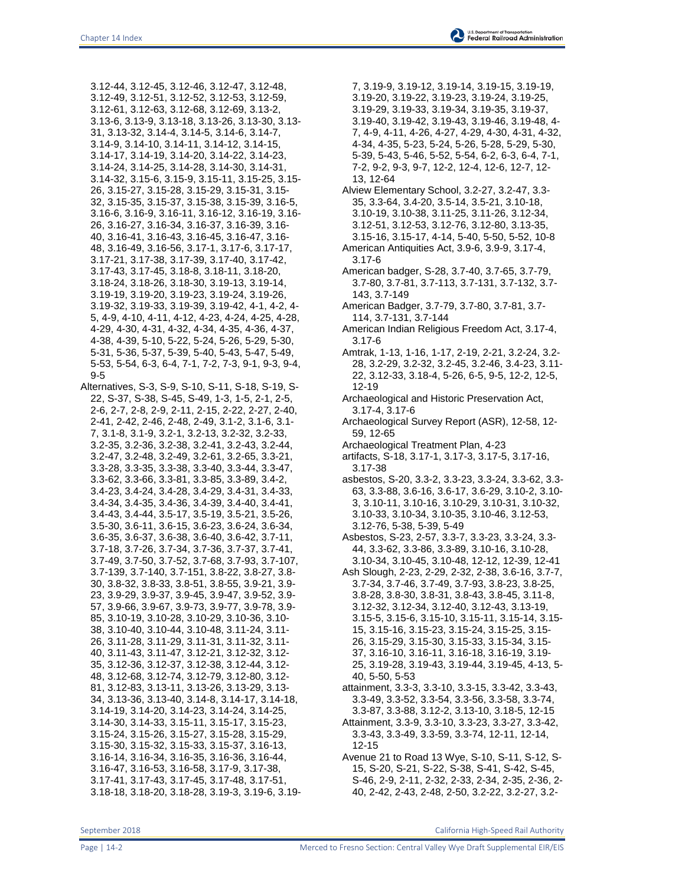3.12-44, 3.12-45, 3.12-46, 3.12-47, 3.12-48, 3.12-49, 3.12-51, 3.12-52, 3.12-53, 3.12-59, 3.12-61, 3.12-63, 3.12-68, 3.12-69, 3.13-2, 3.13-6, 3.13-9, 3.13-18, 3.13-26, 3.13-30, 3.13- 31, 3.13-32, 3.14-4, 3.14-5, 3.14-6, 3.14-7, 3.14-9, 3.14-10, 3.14-11, 3.14-12, 3.14-15, 3.14-17, 3.14-19, 3.14-20, 3.14-22, 3.14-23, 3.14-24, 3.14-25, 3.14-28, 3.14-30, 3.14-31, 3.14-32, 3.15-6, 3.15-9, 3.15-11, 3.15-25, 3.15- 26, 3.15-27, 3.15-28, 3.15-29, 3.15-31, 3.15- 32, 3.15-35, 3.15-37, 3.15-38, 3.15-39, 3.16-5, 3.16-6, 3.16-9, 3.16-11, 3.16-12, 3.16-19, 3.16- 26, 3.16-27, 3.16-34, 3.16-37, 3.16-39, 3.16- 40, 3.16-41, 3.16-43, 3.16-45, 3.16-47, 3.16- 48, 3.16-49, 3.16-56, 3.17-1, 3.17-6, 3.17-17, 3.17-21, 3.17-38, 3.17-39, 3.17-40, 3.17-42, 3.17-43, 3.17-45, 3.18-8, 3.18-11, 3.18-20, 3.18-24, 3.18-26, 3.18-30, 3.19-13, 3.19-14, 3.19-19, 3.19-20, 3.19-23, 3.19-24, 3.19-26, 3.19-32, 3.19-33, 3.19-39, 3.19-42, 4-1, 4-2, 4- 5, 4-9, 4-10, 4-11, 4-12, 4-23, 4-24, 4-25, 4-28, 4-29, 4-30, 4-31, 4-32, 4-34, 4-35, 4-36, 4-37, 4-38, 4-39, 5-10, 5-22, 5-24, 5-26, 5-29, 5-30, 5-31, 5-36, 5-37, 5-39, 5-40, 5-43, 5-47, 5-49, 5-53, 5-54, 6-3, 6-4, 7-1, 7-2, 7-3, 9-1, 9-3, 9-4, 9-5

Alternatives, S-3, S-9, S-10, S-11, S-18, S-19, S-22, S-37, S-38, S-45, S-49, 1-3, 1-5, 2-1, 2-5, 2-6, 2-7, 2-8, 2-9, 2-11, 2-15, 2-22, 2-27, 2-40, 2-41, 2-42, 2-46, 2-48, 2-49, 3.1-2, 3.1-6, 3.1- 7, 3.1-8, 3.1-9, 3.2-1, 3.2-13, 3.2-32, 3.2-33, 3.2-35, 3.2-36, 3.2-38, 3.2-41, 3.2-43, 3.2-44, 3.2-47, 3.2-48, 3.2-49, 3.2-61, 3.2-65, 3.3-21, 3.3-28, 3.3-35, 3.3-38, 3.3-40, 3.3-44, 3.3-47, 3.3-62, 3.3-66, 3.3-81, 3.3-85, 3.3-89, 3.4-2, 3.4-23, 3.4-24, 3.4-28, 3.4-29, 3.4-31, 3.4-33, 3.4-34, 3.4-35, 3.4-36, 3.4-39, 3.4-40, 3.4-41, 3.4-43, 3.4-44, 3.5-17, 3.5-19, 3.5-21, 3.5-26, 3.5-30, 3.6-11, 3.6-15, 3.6-23, 3.6-24, 3.6-34, 3.6-35, 3.6-37, 3.6-38, 3.6-40, 3.6-42, 3.7-11, 3.7-18, 3.7-26, 3.7-34, 3.7-36, 3.7-37, 3.7-41, 3.7-49, 3.7-50, 3.7-52, 3.7-68, 3.7-93, 3.7-107, 3.7-139, 3.7-140, 3.7-151, 3.8-22, 3.8-27, 3.8- 30, 3.8-32, 3.8-33, 3.8-51, 3.8-55, 3.9-21, 3.9- 23, 3.9-29, 3.9-37, 3.9-45, 3.9-47, 3.9-52, 3.9- 57, 3.9-66, 3.9-67, 3.9-73, 3.9-77, 3.9-78, 3.9- 85, 3.10-19, 3.10-28, 3.10-29, 3.10-36, 3.10- 38, 3.10-40, 3.10-44, 3.10-48, 3.11-24, 3.11- 26, 3.11-28, 3.11-29, 3.11-31, 3.11-32, 3.11- 40, 3.11-43, 3.11-47, 3.12-21, 3.12-32, 3.12- 35, 3.12-36, 3.12-37, 3.12-38, 3.12-44, 3.12- 48, 3.12-68, 3.12-74, 3.12-79, 3.12-80, 3.12- 81, 3.12-83, 3.13-11, 3.13-26, 3.13-29, 3.13- 34, 3.13-36, 3.13-40, 3.14-8, 3.14-17, 3.14-18, 3.14-19, 3.14-20, 3.14-23, 3.14-24, 3.14-25, 3.14-30, 3.14-33, 3.15-11, 3.15-17, 3.15-23, 3.15-24, 3.15-26, 3.15-27, 3.15-28, 3.15-29, 3.15-30, 3.15-32, 3.15-33, 3.15-37, 3.16-13, 3.16-14, 3.16-34, 3.16-35, 3.16-36, 3.16-44, 3.16-47, 3.16-53, 3.16-58, 3.17-9, 3.17-38, 3.17-41, 3.17-43, 3.17-45, 3.17-48, 3.17-51, 3.18-18, 3.18-20, 3.18-28, 3.19-3, 3.19-6, 3.197, 3.19-9, 3.19-12, 3.19-14, 3.19-15, 3.19-19, 3.19-20, 3.19-22, 3.19-23, 3.19-24, 3.19-25, 3.19-29, 3.19-33, 3.19-34, 3.19-35, 3.19-37, 3.19-40, 3.19-42, 3.19-43, 3.19-46, 3.19-48, 4- 7, 4-9, 4-11, 4-26, 4-27, 4-29, 4-30, 4-31, 4-32, 4-34, 4-35, 5-23, 5-24, 5-26, 5-28, 5-29, 5-30, 5-39, 5-43, 5-46, 5-52, 5-54, 6-2, 6-3, 6-4, 7-1, 7-2, 9-2, 9-3, 9-7, 12-2, 12-4, 12-6, 12-7, 12-

13, 12-64 Alview Elementary School, 3.2-27, 3.2-47, 3.3- 35, 3.3-64, 3.4-20, 3.5-14, 3.5-21, 3.10-18, 3.10-19, 3.10-38, 3.11-25, 3.11-26, 3.12-34, 3.12-51, 3.12-53, 3.12-76, 3.12-80, 3.13-35, 3.15-16, 3.15-17, 4-14, 5-40, 5-50, 5-52, 10-8

American Antiquities Act, 3.9-6, 3.9-9, 3.17-4, 3.17-6

American badger, S-28, 3.7-40, 3.7-65, 3.7-79, 3.7-80, 3.7-81, 3.7-113, 3.7-131, 3.7-132, 3.7- 143, 3.7-149

- American Badger, 3.7-79, 3.7-80, 3.7-81, 3.7- 114, 3.7-131, 3.7-144
- American Indian Religious Freedom Act, 3.17-4, 3.17-6
- Amtrak, 1-13, 1-16, 1-17, 2-19, 2-21, 3.2-24, 3.2- 28, 3.2-29, 3.2-32, 3.2-45, 3.2-46, 3.4-23, 3.11- 22, 3.12-33, 3.18-4, 5-26, 6-5, 9-5, 12-2, 12-5, 12-19
- Archaeological and Historic Preservation Act, 3.17-4, 3.17-6
- Archaeological Survey Report (ASR), 12-58, 12- 59, 12-65
- Archaeological Treatment Plan, 4-23
- artifacts, S-18, 3.17-1, 3.17-3, 3.17-5, 3.17-16, 3.17-38
- asbestos, S-20, 3.3-2, 3.3-23, 3.3-24, 3.3-62, 3.3- 63, 3.3-88, 3.6-16, 3.6-17, 3.6-29, 3.10-2, 3.10- 3, 3.10-11, 3.10-16, 3.10-29, 3.10-31, 3.10-32, 3.10-33, 3.10-34, 3.10-35, 3.10-46, 3.12-53, 3.12-76, 5-38, 5-39, 5-49
- Asbestos, S-23, 2-57, 3.3-7, 3.3-23, 3.3-24, 3.3- 44, 3.3-62, 3.3-86, 3.3-89, 3.10-16, 3.10-28, 3.10-34, 3.10-45, 3.10-48, 12-12, 12-39, 12-41
- Ash Slough, 2-23, 2-29, 2-32, 2-38, 3.6-16, 3.7-7, 3.7-34, 3.7-46, 3.7-49, 3.7-93, 3.8-23, 3.8-25, 3.8-28, 3.8-30, 3.8-31, 3.8-43, 3.8-45, 3.11-8, 3.12-32, 3.12-34, 3.12-40, 3.12-43, 3.13-19, 3.15-5, 3.15-6, 3.15-10, 3.15-11, 3.15-14, 3.15- 15, 3.15-16, 3.15-23, 3.15-24, 3.15-25, 3.15- 26, 3.15-29, 3.15-30, 3.15-33, 3.15-34, 3.15- 37, 3.16-10, 3.16-11, 3.16-18, 3.16-19, 3.19- 25, 3.19-28, 3.19-43, 3.19-44, 3.19-45, 4-13, 5- 40, 5-50, 5-53
- attainment, 3.3-3, 3.3-10, 3.3-15, 3.3-42, 3.3-43, 3.3-49, 3.3-52, 3.3-54, 3.3-56, 3.3-58, 3.3-74, 3.3-87, 3.3-88, 3.12-2, 3.13-10, 3.18-5, 12-15
- Attainment, 3.3-9, 3.3-10, 3.3-23, 3.3-27, 3.3-42, 3.3-43, 3.3-49, 3.3-59, 3.3-74, 12-11, 12-14, 12-15
- Avenue 21 to Road 13 Wye, S-10, S-11, S-12, S-15, S-20, S-21, S-22, S-38, S-41, S-42, S-45, S-46, 2-9, 2-11, 2-32, 2-33, 2-34, 2-35, 2-36, 2- 40, 2-42, 2-43, 2-48, 2-50, 3.2-22, 3.2-27, 3.2-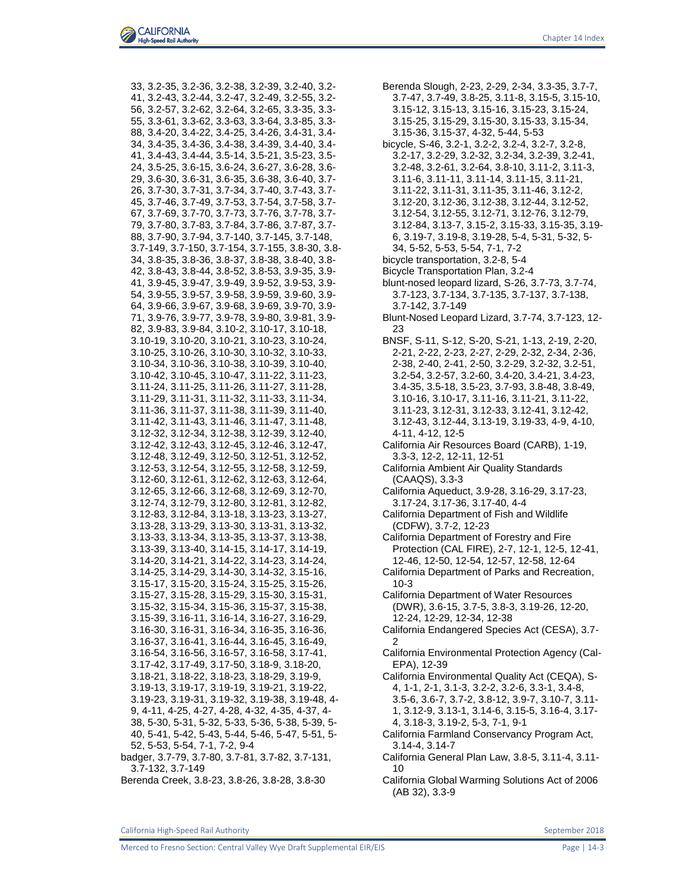Chapter 14 Index

33, 3.2-35, 3.2-36, 3.2-38, 3.2-39, 3.2-40, 3.2- 41, 3.2-43, 3.2-44, 3.2-47, 3.2-49, 3.2-55, 3.2- 56, 3.2-57, 3.2-62, 3.2-64, 3.2-65, 3.3-35, 3.3- 55, 3.3-61, 3.3-62, 3.3-63, 3.3-64, 3.3-85, 3.3- 88, 3.4-20, 3.4-22, 3.4-25, 3.4-26, 3.4-31, 3.4- 34, 3.4-35, 3.4-36, 3.4-38, 3.4-39, 3.4-40, 3.4- 41, 3.4-43, 3.4-44, 3.5-14, 3.5-21, 3.5-23, 3.5- 24, 3.5-25, 3.6-15, 3.6-24, 3.6-27, 3.6-28, 3.6- 29, 3.6-30, 3.6-31, 3.6-35, 3.6-38, 3.6-40, 3.7- 26, 3.7-30, 3.7-31, 3.7-34, 3.7-40, 3.7-43, 3.7- 45, 3.7-46, 3.7-49, 3.7-53, 3.7-54, 3.7-58, 3.7- 67, 3.7-69, 3.7-70, 3.7-73, 3.7-76, 3.7-78, 3.7- 79, 3.7-80, 3.7-83, 3.7-84, 3.7-86, 3.7-87, 3.7- 88, 3.7-90, 3.7-94, 3.7-140, 3.7-145, 3.7-148, 3.7-149, 3.7-150, 3.7-154, 3.7-155, 3.8-30, 3.8- 34, 3.8-35, 3.8-36, 3.8-37, 3.8-38, 3.8-40, 3.8- 42, 3.8-43, 3.8-44, 3.8-52, 3.8-53, 3.9-35, 3.9- 41, 3.9-45, 3.9-47, 3.9-49, 3.9-52, 3.9-53, 3.9- 54, 3.9-55, 3.9-57, 3.9-58, 3.9-59, 3.9-60, 3.9- 64, 3.9-66, 3.9-67, 3.9-68, 3.9-69, 3.9-70, 3.9- 71, 3.9-76, 3.9-77, 3.9-78, 3.9-80, 3.9-81, 3.9- 82, 3.9-83, 3.9-84, 3.10-2, 3.10-17, 3.10-18, 3.10-19, 3.10-20, 3.10-21, 3.10-23, 3.10-24, 3.10-25, 3.10-26, 3.10-30, 3.10-32, 3.10-33, 3.10-34, 3.10-36, 3.10-38, 3.10-39, 3.10-40, 3.10-42, 3.10-45, 3.10-47, 3.11-22, 3.11-23, 3.11-24, 3.11-25, 3.11-26, 3.11-27, 3.11-28, 3.11-29, 3.11-31, 3.11-32, 3.11-33, 3.11-34, 3.11-36, 3.11-37, 3.11-38, 3.11-39, 3.11-40, 3.11-42, 3.11-43, 3.11-46, 3.11-47, 3.11-48, 3.12-32, 3.12-34, 3.12-38, 3.12-39, 3.12-40, 3.12-42, 3.12-43, 3.12-45, 3.12-46, 3.12-47, 3.12-48, 3.12-49, 3.12-50, 3.12-51, 3.12-52, 3.12-53, 3.12-54, 3.12-55, 3.12-58, 3.12-59, 3.12-60, 3.12-61, 3.12-62, 3.12-63, 3.12-64, 3.12-65, 3.12-66, 3.12-68, 3.12-69, 3.12-70, 3.12-74, 3.12-79, 3.12-80, 3.12-81, 3.12-82, 3.12-83, 3.12-84, 3.13-18, 3.13-23, 3.13-27, 3.13-28, 3.13-29, 3.13-30, 3.13-31, 3.13-32, 3.13-33, 3.13-34, 3.13-35, 3.13-37, 3.13-38, 3.13-39, 3.13-40, 3.14-15, 3.14-17, 3.14-19, 3.14-20, 3.14-21, 3.14-22, 3.14-23, 3.14-24, 3.14-25, 3.14-29, 3.14-30, 3.14-32, 3.15-16, 3.15-17, 3.15-20, 3.15-24, 3.15-25, 3.15-26, 3.15-27, 3.15-28, 3.15-29, 3.15-30, 3.15-31, 3.15-32, 3.15-34, 3.15-36, 3.15-37, 3.15-38, 3.15-39, 3.16-11, 3.16-14, 3.16-27, 3.16-29, 3.16-30, 3.16-31, 3.16-34, 3.16-35, 3.16-36, 3.16-37, 3.16-41, 3.16-44, 3.16-45, 3.16-49, 3.16-54, 3.16-56, 3.16-57, 3.16-58, 3.17-41, 3.17-42, 3.17-49, 3.17-50, 3.18-9, 3.18-20, 3.18-21, 3.18-22, 3.18-23, 3.18-29, 3.19-9, 3.19-13, 3.19-17, 3.19-19, 3.19-21, 3.19-22, 3.19-23, 3.19-31, 3.19-32, 3.19-38, 3.19-48, 4- 9, 4-11, 4-25, 4-27, 4-28, 4-32, 4-35, 4-37, 4- 38, 5-30, 5-31, 5-32, 5-33, 5-36, 5-38, 5-39, 5- 40, 5-41, 5-42, 5-43, 5-44, 5-46, 5-47, 5-51, 5- 52, 5-53, 5-54, 7-1, 7-2, 9-4 badger, 3.7-79, 3.7-80, 3.7-81, 3.7-82, 3.7-131, 3.7-132, 3.7-149

Berenda Creek, 3.8-23, 3.8-26, 3.8-28, 3.8-30

Berenda Slough, 2-23, 2-29, 2-34, 3.3-35, 3.7-7, 3.7-47, 3.7-49, 3.8-25, 3.11-8, 3.15-5, 3.15-10, 3.15-12, 3.15-13, 3.15-16, 3.15-23, 3.15-24, 3.15-25, 3.15-29, 3.15-30, 3.15-33, 3.15-34, 3.15-36, 3.15-37, 4-32, 5-44, 5-53 bicycle, S-46, 3.2-1, 3.2-2, 3.2-4, 3.2-7, 3.2-8, 3.2-17, 3.2-29, 3.2-32, 3.2-34, 3.2-39, 3.2-41, 3.2-48, 3.2-61, 3.2-64, 3.8-10, 3.11-2, 3.11-3, 3.11-6, 3.11-11, 3.11-14, 3.11-15, 3.11-21, 3.11-22, 3.11-31, 3.11-35, 3.11-46, 3.12-2, 3.12-20, 3.12-36, 3.12-38, 3.12-44, 3.12-52, 3.12-54, 3.12-55, 3.12-71, 3.12-76, 3.12-79, 3.12-84, 3.13-7, 3.15-2, 3.15-33, 3.15-35, 3.19- 6, 3.19-7, 3.19-8, 3.19-28, 5-4, 5-31, 5-32, 5- 34, 5-52, 5-53, 5-54, 7-1, 7-2 bicycle transportation, 3.2-8, 5-4 Bicycle Transportation Plan, 3.2-4 blunt-nosed leopard lizard, S-26, 3.7-73, 3.7-74, 3.7-123, 3.7-134, 3.7-135, 3.7-137, 3.7-138, 3.7-142, 3.7-149 Blunt-Nosed Leopard Lizard, 3.7-74, 3.7-123, 12- 23 BNSF, S-11, S-12, S-20, S-21, 1-13, 2-19, 2-20, 2-21, 2-22, 2-23, 2-27, 2-29, 2-32, 2-34, 2-36, 2-38, 2-40, 2-41, 2-50, 3.2-29, 3.2-32, 3.2-51, 3.2-54, 3.2-57, 3.2-60, 3.4-20, 3.4-21, 3.4-23, 3.4-35, 3.5-18, 3.5-23, 3.7-93, 3.8-48, 3.8-49, 3.10-16, 3.10-17, 3.11-16, 3.11-21, 3.11-22, 3.11-23, 3.12-31, 3.12-33, 3.12-41, 3.12-42, 3.12-43, 3.12-44, 3.13-19, 3.19-33, 4-9, 4-10, 4-11, 4-12, 12-5 California Air Resources Board (CARB), 1-19, 3.3-3, 12-2, 12-11, 12-51 California Ambient Air Quality Standards (CAAQS), 3.3-3 California Aqueduct, 3.9-28, 3.16-29, 3.17-23, 3.17-24, 3.17-36, 3.17-40, 4-4 California Department of Fish and Wildlife (CDFW), 3.7-2, 12-23 California Department of Forestry and Fire Protection (CAL FIRE), 2-7, 12-1, 12-5, 12-41, 12-46, 12-50, 12-54, 12-57, 12-58, 12-64 California Department of Parks and Recreation, 10-3 California Department of Water Resources (DWR), 3.6-15, 3.7-5, 3.8-3, 3.19-26, 12-20, 12-24, 12-29, 12-34, 12-38 California Endangered Species Act (CESA), 3.7- 2 California Environmental Protection Agency (Cal-EPA), 12-39 California Environmental Quality Act (CEQA), S-4, 1-1, 2-1, 3.1-3, 3.2-2, 3.2-6, 3.3-1, 3.4-8, 3.5-6, 3.6-7, 3.7-2, 3.8-12, 3.9-7, 3.10-7, 3.11- 1, 3.12-9, 3.13-1, 3.14-6, 3.15-5, 3.16-4, 3.17- 4, 3.18-3, 3.19-2, 5-3, 7-1, 9-1 California Farmland Conservancy Program Act, 3.14-4, 3.14-7 California General Plan Law, 3.8-5, 3.11-4, 3.11- 10

California Global Warming Solutions Act of 2006 (AB 32), 3.3-9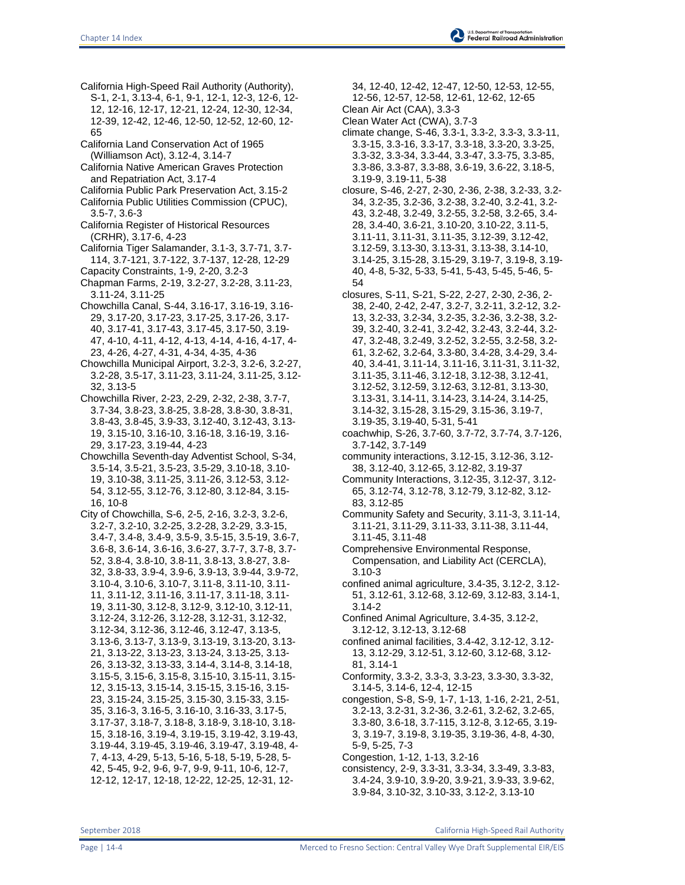- California High-Speed Rail Authority (Authority), S-1, 2-1, 3.13-4, 6-1, 9-1, 12-1, 12-3, 12-6, 12- 12, 12-16, 12-17, 12-21, 12-24, 12-30, 12-34, 12-39, 12-42, 12-46, 12-50, 12-52, 12-60, 12- 65
- California Land Conservation Act of 1965 (Williamson Act), 3.12-4, 3.14-7
- California Native American Graves Protection and Repatriation Act, 3.17-4
- California Public Park Preservation Act, 3.15-2
- California Public Utilities Commission (CPUC), 3.5-7, 3.6-3
- California Register of Historical Resources (CRHR), 3.17-6, 4-23
- California Tiger Salamander, 3.1-3, 3.7-71, 3.7- 114, 3.7-121, 3.7-122, 3.7-137, 12-28, 12-29 Capacity Constraints, 1-9, 2-20, 3.2-3
- Chapman Farms, 2-19, 3.2-27, 3.2-28, 3.11-23, 3.11-24, 3.11-25
- Chowchilla Canal, S-44, 3.16-17, 3.16-19, 3.16- 29, 3.17-20, 3.17-23, 3.17-25, 3.17-26, 3.17- 40, 3.17-41, 3.17-43, 3.17-45, 3.17-50, 3.19- 47, 4-10, 4-11, 4-12, 4-13, 4-14, 4-16, 4-17, 4- 23, 4-26, 4-27, 4-31, 4-34, 4-35, 4-36
- Chowchilla Municipal Airport, 3.2-3, 3.2-6, 3.2-27, 3.2-28, 3.5-17, 3.11-23, 3.11-24, 3.11-25, 3.12- 32, 3.13-5
- Chowchilla River, 2-23, 2-29, 2-32, 2-38, 3.7-7, 3.7-34, 3.8-23, 3.8-25, 3.8-28, 3.8-30, 3.8-31, 3.8-43, 3.8-45, 3.9-33, 3.12-40, 3.12-43, 3.13- 19, 3.15-10, 3.16-10, 3.16-18, 3.16-19, 3.16- 29, 3.17-23, 3.19-44, 4-23
- Chowchilla Seventh-day Adventist School, S-34, 3.5-14, 3.5-21, 3.5-23, 3.5-29, 3.10-18, 3.10- 19, 3.10-38, 3.11-25, 3.11-26, 3.12-53, 3.12- 54, 3.12-55, 3.12-76, 3.12-80, 3.12-84, 3.15- 16, 10-8
- City of Chowchilla, S-6, 2-5, 2-16, 3.2-3, 3.2-6, 3.2-7, 3.2-10, 3.2-25, 3.2-28, 3.2-29, 3.3-15, 3.4-7, 3.4-8, 3.4-9, 3.5-9, 3.5-15, 3.5-19, 3.6-7, 3.6-8, 3.6-14, 3.6-16, 3.6-27, 3.7-7, 3.7-8, 3.7- 52, 3.8-4, 3.8-10, 3.8-11, 3.8-13, 3.8-27, 3.8- 32, 3.8-33, 3.9-4, 3.9-6, 3.9-13, 3.9-44, 3.9-72, 3.10-4, 3.10-6, 3.10-7, 3.11-8, 3.11-10, 3.11- 11, 3.11-12, 3.11-16, 3.11-17, 3.11-18, 3.11- 19, 3.11-30, 3.12-8, 3.12-9, 3.12-10, 3.12-11, 3.12-24, 3.12-26, 3.12-28, 3.12-31, 3.12-32, 3.12-34, 3.12-36, 3.12-46, 3.12-47, 3.13-5, 3.13-6, 3.13-7, 3.13-9, 3.13-19, 3.13-20, 3.13- 21, 3.13-22, 3.13-23, 3.13-24, 3.13-25, 3.13- 26, 3.13-32, 3.13-33, 3.14-4, 3.14-8, 3.14-18, 3.15-5, 3.15-6, 3.15-8, 3.15-10, 3.15-11, 3.15- 12, 3.15-13, 3.15-14, 3.15-15, 3.15-16, 3.15- 23, 3.15-24, 3.15-25, 3.15-30, 3.15-33, 3.15- 35, 3.16-3, 3.16-5, 3.16-10, 3.16-33, 3.17-5, 3.17-37, 3.18-7, 3.18-8, 3.18-9, 3.18-10, 3.18- 15, 3.18-16, 3.19-4, 3.19-15, 3.19-42, 3.19-43, 3.19-44, 3.19-45, 3.19-46, 3.19-47, 3.19-48, 4- 7, 4-13, 4-29, 5-13, 5-16, 5-18, 5-19, 5-28, 5- 42, 5-45, 9-2, 9-6, 9-7, 9-9, 9-11, 10-6, 12-7, 12-12, 12-17, 12-18, 12-22, 12-25, 12-31, 12-
- 34, 12-40, 12-42, 12-47, 12-50, 12-53, 12-55,
- 12-56, 12-57, 12-58, 12-61, 12-62, 12-65
- Clean Air Act (CAA), 3.3-3
- Clean Water Act (CWA), 3.7-3
- climate change, S-46, 3.3-1, 3.3-2, 3.3-3, 3.3-11, 3.3-15, 3.3-16, 3.3-17, 3.3-18, 3.3-20, 3.3-25, 3.3-32, 3.3-34, 3.3-44, 3.3-47, 3.3-75, 3.3-85, 3.3-86, 3.3-87, 3.3-88, 3.6-19, 3.6-22, 3.18-5, 3.19-9, 3.19-11, 5-38
- closure, S-46, 2-27, 2-30, 2-36, 2-38, 3.2-33, 3.2- 34, 3.2-35, 3.2-36, 3.2-38, 3.2-40, 3.2-41, 3.2- 43, 3.2-48, 3.2-49, 3.2-55, 3.2-58, 3.2-65, 3.4- 28, 3.4-40, 3.6-21, 3.10-20, 3.10-22, 3.11-5, 3.11-11, 3.11-31, 3.11-35, 3.12-39, 3.12-42, 3.12-59, 3.13-30, 3.13-31, 3.13-38, 3.14-10, 3.14-25, 3.15-28, 3.15-29, 3.19-7, 3.19-8, 3.19- 40, 4-8, 5-32, 5-33, 5-41, 5-43, 5-45, 5-46, 5- 54
- closures, S-11, S-21, S-22, 2-27, 2-30, 2-36, 2- 38, 2-40, 2-42, 2-47, 3.2-7, 3.2-11, 3.2-12, 3.2- 13, 3.2-33, 3.2-34, 3.2-35, 3.2-36, 3.2-38, 3.2- 39, 3.2-40, 3.2-41, 3.2-42, 3.2-43, 3.2-44, 3.2- 47, 3.2-48, 3.2-49, 3.2-52, 3.2-55, 3.2-58, 3.2- 61, 3.2-62, 3.2-64, 3.3-80, 3.4-28, 3.4-29, 3.4- 40, 3.4-41, 3.11-14, 3.11-16, 3.11-31, 3.11-32, 3.11-35, 3.11-46, 3.12-18, 3.12-38, 3.12-41, 3.12-52, 3.12-59, 3.12-63, 3.12-81, 3.13-30, 3.13-31, 3.14-11, 3.14-23, 3.14-24, 3.14-25, 3.14-32, 3.15-28, 3.15-29, 3.15-36, 3.19-7, 3.19-35, 3.19-40, 5-31, 5-41
- coachwhip, S-26, 3.7-60, 3.7-72, 3.7-74, 3.7-126, 3.7-142, 3.7-149
- community interactions, 3.12-15, 3.12-36, 3.12- 38, 3.12-40, 3.12-65, 3.12-82, 3.19-37
- Community Interactions, 3.12-35, 3.12-37, 3.12- 65, 3.12-74, 3.12-78, 3.12-79, 3.12-82, 3.12- 83, 3.12-85
- Community Safety and Security, 3.11-3, 3.11-14, 3.11-21, 3.11-29, 3.11-33, 3.11-38, 3.11-44, 3.11-45, 3.11-48
- Comprehensive Environmental Response, Compensation, and Liability Act (CERCLA), 3.10-3
- confined animal agriculture, 3.4-35, 3.12-2, 3.12- 51, 3.12-61, 3.12-68, 3.12-69, 3.12-83, 3.14-1, 3.14-2
- Confined Animal Agriculture, 3.4-35, 3.12-2, 3.12-12, 3.12-13, 3.12-68
- confined animal facilities, 3.4-42, 3.12-12, 3.12- 13, 3.12-29, 3.12-51, 3.12-60, 3.12-68, 3.12- 81, 3.14-1
- Conformity, 3.3-2, 3.3-3, 3.3-23, 3.3-30, 3.3-32, 3.14-5, 3.14-6, 12-4, 12-15
- congestion, S-8, S-9, 1-7, 1-13, 1-16, 2-21, 2-51, 3.2-13, 3.2-31, 3.2-36, 3.2-61, 3.2-62, 3.2-65, 3.3-80, 3.6-18, 3.7-115, 3.12-8, 3.12-65, 3.19- 3, 3.19-7, 3.19-8, 3.19-35, 3.19-36, 4-8, 4-30, 5-9, 5-25, 7-3
- Congestion, 1-12, 1-13, 3.2-16
- consistency, 2-9, 3.3-31, 3.3-34, 3.3-49, 3.3-83, 3.4-24, 3.9-10, 3.9-20, 3.9-21, 3.9-33, 3.9-62, 3.9-84, 3.10-32, 3.10-33, 3.12-2, 3.13-10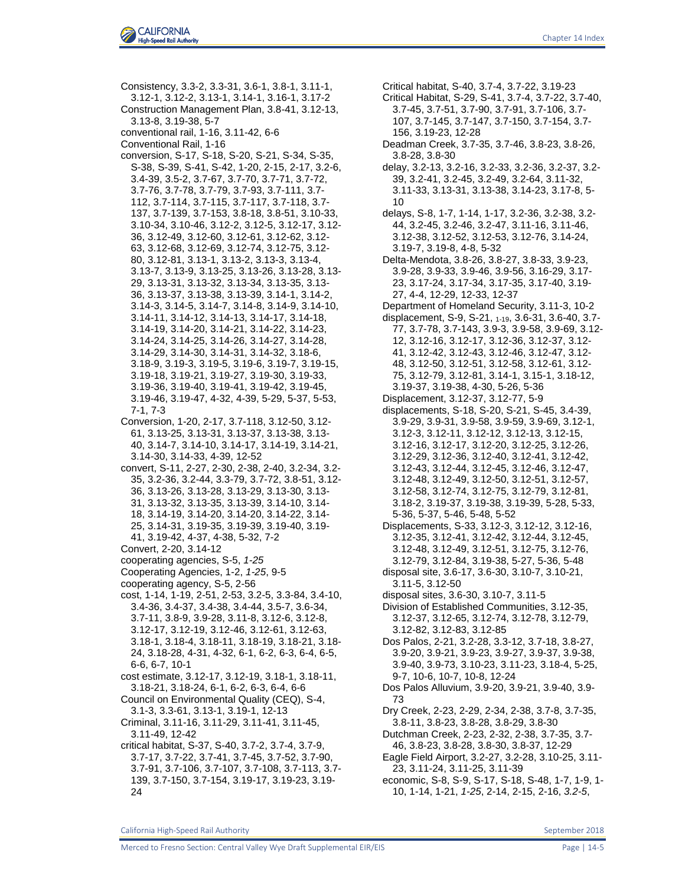

Consistency, 3.3-2, 3.3-31, 3.6-1, 3.8-1, 3.11-1, 3.12-1, 3.12-2, 3.13-1, 3.14-1, 3.16-1, 3.17-2 Construction Management Plan, 3.8-41, 3.12-13, 3.13-8, 3.19-38, 5-7 conventional rail, 1-16, 3.11-42, 6-6 Conventional Rail, 1-16 conversion, S-17, S-18, S-20, S-21, S-34, S-35, S-38, S-39, S-41, S-42, 1-20, 2-15, 2-17, 3.2-6, 3.4-39, 3.5-2, 3.7-67, 3.7-70, 3.7-71, 3.7-72, 3.7-76, 3.7-78, 3.7-79, 3.7-93, 3.7-111, 3.7- 112, 3.7-114, 3.7-115, 3.7-117, 3.7-118, 3.7- 137, 3.7-139, 3.7-153, 3.8-18, 3.8-51, 3.10-33, 3.10-34, 3.10-46, 3.12-2, 3.12-5, 3.12-17, 3.12- 36, 3.12-49, 3.12-60, 3.12-61, 3.12-62, 3.12- 63, 3.12-68, 3.12-69, 3.12-74, 3.12-75, 3.12- 80, 3.12-81, 3.13-1, 3.13-2, 3.13-3, 3.13-4, 3.13-7, 3.13-9, 3.13-25, 3.13-26, 3.13-28, 3.13- 29, 3.13-31, 3.13-32, 3.13-34, 3.13-35, 3.13- 36, 3.13-37, 3.13-38, 3.13-39, 3.14-1, 3.14-2, 3.14-3, 3.14-5, 3.14-7, 3.14-8, 3.14-9, 3.14-10, 3.14-11, 3.14-12, 3.14-13, 3.14-17, 3.14-18, 3.14-19, 3.14-20, 3.14-21, 3.14-22, 3.14-23, 3.14-24, 3.14-25, 3.14-26, 3.14-27, 3.14-28, 3.14-29, 3.14-30, 3.14-31, 3.14-32, 3.18-6, 3.18-9, 3.19-3, 3.19-5, 3.19-6, 3.19-7, 3.19-15, 3.19-18, 3.19-21, 3.19-27, 3.19-30, 3.19-33, 3.19-36, 3.19-40, 3.19-41, 3.19-42, 3.19-45, 3.19-46, 3.19-47, 4-32, 4-39, 5-29, 5-37, 5-53, 7-1, 7-3 Conversion, 1-20, 2-17, 3.7-118, 3.12-50, 3.12- 61, 3.13-25, 3.13-31, 3.13-37, 3.13-38, 3.13- 40, 3.14-7, 3.14-10, 3.14-17, 3.14-19, 3.14-21, 3.14-30, 3.14-33, 4-39, 12-52 convert, S-11, 2-27, 2-30, 2-38, 2-40, 3.2-34, 3.2- 35, 3.2-36, 3.2-44, 3.3-79, 3.7-72, 3.8-51, 3.12- 36, 3.13-26, 3.13-28, 3.13-29, 3.13-30, 3.13- 31, 3.13-32, 3.13-35, 3.13-39, 3.14-10, 3.14- 18, 3.14-19, 3.14-20, 3.14-20, 3.14-22, 3.14- 25, 3.14-31, 3.19-35, 3.19-39, 3.19-40, 3.19- 41, 3.19-42, 4-37, 4-38, 5-32, 7-2 Convert, 2-20, 3.14-12 cooperating agencies, S-5, *1-25* Cooperating Agencies, 1-2, *1-25*, 9-5 cooperating agency, S-5, 2-56 cost, 1-14, 1-19, 2-51, 2-53, 3.2-5, 3.3-84, 3.4-10, 3.4-36, 3.4-37, 3.4-38, 3.4-44, 3.5-7, 3.6-34, 3.7-11, 3.8-9, 3.9-28, 3.11-8, 3.12-6, 3.12-8, 3.12-17, 3.12-19, 3.12-46, 3.12-61, 3.12-63, 3.18-1, 3.18-4, 3.18-11, 3.18-19, 3.18-21, 3.18- 24, 3.18-28, 4-31, 4-32, 6-1, 6-2, 6-3, 6-4, 6-5, 6-6, 6-7, 10-1 cost estimate, 3.12-17, 3.12-19, 3.18-1, 3.18-11, 3.18-21, 3.18-24, 6-1, 6-2, 6-3, 6-4, 6-6 Council on Environmental Quality (CEQ), S-4, 3.1-3, 3.3-61, 3.13-1, 3.19-1, 12-13 Criminal, 3.11-16, 3.11-29, 3.11-41, 3.11-45, 3.11-49, 12-42 critical habitat, S-37, S-40, 3.7-2, 3.7-4, 3.7-9, 3.7-17, 3.7-22, 3.7-41, 3.7-45, 3.7-52, 3.7-90, 3.7-91, 3.7-106, 3.7-107, 3.7-108, 3.7-113, 3.7- 139, 3.7-150, 3.7-154, 3.19-17, 3.19-23, 3.19- 24

Critical Habitat, S-29, S-41, 3.7-4, 3.7-22, 3.7-40, 3.7-45, 3.7-51, 3.7-90, 3.7-91, 3.7-106, 3.7- 107, 3.7-145, 3.7-147, 3.7-150, 3.7-154, 3.7- 156, 3.19-23, 12-28 Deadman Creek, 3.7-35, 3.7-46, 3.8-23, 3.8-26, 3.8-28, 3.8-30 delay, 3.2-13, 3.2-16, 3.2-33, 3.2-36, 3.2-37, 3.2- 39, 3.2-41, 3.2-45, 3.2-49, 3.2-64, 3.11-32, 3.11-33, 3.13-31, 3.13-38, 3.14-23, 3.17-8, 5- 10 delays, S-8, 1-7, 1-14, 1-17, 3.2-36, 3.2-38, 3.2- 44, 3.2-45, 3.2-46, 3.2-47, 3.11-16, 3.11-46, 3.12-38, 3.12-52, 3.12-53, 3.12-76, 3.14-24, 3.19-7, 3.19-8, 4-8, 5-32 Delta-Mendota, 3.8-26, 3.8-27, 3.8-33, 3.9-23, 3.9-28, 3.9-33, 3.9-46, 3.9-56, 3.16-29, 3.17- 23, 3.17-24, 3.17-34, 3.17-35, 3.17-40, 3.19- 27, 4-4, 12-29, 12-33, 12-37 Department of Homeland Security, 3.11-3, 10-2 displacement, S-9, S-21, 1-19, 3.6-31, 3.6-40, 3.7- 77, 3.7-78, 3.7-143, 3.9-3, 3.9-58, 3.9-69, 3.12- 12, 3.12-16, 3.12-17, 3.12-36, 3.12-37, 3.12- 41, 3.12-42, 3.12-43, 3.12-46, 3.12-47, 3.12- 48, 3.12-50, 3.12-51, 3.12-58, 3.12-61, 3.12- 75, 3.12-79, 3.12-81, 3.14-1, 3.15-1, 3.18-12, 3.19-37, 3.19-38, 4-30, 5-26, 5-36 Displacement, 3.12-37, 3.12-77, 5-9 displacements, S-18, S-20, S-21, S-45, 3.4-39, 3.9-29, 3.9-31, 3.9-58, 3.9-59, 3.9-69, 3.12-1, 3.12-3, 3.12-11, 3.12-12, 3.12-13, 3.12-15, 3.12-16, 3.12-17, 3.12-20, 3.12-25, 3.12-26, 3.12-29, 3.12-36, 3.12-40, 3.12-41, 3.12-42, 3.12-43, 3.12-44, 3.12-45, 3.12-46, 3.12-47, 3.12-48, 3.12-49, 3.12-50, 3.12-51, 3.12-57, 3.12-58, 3.12-74, 3.12-75, 3.12-79, 3.12-81, 3.18-2, 3.19-37, 3.19-38, 3.19-39, 5-28, 5-33, 5-36, 5-37, 5-46, 5-48, 5-52 Displacements, S-33, 3.12-3, 3.12-12, 3.12-16, 3.12-35, 3.12-41, 3.12-42, 3.12-44, 3.12-45, 3.12-48, 3.12-49, 3.12-51, 3.12-75, 3.12-76, 3.12-79, 3.12-84, 3.19-38, 5-27, 5-36, 5-48 disposal site, 3.6-17, 3.6-30, 3.10-7, 3.10-21, 3.11-5, 3.12-50 disposal sites, 3.6-30, 3.10-7, 3.11-5 Division of Established Communities, 3.12-35, 3.12-37, 3.12-65, 3.12-74, 3.12-78, 3.12-79, 3.12-82, 3.12-83, 3.12-85 Dos Palos, 2-21, 3.2-28, 3.3-12, 3.7-18, 3.8-27, 3.9-20, 3.9-21, 3.9-23, 3.9-27, 3.9-37, 3.9-38, 3.9-40, 3.9-73, 3.10-23, 3.11-23, 3.18-4, 5-25, 9-7, 10-6, 10-7, 10-8, 12-24 Dos Palos Alluvium, 3.9-20, 3.9-21, 3.9-40, 3.9- 73 Dry Creek, 2-23, 2-29, 2-34, 2-38, 3.7-8, 3.7-35, 3.8-11, 3.8-23, 3.8-28, 3.8-29, 3.8-30 Dutchman Creek, 2-23, 2-32, 2-38, 3.7-35, 3.7- 46, 3.8-23, 3.8-28, 3.8-30, 3.8-37, 12-29 Eagle Field Airport, 3.2-27, 3.2-28, 3.10-25, 3.11- 23, 3.11-24, 3.11-25, 3.11-39 economic, S-8, S-9, S-17, S-18, S-48, 1-7, 1-9, 1- 10, 1-14, 1-21, *1-25*, 2-14, 2-15, 2-16, *3.2-5*,

Critical habitat, S-40, 3.7-4, 3.7-22, 3.19-23

California High-Speed Rail Authority **September 2018** September 2018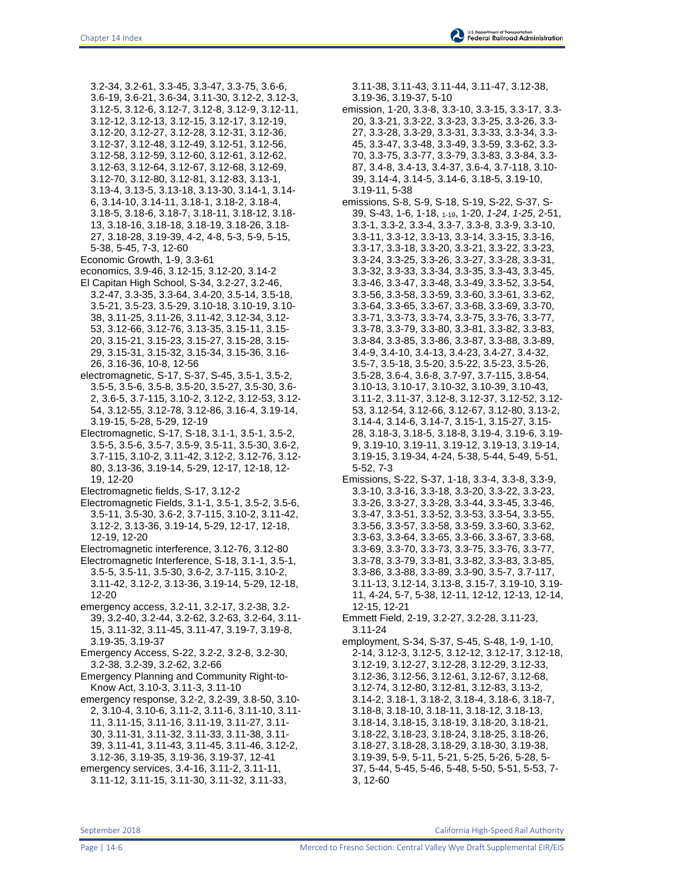3.2-34, 3.2-61, 3.3-45, 3.3-47, 3.3-75, 3.6-6, 3.6-19, 3.6-21, 3.6-34, 3.11-30, 3.12-2, 3.12-3, 3.12-5, 3.12-6, 3.12-7, 3.12-8, 3.12-9, 3.12-11, 3.12-12, 3.12-13, 3.12-15, 3.12-17, 3.12-19, 3.12-20, 3.12-27, 3.12-28, 3.12-31, 3.12-36, 3.12-37, 3.12-48, 3.12-49, 3.12-51, 3.12-56, 3.12-58, 3.12-59, 3.12-60, 3.12-61, 3.12-62, 3.12-63, 3.12-64, 3.12-67, 3.12-68, 3.12-69, 3.12-70, 3.12-80, 3.12-81, 3.12-83, 3.13-1, 3.13-4, 3.13-5, 3.13-18, 3.13-30, 3.14-1, 3.14- 6, 3.14-10, 3.14-11, 3.18-1, 3.18-2, 3.18-4, 3.18-5, 3.18-6, 3.18-7, 3.18-11, 3.18-12, 3.18- 13, 3.18-16, 3.18-18, 3.18-19, 3.18-26, 3.18- 27, 3.18-28, 3.19-39, 4-2, 4-8, 5-3, 5-9, 5-15, 5-38, 5-45, 7-3, 12-60

Economic Growth, 1-9, 3.3-61

- economics, 3.9-46, 3.12-15, 3.12-20, 3.14-2 El Capitan High School, S-34, 3.2-27, 3.2-46, 3.2-47, 3.3-35, 3.3-64, 3.4-20, 3.5-14, 3.5-18, 3.5-21, 3.5-23, 3.5-29, 3.10-18, 3.10-19, 3.10- 38, 3.11-25, 3.11-26, 3.11-42, 3.12-34, 3.12- 53, 3.12-66, 3.12-76, 3.13-35, 3.15-11, 3.15- 20, 3.15-21, 3.15-23, 3.15-27, 3.15-28, 3.15- 29, 3.15-31, 3.15-32, 3.15-34, 3.15-36, 3.16- 26, 3.16-36, 10-8, 12-56
- electromagnetic, S-17, S-37, S-45, 3.5-1, 3.5-2, 3.5-5, 3.5-6, 3.5-8, 3.5-20, 3.5-27, 3.5-30, 3.6- 2, 3.6-5, 3.7-115, 3.10-2, 3.12-2, 3.12-53, 3.12- 54, 3.12-55, 3.12-78, 3.12-86, 3.16-4, 3.19-14, 3.19-15, 5-28, 5-29, 12-19
- Electromagnetic, S-17, S-18, 3.1-1, 3.5-1, 3.5-2, 3.5-5, 3.5-6, 3.5-7, 3.5-9, 3.5-11, 3.5-30, 3.6-2, 3.7-115, 3.10-2, 3.11-42, 3.12-2, 3.12-76, 3.12- 80, 3.13-36, 3.19-14, 5-29, 12-17, 12-18, 12- 19, 12-20
- Electromagnetic fields, S-17, 3.12-2
- Electromagnetic Fields, 3.1-1, 3.5-1, 3.5-2, 3.5-6, 3.5-11, 3.5-30, 3.6-2, 3.7-115, 3.10-2, 3.11-42, 3.12-2, 3.13-36, 3.19-14, 5-29, 12-17, 12-18, 12-19, 12-20
- Electromagnetic interference, 3.12-76, 3.12-80
- Electromagnetic Interference, S-18, 3.1-1, 3.5-1, 3.5-5, 3.5-11, 3.5-30, 3.6-2, 3.7-115, 3.10-2, 3.11-42, 3.12-2, 3.13-36, 3.19-14, 5-29, 12-18, 12-20
- emergency access, 3.2-11, 3.2-17, 3.2-38, 3.2- 39, 3.2-40, 3.2-44, 3.2-62, 3.2-63, 3.2-64, 3.11- 15, 3.11-32, 3.11-45, 3.11-47, 3.19-7, 3.19-8, 3.19-35, 3.19-37
- Emergency Access, S-22, 3.2-2, 3.2-8, 3.2-30, 3.2-38, 3.2-39, 3.2-62, 3.2-66
- Emergency Planning and Community Right-to-Know Act, 3.10-3, 3.11-3, 3.11-10
- emergency response, 3.2-2, 3.2-39, 3.8-50, 3.10- 2, 3.10-4, 3.10-6, 3.11-2, 3.11-6, 3.11-10, 3.11- 11, 3.11-15, 3.11-16, 3.11-19, 3.11-27, 3.11- 30, 3.11-31, 3.11-32, 3.11-33, 3.11-38, 3.11- 39, 3.11-41, 3.11-43, 3.11-45, 3.11-46, 3.12-2, 3.12-36, 3.19-35, 3.19-36, 3.19-37, 12-41 emergency services, 3.4-16, 3.11-2, 3.11-11,
- 3.11-12, 3.11-15, 3.11-30, 3.11-32, 3.11-33,

3.11-38, 3.11-43, 3.11-44, 3.11-47, 3.12-38, 3.19-36, 3.19-37, 5-10

- emission, 1-20, 3.3-8, 3.3-10, 3.3-15, 3.3-17, 3.3- 20, 3.3-21, 3.3-22, 3.3-23, 3.3-25, 3.3-26, 3.3- 27, 3.3-28, 3.3-29, 3.3-31, 3.3-33, 3.3-34, 3.3- 45, 3.3-47, 3.3-48, 3.3-49, 3.3-59, 3.3-62, 3.3- 70, 3.3-75, 3.3-77, 3.3-79, 3.3-83, 3.3-84, 3.3- 87, 3.4-8, 3.4-13, 3.4-37, 3.6-4, 3.7-118, 3.10- 39, 3.14-4, 3.14-5, 3.14-6, 3.18-5, 3.19-10, 3.19-11, 5-38
- emissions, S-8, S-9, S-18, S-19, S-22, S-37, S-39, S-43, 1-6, 1-18, 1-19, 1-20, *1-24*, *1-25*, 2-51, 3.3-1, 3.3-2, 3.3-4, 3.3-7, 3.3-8, 3.3-9, 3.3-10, 3.3-11, 3.3-12, 3.3-13, 3.3-14, 3.3-15, 3.3-16, 3.3-17, 3.3-18, 3.3-20, 3.3-21, 3.3-22, 3.3-23, 3.3-24, 3.3-25, 3.3-26, 3.3-27, 3.3-28, 3.3-31, 3.3-32, 3.3-33, 3.3-34, 3.3-35, 3.3-43, 3.3-45, 3.3-46, 3.3-47, 3.3-48, 3.3-49, 3.3-52, 3.3-54, 3.3-56, 3.3-58, 3.3-59, 3.3-60, 3.3-61, 3.3-62, 3.3-64, 3.3-65, 3.3-67, 3.3-68, 3.3-69, 3.3-70, 3.3-71, 3.3-73, 3.3-74, 3.3-75, 3.3-76, 3.3-77, 3.3-78, 3.3-79, 3.3-80, 3.3-81, 3.3-82, 3.3-83, 3.3-84, 3.3-85, 3.3-86, 3.3-87, 3.3-88, 3.3-89, 3.4-9, 3.4-10, 3.4-13, 3.4-23, 3.4-27, 3.4-32, 3.5-7, 3.5-18, 3.5-20, 3.5-22, 3.5-23, 3.5-26, 3.5-28, 3.6-4, 3.6-8, 3.7-97, 3.7-115, 3.8-54, 3.10-13, 3.10-17, 3.10-32, 3.10-39, 3.10-43, 3.11-2, 3.11-37, 3.12-8, 3.12-37, 3.12-52, 3.12- 53, 3.12-54, 3.12-66, 3.12-67, 3.12-80, 3.13-2, 3.14-4, 3.14-6, 3.14-7, 3.15-1, 3.15-27, 3.15- 28, 3.18-3, 3.18-5, 3.18-8, 3.19-4, 3.19-6, 3.19- 9, 3.19-10, 3.19-11, 3.19-12, 3.19-13, 3.19-14, 3.19-15, 3.19-34, 4-24, 5-38, 5-44, 5-49, 5-51, 5-52, 7-3
- Emissions, S-22, S-37, 1-18, 3.3-4, 3.3-8, 3.3-9, 3.3-10, 3.3-16, 3.3-18, 3.3-20, 3.3-22, 3.3-23, 3.3-26, 3.3-27, 3.3-28, 3.3-44, 3.3-45, 3.3-46, 3.3-47, 3.3-51, 3.3-52, 3.3-53, 3.3-54, 3.3-55, 3.3-56, 3.3-57, 3.3-58, 3.3-59, 3.3-60, 3.3-62, 3.3-63, 3.3-64, 3.3-65, 3.3-66, 3.3-67, 3.3-68, 3.3-69, 3.3-70, 3.3-73, 3.3-75, 3.3-76, 3.3-77, 3.3-78, 3.3-79, 3.3-81, 3.3-82, 3.3-83, 3.3-85, 3.3-86, 3.3-88, 3.3-89, 3.3-90, 3.5-7, 3.7-117, 3.11-13, 3.12-14, 3.13-8, 3.15-7, 3.19-10, 3.19- 11, 4-24, 5-7, 5-38, 12-11, 12-12, 12-13, 12-14, 12-15, 12-21
- Emmett Field, 2-19, 3.2-27, 3.2-28, 3.11-23, 3.11-24
- employment, S-34, S-37, S-45, S-48, 1-9, 1-10, 2-14, 3.12-3, 3.12-5, 3.12-12, 3.12-17, 3.12-18, 3.12-19, 3.12-27, 3.12-28, 3.12-29, 3.12-33, 3.12-36, 3.12-56, 3.12-61, 3.12-67, 3.12-68, 3.12-74, 3.12-80, 3.12-81, 3.12-83, 3.13-2, 3.14-2, 3.18-1, 3.18-2, 3.18-4, 3.18-6, 3.18-7, 3.18-8, 3.18-10, 3.18-11, 3.18-12, 3.18-13, 3.18-14, 3.18-15, 3.18-19, 3.18-20, 3.18-21, 3.18-22, 3.18-23, 3.18-24, 3.18-25, 3.18-26, 3.18-27, 3.18-28, 3.18-29, 3.18-30, 3.19-38, 3.19-39, 5-9, 5-11, 5-21, 5-25, 5-26, 5-28, 5- 37, 5-44, 5-45, 5-46, 5-48, 5-50, 5-51, 5-53, 7- 3, 12-60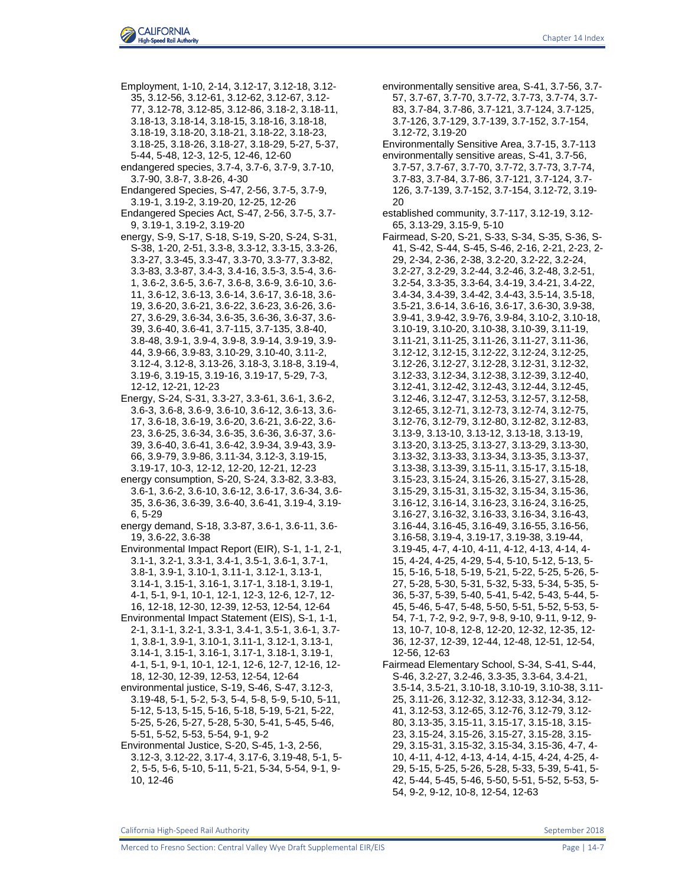

Employment, 1-10, 2-14, 3.12-17, 3.12-18, 3.12- 35, 3.12-56, 3.12-61, 3.12-62, 3.12-67, 3.12- 77, 3.12-78, 3.12-85, 3.12-86, 3.18-2, 3.18-11, 3.18-13, 3.18-14, 3.18-15, 3.18-16, 3.18-18, 3.18-19, 3.18-20, 3.18-21, 3.18-22, 3.18-23, 3.18-25, 3.18-26, 3.18-27, 3.18-29, 5-27, 5-37, 5-44, 5-48, 12-3, 12-5, 12-46, 12-60 endangered species, 3.7-4, 3.7-6, 3.7-9, 3.7-10, 3.7-90, 3.8-7, 3.8-26, 4-30 Endangered Species, S-47, 2-56, 3.7-5, 3.7-9, 3.19-1, 3.19-2, 3.19-20, 12-25, 12-26 Endangered Species Act, S-47, 2-56, 3.7-5, 3.7- 9, 3.19-1, 3.19-2, 3.19-20 energy, S-9, S-17, S-18, S-19, S-20, S-24, S-31, S-38, 1-20, 2-51, 3.3-8, 3.3-12, 3.3-15, 3.3-26, 3.3-27, 3.3-45, 3.3-47, 3.3-70, 3.3-77, 3.3-82, 3.3-83, 3.3-87, 3.4-3, 3.4-16, 3.5-3, 3.5-4, 3.6- 1, 3.6-2, 3.6-5, 3.6-7, 3.6-8, 3.6-9, 3.6-10, 3.6- 11, 3.6-12, 3.6-13, 3.6-14, 3.6-17, 3.6-18, 3.6- 19, 3.6-20, 3.6-21, 3.6-22, 3.6-23, 3.6-26, 3.6- 27, 3.6-29, 3.6-34, 3.6-35, 3.6-36, 3.6-37, 3.6- 39, 3.6-40, 3.6-41, 3.7-115, 3.7-135, 3.8-40, 3.8-48, 3.9-1, 3.9-4, 3.9-8, 3.9-14, 3.9-19, 3.9- 44, 3.9-66, 3.9-83, 3.10-29, 3.10-40, 3.11-2, 3.12-4, 3.12-8, 3.13-26, 3.18-3, 3.18-8, 3.19-4, 3.19-6, 3.19-15, 3.19-16, 3.19-17, 5-29, 7-3, 12-12, 12-21, 12-23 Energy, S-24, S-31, 3.3-27, 3.3-61, 3.6-1, 3.6-2, 3.6-3, 3.6-8, 3.6-9, 3.6-10, 3.6-12, 3.6-13, 3.6- 17, 3.6-18, 3.6-19, 3.6-20, 3.6-21, 3.6-22, 3.6- 23, 3.6-25, 3.6-34, 3.6-35, 3.6-36, 3.6-37, 3.6- 39, 3.6-40, 3.6-41, 3.6-42, 3.9-34, 3.9-43, 3.9- 66, 3.9-79, 3.9-86, 3.11-34, 3.12-3, 3.19-15, 3.19-17, 10-3, 12-12, 12-20, 12-21, 12-23 energy consumption, S-20, S-24, 3.3-82, 3.3-83, 3.6-1, 3.6-2, 3.6-10, 3.6-12, 3.6-17, 3.6-34, 3.6- 35, 3.6-36, 3.6-39, 3.6-40, 3.6-41, 3.19-4, 3.19- 6, 5-29 energy demand, S-18, 3.3-87, 3.6-1, 3.6-11, 3.6- 19, 3.6-22, 3.6-38 Environmental Impact Report (EIR), S-1, 1-1, 2-1, 3.1-1, 3.2-1, 3.3-1, 3.4-1, 3.5-1, 3.6-1, 3.7-1, 3.8-1, 3.9-1, 3.10-1, 3.11-1, 3.12-1, 3.13-1, 3.14-1, 3.15-1, 3.16-1, 3.17-1, 3.18-1, 3.19-1, 4-1, 5-1, 9-1, 10-1, 12-1, 12-3, 12-6, 12-7, 12- 16, 12-18, 12-30, 12-39, 12-53, 12-54, 12-64 Environmental Impact Statement (EIS), S-1, 1-1, 2-1, 3.1-1, 3.2-1, 3.3-1, 3.4-1, 3.5-1, 3.6-1, 3.7- 1, 3.8-1, 3.9-1, 3.10-1, 3.11-1, 3.12-1, 3.13-1, 3.14-1, 3.15-1, 3.16-1, 3.17-1, 3.18-1, 3.19-1, 4-1, 5-1, 9-1, 10-1, 12-1, 12-6, 12-7, 12-16, 12- 18, 12-30, 12-39, 12-53, 12-54, 12-64 environmental justice, S-19, S-46, S-47, 3.12-3,

- 3.19-48, 5-1, 5-2, 5-3, 5-4, 5-8, 5-9, 5-10, 5-11, 5-12, 5-13, 5-15, 5-16, 5-18, 5-19, 5-21, 5-22, 5-25, 5-26, 5-27, 5-28, 5-30, 5-41, 5-45, 5-46, 5-51, 5-52, 5-53, 5-54, 9-1, 9-2
- Environmental Justice, S-20, S-45, 1-3, 2-56, 3.12-3, 3.12-22, 3.17-4, 3.17-6, 3.19-48, 5-1, 5- 2, 5-5, 5-6, 5-10, 5-11, 5-21, 5-34, 5-54, 9-1, 9- 10, 12-46
- environmentally sensitive area, S-41, 3.7-56, 3.7- 57, 3.7-67, 3.7-70, 3.7-72, 3.7-73, 3.7-74, 3.7- 83, 3.7-84, 3.7-86, 3.7-121, 3.7-124, 3.7-125, 3.7-126, 3.7-129, 3.7-139, 3.7-152, 3.7-154, 3.12-72, 3.19-20
- Environmentally Sensitive Area, 3.7-15, 3.7-113 environmentally sensitive areas, S-41, 3.7-56, 3.7-57, 3.7-67, 3.7-70, 3.7-72, 3.7-73, 3.7-74, 3.7-83, 3.7-84, 3.7-86, 3.7-121, 3.7-124, 3.7- 126, 3.7-139, 3.7-152, 3.7-154, 3.12-72, 3.19- 20
- established community, 3.7-117, 3.12-19, 3.12- 65, 3.13-29, 3.15-9, 5-10
- Fairmead, S-20, S-21, S-33, S-34, S-35, S-36, S-41, S-42, S-44, S-45, S-46, 2-16, 2-21, 2-23, 2- 29, 2-34, 2-36, 2-38, 3.2-20, 3.2-22, 3.2-24, 3.2-27, 3.2-29, 3.2-44, 3.2-46, 3.2-48, 3.2-51, 3.2-54, 3.3-35, 3.3-64, 3.4-19, 3.4-21, 3.4-22, 3.4-34, 3.4-39, 3.4-42, 3.4-43, 3.5-14, 3.5-18, 3.5-21, 3.6-14, 3.6-16, 3.6-17, 3.6-30, 3.9-38, 3.9-41, 3.9-42, 3.9-76, 3.9-84, 3.10-2, 3.10-18, 3.10-19, 3.10-20, 3.10-38, 3.10-39, 3.11-19, 3.11-21, 3.11-25, 3.11-26, 3.11-27, 3.11-36, 3.12-12, 3.12-15, 3.12-22, 3.12-24, 3.12-25, 3.12-26, 3.12-27, 3.12-28, 3.12-31, 3.12-32, 3.12-33, 3.12-34, 3.12-38, 3.12-39, 3.12-40, 3.12-41, 3.12-42, 3.12-43, 3.12-44, 3.12-45, 3.12-46, 3.12-47, 3.12-53, 3.12-57, 3.12-58, 3.12-65, 3.12-71, 3.12-73, 3.12-74, 3.12-75, 3.12-76, 3.12-79, 3.12-80, 3.12-82, 3.12-83, 3.13-9, 3.13-10, 3.13-12, 3.13-18, 3.13-19, 3.13-20, 3.13-25, 3.13-27, 3.13-29, 3.13-30, 3.13-32, 3.13-33, 3.13-34, 3.13-35, 3.13-37, 3.13-38, 3.13-39, 3.15-11, 3.15-17, 3.15-18, 3.15-23, 3.15-24, 3.15-26, 3.15-27, 3.15-28, 3.15-29, 3.15-31, 3.15-32, 3.15-34, 3.15-36, 3.16-12, 3.16-14, 3.16-23, 3.16-24, 3.16-25, 3.16-27, 3.16-32, 3.16-33, 3.16-34, 3.16-43, 3.16-44, 3.16-45, 3.16-49, 3.16-55, 3.16-56, 3.16-58, 3.19-4, 3.19-17, 3.19-38, 3.19-44, 3.19-45, 4-7, 4-10, 4-11, 4-12, 4-13, 4-14, 4- 15, 4-24, 4-25, 4-29, 5-4, 5-10, 5-12, 5-13, 5- 15, 5-16, 5-18, 5-19, 5-21, 5-22, 5-25, 5-26, 5- 27, 5-28, 5-30, 5-31, 5-32, 5-33, 5-34, 5-35, 5- 36, 5-37, 5-39, 5-40, 5-41, 5-42, 5-43, 5-44, 5- 45, 5-46, 5-47, 5-48, 5-50, 5-51, 5-52, 5-53, 5- 54, 7-1, 7-2, 9-2, 9-7, 9-8, 9-10, 9-11, 9-12, 9- 13, 10-7, 10-8, 12-8, 12-20, 12-32, 12-35, 12- 36, 12-37, 12-39, 12-44, 12-48, 12-51, 12-54, 12-56, 12-63
- Fairmead Elementary School, S-34, S-41, S-44, S-46, 3.2-27, 3.2-46, 3.3-35, 3.3-64, 3.4-21, 3.5-14, 3.5-21, 3.10-18, 3.10-19, 3.10-38, 3.11- 25, 3.11-26, 3.12-32, 3.12-33, 3.12-34, 3.12- 41, 3.12-53, 3.12-65, 3.12-76, 3.12-79, 3.12- 80, 3.13-35, 3.15-11, 3.15-17, 3.15-18, 3.15- 23, 3.15-24, 3.15-26, 3.15-27, 3.15-28, 3.15- 29, 3.15-31, 3.15-32, 3.15-34, 3.15-36, 4-7, 4- 10, 4-11, 4-12, 4-13, 4-14, 4-15, 4-24, 4-25, 4- 29, 5-15, 5-25, 5-26, 5-28, 5-33, 5-39, 5-41, 5- 42, 5-44, 5-45, 5-46, 5-50, 5-51, 5-52, 5-53, 5- 54, 9-2, 9-12, 10-8, 12-54, 12-63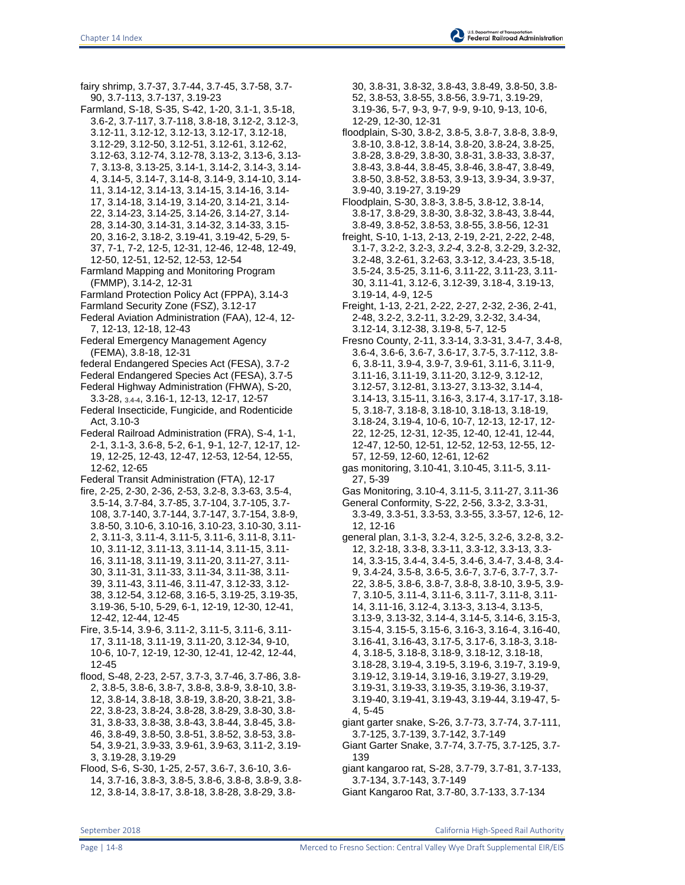fairy shrimp, 3.7-37, 3.7-44, 3.7-45, 3.7-58, 3.7- 90, 3.7-113, 3.7-137, 3.19-23 Farmland, S-18, S-35, S-42, 1-20, 3.1-1, 3.5-18, 3.6-2, 3.7-117, 3.7-118, 3.8-18, 3.12-2, 3.12-3, 3.12-11, 3.12-12, 3.12-13, 3.12-17, 3.12-18, 3.12-29, 3.12-50, 3.12-51, 3.12-61, 3.12-62, 3.12-63, 3.12-74, 3.12-78, 3.13-2, 3.13-6, 3.13- 7, 3.13-8, 3.13-25, 3.14-1, 3.14-2, 3.14-3, 3.14- 4, 3.14-5, 3.14-7, 3.14-8, 3.14-9, 3.14-10, 3.14- 11, 3.14-12, 3.14-13, 3.14-15, 3.14-16, 3.14- 17, 3.14-18, 3.14-19, 3.14-20, 3.14-21, 3.14- 22, 3.14-23, 3.14-25, 3.14-26, 3.14-27, 3.14- 28, 3.14-30, 3.14-31, 3.14-32, 3.14-33, 3.15- 20, 3.16-2, 3.18-2, 3.19-41, 3.19-42, 5-29, 5- 37, 7-1, 7-2, 12-5, 12-31, 12-46, 12-48, 12-49, 12-50, 12-51, 12-52, 12-53, 12-54 Farmland Mapping and Monitoring Program (FMMP), 3.14-2, 12-31 Farmland Protection Policy Act (FPPA), 3.14-3 Farmland Security Zone (FSZ), 3.12-17 Federal Aviation Administration (FAA), 12-4, 12- 7, 12-13, 12-18, 12-43 Federal Emergency Management Agency (FEMA), 3.8-18, 12-31 federal Endangered Species Act (FESA), 3.7-2 Federal Endangered Species Act (FESA), 3.7-5 Federal Highway Administration (FHWA), S-20, 3.3-28, 3.4-4, 3.16-1, 12-13, 12-17, 12-57 Federal Insecticide, Fungicide, and Rodenticide Act, 3.10-3 Federal Railroad Administration (FRA), S-4, 1-1, 2-1, 3.1-3, 3.6-8, 5-2, 6-1, 9-1, 12-7, 12-17, 12- 19, 12-25, 12-43, 12-47, 12-53, 12-54, 12-55, 12-62, 12-65 Federal Transit Administration (FTA), 12-17 fire, 2-25, 2-30, 2-36, 2-53, 3.2-8, 3.3-63, 3.5-4, 3.5-14, 3.7-84, 3.7-85, 3.7-104, 3.7-105, 3.7- 108, 3.7-140, 3.7-144, 3.7-147, 3.7-154, 3.8-9, 3.8-50, 3.10-6, 3.10-16, 3.10-23, 3.10-30, 3.11- 2, 3.11-3, 3.11-4, 3.11-5, 3.11-6, 3.11-8, 3.11- 10, 3.11-12, 3.11-13, 3.11-14, 3.11-15, 3.11- 16, 3.11-18, 3.11-19, 3.11-20, 3.11-27, 3.11- 30, 3.11-31, 3.11-33, 3.11-34, 3.11-38, 3.11- 39, 3.11-43, 3.11-46, 3.11-47, 3.12-33, 3.12- 38, 3.12-54, 3.12-68, 3.16-5, 3.19-25, 3.19-35, 3.19-36, 5-10, 5-29, 6-1, 12-19, 12-30, 12-41, 12-42, 12-44, 12-45 Fire, 3.5-14, 3.9-6, 3.11-2, 3.11-5, 3.11-6, 3.11- 17, 3.11-18, 3.11-19, 3.11-20, 3.12-34, 9-10, 10-6, 10-7, 12-19, 12-30, 12-41, 12-42, 12-44, 12-45 flood, S-48, 2-23, 2-57, 3.7-3, 3.7-46, 3.7-86, 3.8- 2, 3.8-5, 3.8-6, 3.8-7, 3.8-8, 3.8-9, 3.8-10, 3.8- 12, 3.8-14, 3.8-18, 3.8-19, 3.8-20, 3.8-21, 3.8- 22, 3.8-23, 3.8-24, 3.8-28, 3.8-29, 3.8-30, 3.8- 31, 3.8-33, 3.8-38, 3.8-43, 3.8-44, 3.8-45, 3.8- 46, 3.8-49, 3.8-50, 3.8-51, 3.8-52, 3.8-53, 3.8- 54, 3.9-21, 3.9-33, 3.9-61, 3.9-63, 3.11-2, 3.19- 3, 3.19-28, 3.19-29

Flood, S-6, S-30, 1-25, 2-57, 3.6-7, 3.6-10, 3.6- 14, 3.7-16, 3.8-3, 3.8-5, 3.8-6, 3.8-8, 3.8-9, 3.8- 12, 3.8-14, 3.8-17, 3.8-18, 3.8-28, 3.8-29, 3.830, 3.8-31, 3.8-32, 3.8-43, 3.8-49, 3.8-50, 3.8- 52, 3.8-53, 3.8-55, 3.8-56, 3.9-71, 3.19-29, 3.19-36, 5-7, 9-3, 9-7, 9-9, 9-10, 9-13, 10-6,

12-29, 12-30, 12-31 floodplain, S-30, 3.8-2, 3.8-5, 3.8-7, 3.8-8, 3.8-9, 3.8-10, 3.8-12, 3.8-14, 3.8-20, 3.8-24, 3.8-25, 3.8-28, 3.8-29, 3.8-30, 3.8-31, 3.8-33, 3.8-37, 3.8-43, 3.8-44, 3.8-45, 3.8-46, 3.8-47, 3.8-49, 3.8-50, 3.8-52, 3.8-53, 3.9-13, 3.9-34, 3.9-37,

3.9-40, 3.19-27, 3.19-29

- Floodplain, S-30, 3.8-3, 3.8-5, 3.8-12, 3.8-14, 3.8-17, 3.8-29, 3.8-30, 3.8-32, 3.8-43, 3.8-44, 3.8-49, 3.8-52, 3.8-53, 3.8-55, 3.8-56, 12-31
- freight, S-10, 1-13, 2-13, 2-19, 2-21, 2-22, 2-48, 3.1-7, 3.2-2, 3.2-3, *3.2-4*, 3.2-8, 3.2-29, 3.2-32, 3.2-48, 3.2-61, 3.2-63, 3.3-12, 3.4-23, 3.5-18, 3.5-24, 3.5-25, 3.11-6, 3.11-22, 3.11-23, 3.11- 30, 3.11-41, 3.12-6, 3.12-39, 3.18-4, 3.19-13, 3.19-14, 4-9, 12-5
- Freight, 1-13, 2-21, 2-22, 2-27, 2-32, 2-36, 2-41, 2-48, 3.2-2, 3.2-11, 3.2-29, 3.2-32, 3.4-34, 3.12-14, 3.12-38, 3.19-8, 5-7, 12-5
- Fresno County, 2-11, 3.3-14, 3.3-31, 3.4-7, 3.4-8, 3.6-4, 3.6-6, 3.6-7, 3.6-17, 3.7-5, 3.7-112, 3.8- 6, 3.8-11, 3.9-4, 3.9-7, 3.9-61, 3.11-6, 3.11-9, 3.11-16, 3.11-19, 3.11-20, 3.12-9, 3.12-12, 3.12-57, 3.12-81, 3.13-27, 3.13-32, 3.14-4, 3.14-13, 3.15-11, 3.16-3, 3.17-4, 3.17-17, 3.18- 5, 3.18-7, 3.18-8, 3.18-10, 3.18-13, 3.18-19, 3.18-24, 3.19-4, 10-6, 10-7, 12-13, 12-17, 12- 22, 12-25, 12-31, 12-35, 12-40, 12-41, 12-44, 12-47, 12-50, 12-51, 12-52, 12-53, 12-55, 12- 57, 12-59, 12-60, 12-61, 12-62
- gas monitoring, 3.10-41, 3.10-45, 3.11-5, 3.11- 27, 5-39
- Gas Monitoring, 3.10-4, 3.11-5, 3.11-27, 3.11-36
- General Conformity, S-22, 2-56, 3.3-2, 3.3-31, 3.3-49, 3.3-51, 3.3-53, 3.3-55, 3.3-57, 12-6, 12- 12, 12-16
- general plan, 3.1-3, 3.2-4, 3.2-5, 3.2-6, 3.2-8, 3.2- 12, 3.2-18, 3.3-8, 3.3-11, 3.3-12, 3.3-13, 3.3- 14, 3.3-15, 3.4-4, 3.4-5, 3.4-6, 3.4-7, 3.4-8, 3.4- 9, 3.4-24, 3.5-8, 3.6-5, 3.6-7, 3.7-6, 3.7-7, 3.7- 22, 3.8-5, 3.8-6, 3.8-7, 3.8-8, 3.8-10, 3.9-5, 3.9- 7, 3.10-5, 3.11-4, 3.11-6, 3.11-7, 3.11-8, 3.11- 14, 3.11-16, 3.12-4, 3.13-3, 3.13-4, 3.13-5, 3.13-9, 3.13-32, 3.14-4, 3.14-5, 3.14-6, 3.15-3, 3.15-4, 3.15-5, 3.15-6, 3.16-3, 3.16-4, 3.16-40, 3.16-41, 3.16-43, 3.17-5, 3.17-6, 3.18-3, 3.18- 4, 3.18-5, 3.18-8, 3.18-9, 3.18-12, 3.18-18, 3.18-28, 3.19-4, 3.19-5, 3.19-6, 3.19-7, 3.19-9, 3.19-12, 3.19-14, 3.19-16, 3.19-27, 3.19-29, 3.19-31, 3.19-33, 3.19-35, 3.19-36, 3.19-37, 3.19-40, 3.19-41, 3.19-43, 3.19-44, 3.19-47, 5- 4, 5-45
- giant garter snake, S-26, 3.7-73, 3.7-74, 3.7-111, 3.7-125, 3.7-139, 3.7-142, 3.7-149
- Giant Garter Snake, 3.7-74, 3.7-75, 3.7-125, 3.7- 139
- giant kangaroo rat, S-28, 3.7-79, 3.7-81, 3.7-133, 3.7-134, 3.7-143, 3.7-149
- Giant Kangaroo Rat, 3.7-80, 3.7-133, 3.7-134

September 2018 California High-Speed Rail Authority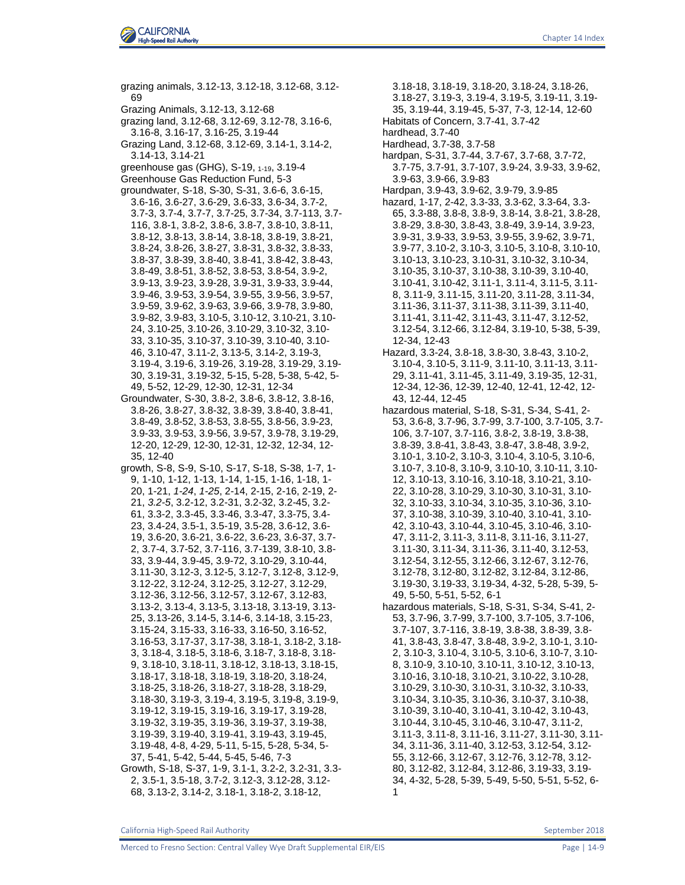

grazing animals, 3.12-13, 3.12-18, 3.12-68, 3.12- 69 Grazing Animals, 3.12-13, 3.12-68 grazing land, 3.12-68, 3.12-69, 3.12-78, 3.16-6, 3.16-8, 3.16-17, 3.16-25, 3.19-44 Grazing Land, 3.12-68, 3.12-69, 3.14-1, 3.14-2, 3.14-13, 3.14-21 greenhouse gas (GHG), S-19, 1-19, 3.19-4 Greenhouse Gas Reduction Fund, 5-3 groundwater, S-18, S-30, S-31, 3.6-6, 3.6-15, 3.6-16, 3.6-27, 3.6-29, 3.6-33, 3.6-34, 3.7-2, 3.7-3, 3.7-4, 3.7-7, 3.7-25, 3.7-34, 3.7-113, 3.7- 116, 3.8-1, 3.8-2, 3.8-6, 3.8-7, 3.8-10, 3.8-11, 3.8-12, 3.8-13, 3.8-14, 3.8-18, 3.8-19, 3.8-21, 3.8-24, 3.8-26, 3.8-27, 3.8-31, 3.8-32, 3.8-33, 3.8-37, 3.8-39, 3.8-40, 3.8-41, 3.8-42, 3.8-43, 3.8-49, 3.8-51, 3.8-52, 3.8-53, 3.8-54, 3.9-2, 3.9-13, 3.9-23, 3.9-28, 3.9-31, 3.9-33, 3.9-44, 3.9-46, 3.9-53, 3.9-54, 3.9-55, 3.9-56, 3.9-57, 3.9-59, 3.9-62, 3.9-63, 3.9-66, 3.9-78, 3.9-80, 3.9-82, 3.9-83, 3.10-5, 3.10-12, 3.10-21, 3.10- 24, 3.10-25, 3.10-26, 3.10-29, 3.10-32, 3.10- 33, 3.10-35, 3.10-37, 3.10-39, 3.10-40, 3.10- 46, 3.10-47, 3.11-2, 3.13-5, 3.14-2, 3.19-3, 3.19-4, 3.19-6, 3.19-26, 3.19-28, 3.19-29, 3.19- 30, 3.19-31, 3.19-32, 5-15, 5-28, 5-38, 5-42, 5- 49, 5-52, 12-29, 12-30, 12-31, 12-34 Groundwater, S-30, 3.8-2, 3.8-6, 3.8-12, 3.8-16, 3.8-26, 3.8-27, 3.8-32, 3.8-39, 3.8-40, 3.8-41, 3.8-49, 3.8-52, 3.8-53, 3.8-55, 3.8-56, 3.9-23, 3.9-33, 3.9-53, 3.9-56, 3.9-57, 3.9-78, 3.19-29, 12-20, 12-29, 12-30, 12-31, 12-32, 12-34, 12- 35, 12-40 growth, S-8, S-9, S-10, S-17, S-18, S-38, 1-7, 1- 9, 1-10, 1-12, 1-13, 1-14, 1-15, 1-16, 1-18, 1- 20, 1-21, *1-24*, *1-25*, 2-14, 2-15, 2-16, 2-19, 2- 21, *3.2-5*, 3.2-12, 3.2-31, 3.2-32, 3.2-45, 3.2- 61, 3.3-2, 3.3-45, 3.3-46, 3.3-47, 3.3-75, 3.4- 23, 3.4-24, 3.5-1, 3.5-19, 3.5-28, 3.6-12, 3.6- 19, 3.6-20, 3.6-21, 3.6-22, 3.6-23, 3.6-37, 3.7- 2, 3.7-4, 3.7-52, 3.7-116, 3.7-139, 3.8-10, 3.8- 33, 3.9-44, 3.9-45, 3.9-72, 3.10-29, 3.10-44, 3.11-30, 3.12-3, 3.12-5, 3.12-7, 3.12-8, 3.12-9, 3.12-22, 3.12-24, 3.12-25, 3.12-27, 3.12-29, 3.12-36, 3.12-56, 3.12-57, 3.12-67, 3.12-83, 3.13-2, 3.13-4, 3.13-5, 3.13-18, 3.13-19, 3.13- 25, 3.13-26, 3.14-5, 3.14-6, 3.14-18, 3.15-23, 3.15-24, 3.15-33, 3.16-33, 3.16-50, 3.16-52, 3.16-53, 3.17-37, 3.17-38, 3.18-1, 3.18-2, 3.18- 3, 3.18-4, 3.18-5, 3.18-6, 3.18-7, 3.18-8, 3.18- 9, 3.18-10, 3.18-11, 3.18-12, 3.18-13, 3.18-15, 3.18-17, 3.18-18, 3.18-19, 3.18-20, 3.18-24, 3.18-25, 3.18-26, 3.18-27, 3.18-28, 3.18-29, 3.18-30, 3.19-3, 3.19-4, 3.19-5, 3.19-8, 3.19-9, 3.19-12, 3.19-15, 3.19-16, 3.19-17, 3.19-28, 3.19-32, 3.19-35, 3.19-36, 3.19-37, 3.19-38, 3.19-39, 3.19-40, 3.19-41, 3.19-43, 3.19-45, 3.19-48, 4-8, 4-29, 5-11, 5-15, 5-28, 5-34, 5- 37, 5-41, 5-42, 5-44, 5-45, 5-46, 7-3

Growth, S-18, S-37, 1-9, 3.1-1, 3.2-2, 3.2-31, 3.3- 2, 3.5-1, 3.5-18, 3.7-2, 3.12-3, 3.12-28, 3.12- 68, 3.13-2, 3.14-2, 3.18-1, 3.18-2, 3.18-12,

3.18-18, 3.18-19, 3.18-20, 3.18-24, 3.18-26,

3.18-27, 3.19-3, 3.19-4, 3.19-5, 3.19-11, 3.19-

35, 3.19-44, 3.19-45, 5-37, 7-3, 12-14, 12-60

- Habitats of Concern, 3.7-41, 3.7-42
- hardhead, 3.7-40
- Hardhead, 3.7-38, 3.7-58
- hardpan, S-31, 3.7-44, 3.7-67, 3.7-68, 3.7-72, 3.7-75, 3.7-91, 3.7-107, 3.9-24, 3.9-33, 3.9-62, 3.9-63, 3.9-66, 3.9-83
- Hardpan, 3.9-43, 3.9-62, 3.9-79, 3.9-85
- hazard, 1-17, 2-42, 3.3-33, 3.3-62, 3.3-64, 3.3- 65, 3.3-88, 3.8-8, 3.8-9, 3.8-14, 3.8-21, 3.8-28, 3.8-29, 3.8-30, 3.8-43, 3.8-49, 3.9-14, 3.9-23, 3.9-31, 3.9-33, 3.9-53, 3.9-55, 3.9-62, 3.9-71, 3.9-77, 3.10-2, 3.10-3, 3.10-5, 3.10-8, 3.10-10, 3.10-13, 3.10-23, 3.10-31, 3.10-32, 3.10-34, 3.10-35, 3.10-37, 3.10-38, 3.10-39, 3.10-40, 3.10-41, 3.10-42, 3.11-1, 3.11-4, 3.11-5, 3.11- 8, 3.11-9, 3.11-15, 3.11-20, 3.11-28, 3.11-34, 3.11-36, 3.11-37, 3.11-38, 3.11-39, 3.11-40, 3.11-41, 3.11-42, 3.11-43, 3.11-47, 3.12-52, 3.12-54, 3.12-66, 3.12-84, 3.19-10, 5-38, 5-39, 12-34, 12-43
- Hazard, 3.3-24, 3.8-18, 3.8-30, 3.8-43, 3.10-2, 3.10-4, 3.10-5, 3.11-9, 3.11-10, 3.11-13, 3.11- 29, 3.11-41, 3.11-45, 3.11-49, 3.19-35, 12-31, 12-34, 12-36, 12-39, 12-40, 12-41, 12-42, 12- 43, 12-44, 12-45
- hazardous material, S-18, S-31, S-34, S-41, 2- 53, 3.6-8, 3.7-96, 3.7-99, 3.7-100, 3.7-105, 3.7- 106, 3.7-107, 3.7-116, 3.8-2, 3.8-19, 3.8-38, 3.8-39, 3.8-41, 3.8-43, 3.8-47, 3.8-48, 3.9-2, 3.10-1, 3.10-2, 3.10-3, 3.10-4, 3.10-5, 3.10-6, 3.10-7, 3.10-8, 3.10-9, 3.10-10, 3.10-11, 3.10- 12, 3.10-13, 3.10-16, 3.10-18, 3.10-21, 3.10- 22, 3.10-28, 3.10-29, 3.10-30, 3.10-31, 3.10- 32, 3.10-33, 3.10-34, 3.10-35, 3.10-36, 3.10- 37, 3.10-38, 3.10-39, 3.10-40, 3.10-41, 3.10- 42, 3.10-43, 3.10-44, 3.10-45, 3.10-46, 3.10- 47, 3.11-2, 3.11-3, 3.11-8, 3.11-16, 3.11-27, 3.11-30, 3.11-34, 3.11-36, 3.11-40, 3.12-53, 3.12-54, 3.12-55, 3.12-66, 3.12-67, 3.12-76, 3.12-78, 3.12-80, 3.12-82, 3.12-84, 3.12-86, 3.19-30, 3.19-33, 3.19-34, 4-32, 5-28, 5-39, 5- 49, 5-50, 5-51, 5-52, 6-1
- hazardous materials, S-18, S-31, S-34, S-41, 2- 53, 3.7-96, 3.7-99, 3.7-100, 3.7-105, 3.7-106, 3.7-107, 3.7-116, 3.8-19, 3.8-38, 3.8-39, 3.8- 41, 3.8-43, 3.8-47, 3.8-48, 3.9-2, 3.10-1, 3.10- 2, 3.10-3, 3.10-4, 3.10-5, 3.10-6, 3.10-7, 3.10- 8, 3.10-9, 3.10-10, 3.10-11, 3.10-12, 3.10-13, 3.10-16, 3.10-18, 3.10-21, 3.10-22, 3.10-28, 3.10-29, 3.10-30, 3.10-31, 3.10-32, 3.10-33, 3.10-34, 3.10-35, 3.10-36, 3.10-37, 3.10-38, 3.10-39, 3.10-40, 3.10-41, 3.10-42, 3.10-43, 3.10-44, 3.10-45, 3.10-46, 3.10-47, 3.11-2, 3.11-3, 3.11-8, 3.11-16, 3.11-27, 3.11-30, 3.11- 34, 3.11-36, 3.11-40, 3.12-53, 3.12-54, 3.12- 55, 3.12-66, 3.12-67, 3.12-76, 3.12-78, 3.12- 80, 3.12-82, 3.12-84, 3.12-86, 3.19-33, 3.19- 34, 4-32, 5-28, 5-39, 5-49, 5-50, 5-51, 5-52, 6- 1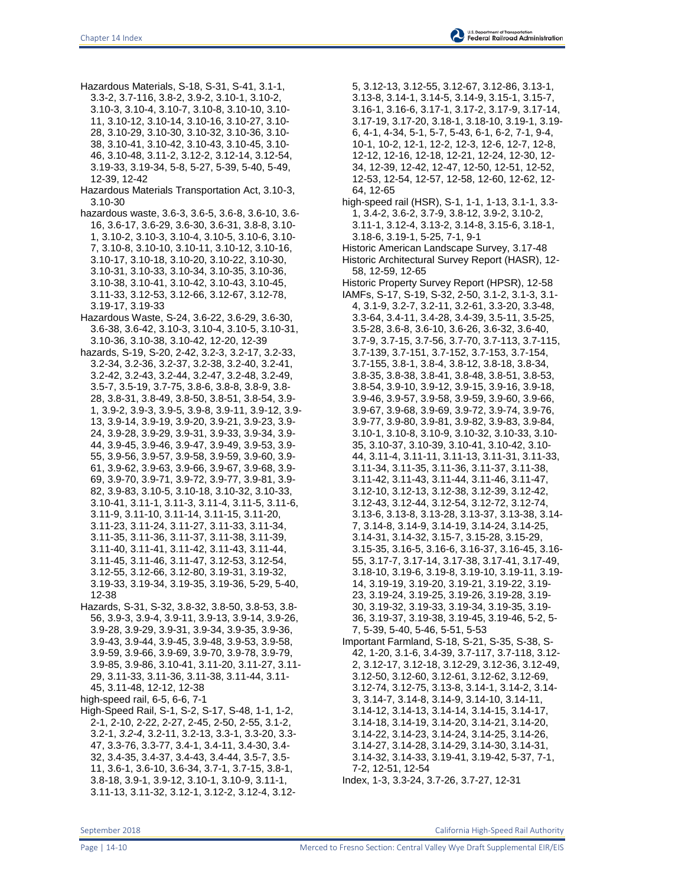Hazardous Materials, S-18, S-31, S-41, 3.1-1, 3.3-2, 3.7-116, 3.8-2, 3.9-2, 3.10-1, 3.10-2, 3.10-3, 3.10-4, 3.10-7, 3.10-8, 3.10-10, 3.10- 11, 3.10-12, 3.10-14, 3.10-16, 3.10-27, 3.10- 28, 3.10-29, 3.10-30, 3.10-32, 3.10-36, 3.10- 38, 3.10-41, 3.10-42, 3.10-43, 3.10-45, 3.10- 46, 3.10-48, 3.11-2, 3.12-2, 3.12-14, 3.12-54, 3.19-33, 3.19-34, 5-8, 5-27, 5-39, 5-40, 5-49, 12-39, 12-42

Hazardous Materials Transportation Act, 3.10-3, 3.10-30

hazardous waste, 3.6-3, 3.6-5, 3.6-8, 3.6-10, 3.6- 16, 3.6-17, 3.6-29, 3.6-30, 3.6-31, 3.8-8, 3.10- 1, 3.10-2, 3.10-3, 3.10-4, 3.10-5, 3.10-6, 3.10- 7, 3.10-8, 3.10-10, 3.10-11, 3.10-12, 3.10-16, 3.10-17, 3.10-18, 3.10-20, 3.10-22, 3.10-30, 3.10-31, 3.10-33, 3.10-34, 3.10-35, 3.10-36, 3.10-38, 3.10-41, 3.10-42, 3.10-43, 3.10-45, 3.11-33, 3.12-53, 3.12-66, 3.12-67, 3.12-78, 3.19-17, 3.19-33

Hazardous Waste, S-24, 3.6-22, 3.6-29, 3.6-30, 3.6-38, 3.6-42, 3.10-3, 3.10-4, 3.10-5, 3.10-31, 3.10-36, 3.10-38, 3.10-42, 12-20, 12-39

hazards, S-19, S-20, 2-42, 3.2-3, 3.2-17, 3.2-33, 3.2-34, 3.2-36, 3.2-37, 3.2-38, 3.2-40, 3.2-41, 3.2-42, 3.2-43, 3.2-44, 3.2-47, 3.2-48, 3.2-49, 3.5-7, 3.5-19, 3.7-75, 3.8-6, 3.8-8, 3.8-9, 3.8- 28, 3.8-31, 3.8-49, 3.8-50, 3.8-51, 3.8-54, 3.9- 1, 3.9-2, 3.9-3, 3.9-5, 3.9-8, 3.9-11, 3.9-12, 3.9- 13, 3.9-14, 3.9-19, 3.9-20, 3.9-21, 3.9-23, 3.9- 24, 3.9-28, 3.9-29, 3.9-31, 3.9-33, 3.9-34, 3.9- 44, 3.9-45, 3.9-46, 3.9-47, 3.9-49, 3.9-53, 3.9- 55, 3.9-56, 3.9-57, 3.9-58, 3.9-59, 3.9-60, 3.9- 61, 3.9-62, 3.9-63, 3.9-66, 3.9-67, 3.9-68, 3.9- 69, 3.9-70, 3.9-71, 3.9-72, 3.9-77, 3.9-81, 3.9- 82, 3.9-83, 3.10-5, 3.10-18, 3.10-32, 3.10-33, 3.10-41, 3.11-1, 3.11-3, 3.11-4, 3.11-5, 3.11-6, 3.11-9, 3.11-10, 3.11-14, 3.11-15, 3.11-20, 3.11-23, 3.11-24, 3.11-27, 3.11-33, 3.11-34, 3.11-35, 3.11-36, 3.11-37, 3.11-38, 3.11-39, 3.11-40, 3.11-41, 3.11-42, 3.11-43, 3.11-44, 3.11-45, 3.11-46, 3.11-47, 3.12-53, 3.12-54, 3.12-55, 3.12-66, 3.12-80, 3.19-31, 3.19-32, 3.19-33, 3.19-34, 3.19-35, 3.19-36, 5-29, 5-40, 12-38

Hazards, S-31, S-32, 3.8-32, 3.8-50, 3.8-53, 3.8- 56, 3.9-3, 3.9-4, 3.9-11, 3.9-13, 3.9-14, 3.9-26, 3.9-28, 3.9-29, 3.9-31, 3.9-34, 3.9-35, 3.9-36, 3.9-43, 3.9-44, 3.9-45, 3.9-48, 3.9-53, 3.9-58, 3.9-59, 3.9-66, 3.9-69, 3.9-70, 3.9-78, 3.9-79, 3.9-85, 3.9-86, 3.10-41, 3.11-20, 3.11-27, 3.11- 29, 3.11-33, 3.11-36, 3.11-38, 3.11-44, 3.11- 45, 3.11-48, 12-12, 12-38

high-speed rail, 6-5, 6-6, 7-1

High-Speed Rail, S-1, S-2, S-17, S-48, 1-1, 1-2, 2-1, 2-10, 2-22, 2-27, 2-45, 2-50, 2-55, 3.1-2, 3.2-1, *3.2-4*, 3.2-11, 3.2-13, 3.3-1, 3.3-20, 3.3- 47, 3.3-76, 3.3-77, 3.4-1, 3.4-11, 3.4-30, 3.4- 32, 3.4-35, 3.4-37, 3.4-43, 3.4-44, 3.5-7, 3.5- 11, 3.6-1, 3.6-10, 3.6-34, 3.7-1, 3.7-15, 3.8-1, 3.8-18, 3.9-1, 3.9-12, 3.10-1, 3.10-9, 3.11-1, 3.11-13, 3.11-32, 3.12-1, 3.12-2, 3.12-4, 3.12-

5, 3.12-13, 3.12-55, 3.12-67, 3.12-86, 3.13-1, 3.13-8, 3.14-1, 3.14-5, 3.14-9, 3.15-1, 3.15-7, 3.16-1, 3.16-6, 3.17-1, 3.17-2, 3.17-9, 3.17-14, 3.17-19, 3.17-20, 3.18-1, 3.18-10, 3.19-1, 3.19- 6, 4-1, 4-34, 5-1, 5-7, 5-43, 6-1, 6-2, 7-1, 9-4, 10-1, 10-2, 12-1, 12-2, 12-3, 12-6, 12-7, 12-8, 12-12, 12-16, 12-18, 12-21, 12-24, 12-30, 12- 34, 12-39, 12-42, 12-47, 12-50, 12-51, 12-52, 12-53, 12-54, 12-57, 12-58, 12-60, 12-62, 12- 64, 12-65 high-speed rail (HSR), S-1, 1-1, 1-13, 3.1-1, 3.3- 1, 3.4-2, 3.6-2, 3.7-9, 3.8-12, 3.9-2, 3.10-2, 3.11-1, 3.12-4, 3.13-2, 3.14-8, 3.15-6, 3.18-1, 3.18-6, 3.19-1, 5-25, 7-1, 9-1 Historic American Landscape Survey, 3.17-48 Historic Architectural Survey Report (HASR), 12- 58, 12-59, 12-65 Historic Property Survey Report (HPSR), 12-58 IAMFs, S-17, S-19, S-32, 2-50, 3.1-2, 3.1-3, 3.1- 4, 3.1-9, 3.2-7, 3.2-11, 3.2-61, 3.3-20, 3.3-48, 3.3-64, 3.4-11, 3.4-28, 3.4-39, 3.5-11, 3.5-25, 3.5-28, 3.6-8, 3.6-10, 3.6-26, 3.6-32, 3.6-40, 3.7-9, 3.7-15, 3.7-56, 3.7-70, 3.7-113, 3.7-115, 3.7-139, 3.7-151, 3.7-152, 3.7-153, 3.7-154, 3.7-155, 3.8-1, 3.8-4, 3.8-12, 3.8-18, 3.8-34, 3.8-35, 3.8-38, 3.8-41, 3.8-48, 3.8-51, 3.8-53, 3.8-54, 3.9-10, 3.9-12, 3.9-15, 3.9-16, 3.9-18, 3.9-46, 3.9-57, 3.9-58, 3.9-59, 3.9-60, 3.9-66, 3.9-67, 3.9-68, 3.9-69, 3.9-72, 3.9-74, 3.9-76, 3.9-77, 3.9-80, 3.9-81, 3.9-82, 3.9-83, 3.9-84, 3.10-1, 3.10-8, 3.10-9, 3.10-32, 3.10-33, 3.10- 35, 3.10-37, 3.10-39, 3.10-41, 3.10-42, 3.10- 44, 3.11-4, 3.11-11, 3.11-13, 3.11-31, 3.11-33, 3.11-34, 3.11-35, 3.11-36, 3.11-37, 3.11-38, 3.11-42, 3.11-43, 3.11-44, 3.11-46, 3.11-47, 3.12-10, 3.12-13, 3.12-38, 3.12-39, 3.12-42, 3.12-43, 3.12-44, 3.12-54, 3.12-72, 3.12-74, 3.13-6, 3.13-8, 3.13-28, 3.13-37, 3.13-38, 3.14- 7, 3.14-8, 3.14-9, 3.14-19, 3.14-24, 3.14-25, 3.14-31, 3.14-32, 3.15-7, 3.15-28, 3.15-29, 3.15-35, 3.16-5, 3.16-6, 3.16-37, 3.16-45, 3.16- 55, 3.17-7, 3.17-14, 3.17-38, 3.17-41, 3.17-49, 3.18-10, 3.19-6, 3.19-8, 3.19-10, 3.19-11, 3.19- 14, 3.19-19, 3.19-20, 3.19-21, 3.19-22, 3.19- 23, 3.19-24, 3.19-25, 3.19-26, 3.19-28, 3.19- 30, 3.19-32, 3.19-33, 3.19-34, 3.19-35, 3.19-

- 36, 3.19-37, 3.19-38, 3.19-45, 3.19-46, 5-2, 5- 7, 5-39, 5-40, 5-46, 5-51, 5-53 Important Farmland, S-18, S-21, S-35, S-38, S-
- 42, 1-20, 3.1-6, 3.4-39, 3.7-117, 3.7-118, 3.12- 2, 3.12-17, 3.12-18, 3.12-29, 3.12-36, 3.12-49, 3.12-50, 3.12-60, 3.12-61, 3.12-62, 3.12-69, 3.12-74, 3.12-75, 3.13-8, 3.14-1, 3.14-2, 3.14- 3, 3.14-7, 3.14-8, 3.14-9, 3.14-10, 3.14-11, 3.14-12, 3.14-13, 3.14-14, 3.14-15, 3.14-17, 3.14-18, 3.14-19, 3.14-20, 3.14-21, 3.14-20, 3.14-22, 3.14-23, 3.14-24, 3.14-25, 3.14-26, 3.14-27, 3.14-28, 3.14-29, 3.14-30, 3.14-31, 3.14-32, 3.14-33, 3.19-41, 3.19-42, 5-37, 7-1, 7-2, 12-51, 12-54

Index, 1-3, 3.3-24, 3.7-26, 3.7-27, 12-31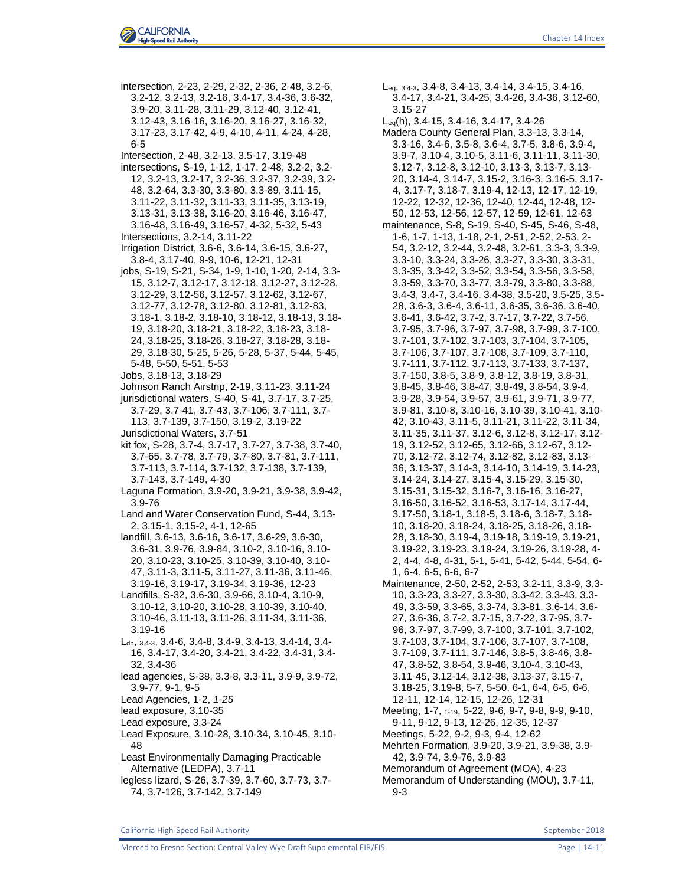intersection, 2-23, 2-29, 2-32, 2-36, 2-48, 3.2-6, 3.2-12, 3.2-13, 3.2-16, 3.4-17, 3.4-36, 3.6-32, 3.9-20, 3.11-28, 3.11-29, 3.12-40, 3.12-41, 3.12-43, 3.16-16, 3.16-20, 3.16-27, 3.16-32, 3.17-23, 3.17-42, 4-9, 4-10, 4-11, 4-24, 4-28, 6-5 Intersection, 2-48, 3.2-13, 3.5-17, 3.19-48 intersections, S-19, 1-12, 1-17, 2-48, 3.2-2, 3.2- 12, 3.2-13, 3.2-17, 3.2-36, 3.2-37, 3.2-39, 3.2- 48, 3.2-64, 3.3-30, 3.3-80, 3.3-89, 3.11-15, 3.11-22, 3.11-32, 3.11-33, 3.11-35, 3.13-19, 3.13-31, 3.13-38, 3.16-20, 3.16-46, 3.16-47, 3.16-48, 3.16-49, 3.16-57, 4-32, 5-32, 5-43 Intersections, 3.2-14, 3.11-22 Irrigation District, 3.6-6, 3.6-14, 3.6-15, 3.6-27, 3.8-4, 3.17-40, 9-9, 10-6, 12-21, 12-31 jobs, S-19, S-21, S-34, 1-9, 1-10, 1-20, 2-14, 3.3- 15, 3.12-7, 3.12-17, 3.12-18, 3.12-27, 3.12-28, 3.12-29, 3.12-56, 3.12-57, 3.12-62, 3.12-67, 3.12-77, 3.12-78, 3.12-80, 3.12-81, 3.12-83, 3.18-1, 3.18-2, 3.18-10, 3.18-12, 3.18-13, 3.18- 19, 3.18-20, 3.18-21, 3.18-22, 3.18-23, 3.18- 24, 3.18-25, 3.18-26, 3.18-27, 3.18-28, 3.18- 29, 3.18-30, 5-25, 5-26, 5-28, 5-37, 5-44, 5-45, 5-48, 5-50, 5-51, 5-53 Jobs, 3.18-13, 3.18-29 Johnson Ranch Airstrip, 2-19, 3.11-23, 3.11-24 jurisdictional waters, S-40, S-41, 3.7-17, 3.7-25, 3.7-29, 3.7-41, 3.7-43, 3.7-106, 3.7-111, 3.7- 113, 3.7-139, 3.7-150, 3.19-2, 3.19-22 Jurisdictional Waters, 3.7-51 kit fox, S-28, 3.7-4, 3.7-17, 3.7-27, 3.7-38, 3.7-40, 3.7-65, 3.7-78, 3.7-79, 3.7-80, 3.7-81, 3.7-111, 3.7-113, 3.7-114, 3.7-132, 3.7-138, 3.7-139, 3.7-143, 3.7-149, 4-30 Laguna Formation, 3.9-20, 3.9-21, 3.9-38, 3.9-42, 3.9-76 Land and Water Conservation Fund, S-44, 3.13- 2, 3.15-1, 3.15-2, 4-1, 12-65 landfill, 3.6-13, 3.6-16, 3.6-17, 3.6-29, 3.6-30, 3.6-31, 3.9-76, 3.9-84, 3.10-2, 3.10-16, 3.10- 20, 3.10-23, 3.10-25, 3.10-39, 3.10-40, 3.10- 47, 3.11-3, 3.11-5, 3.11-27, 3.11-36, 3.11-46, 3.19-16, 3.19-17, 3.19-34, 3.19-36, 12-23 Landfills, S-32, 3.6-30, 3.9-66, 3.10-4, 3.10-9, 3.10-12, 3.10-20, 3.10-28, 3.10-39, 3.10-40, 3.10-46, 3.11-13, 3.11-26, 3.11-34, 3.11-36, 3.19-16 Ldn, 3.4-3, 3.4-6, 3.4-8, 3.4-9, 3.4-13, 3.4-14, 3.4- 16, 3.4-17, 3.4-20, 3.4-21, 3.4-22, 3.4-31, 3.4- 32, 3.4-36 lead agencies, S-38, 3.3-8, 3.3-11, 3.9-9, 3.9-72, 3.9-77, 9-1, 9-5 Lead Agencies, 1-2, *1-25* lead exposure, 3.10-35 Lead exposure, 3.3-24 Lead Exposure, 3.10-28, 3.10-34, 3.10-45, 3.10- 48 Least Environmentally Damaging Practicable Alternative (LEDPA), 3.7-11 legless lizard, S-26, 3.7-39, 3.7-60, 3.7-73, 3.7- 74, 3.7-126, 3.7-142, 3.7-149

Leq, 3.4-3, 3.4-8, 3.4-13, 3.4-14, 3.4-15, 3.4-16, 3.4-17, 3.4-21, 3.4-25, 3.4-26, 3.4-36, 3.12-60, 3.15-27

Leq(h), 3.4-15, 3.4-16, 3.4-17, 3.4-26

- Madera County General Plan, 3.3-13, 3.3-14, 3.3-16, 3.4-6, 3.5-8, 3.6-4, 3.7-5, 3.8-6, 3.9-4, 3.9-7, 3.10-4, 3.10-5, 3.11-6, 3.11-11, 3.11-30, 3.12-7, 3.12-8, 3.12-10, 3.13-3, 3.13-7, 3.13- 20, 3.14-4, 3.14-7, 3.15-2, 3.16-3, 3.16-5, 3.17- 4, 3.17-7, 3.18-7, 3.19-4, 12-13, 12-17, 12-19, 12-22, 12-32, 12-36, 12-40, 12-44, 12-48, 12- 50, 12-53, 12-56, 12-57, 12-59, 12-61, 12-63
- maintenance, S-8, S-19, S-40, S-45, S-46, S-48, 1-6, 1-7, 1-13, 1-18, 2-1, 2-51, 2-52, 2-53, 2- 54, 3.2-12, 3.2-44, 3.2-48, 3.2-61, 3.3-3, 3.3-9, 3.3-10, 3.3-24, 3.3-26, 3.3-27, 3.3-30, 3.3-31, 3.3-35, 3.3-42, 3.3-52, 3.3-54, 3.3-56, 3.3-58, 3.3-59, 3.3-70, 3.3-77, 3.3-79, 3.3-80, 3.3-88, 3.4-3, 3.4-7, 3.4-16, 3.4-38, 3.5-20, 3.5-25, 3.5- 28, 3.6-3, 3.6-4, 3.6-11, 3.6-35, 3.6-36, 3.6-40, 3.6-41, 3.6-42, 3.7-2, 3.7-17, 3.7-22, 3.7-56, 3.7-95, 3.7-96, 3.7-97, 3.7-98, 3.7-99, 3.7-100, 3.7-101, 3.7-102, 3.7-103, 3.7-104, 3.7-105, 3.7-106, 3.7-107, 3.7-108, 3.7-109, 3.7-110, 3.7-111, 3.7-112, 3.7-113, 3.7-133, 3.7-137, 3.7-150, 3.8-5, 3.8-9, 3.8-12, 3.8-19, 3.8-31, 3.8-45, 3.8-46, 3.8-47, 3.8-49, 3.8-54, 3.9-4, 3.9-28, 3.9-54, 3.9-57, 3.9-61, 3.9-71, 3.9-77, 3.9-81, 3.10-8, 3.10-16, 3.10-39, 3.10-41, 3.10- 42, 3.10-43, 3.11-5, 3.11-21, 3.11-22, 3.11-34, 3.11-35, 3.11-37, 3.12-6, 3.12-8, 3.12-17, 3.12- 19, 3.12-52, 3.12-65, 3.12-66, 3.12-67, 3.12- 70, 3.12-72, 3.12-74, 3.12-82, 3.12-83, 3.13- 36, 3.13-37, 3.14-3, 3.14-10, 3.14-19, 3.14-23, 3.14-24, 3.14-27, 3.15-4, 3.15-29, 3.15-30, 3.15-31, 3.15-32, 3.16-7, 3.16-16, 3.16-27, 3.16-50, 3.16-52, 3.16-53, 3.17-14, 3.17-44, 3.17-50, 3.18-1, 3.18-5, 3.18-6, 3.18-7, 3.18- 10, 3.18-20, 3.18-24, 3.18-25, 3.18-26, 3.18- 28, 3.18-30, 3.19-4, 3.19-18, 3.19-19, 3.19-21, 3.19-22, 3.19-23, 3.19-24, 3.19-26, 3.19-28, 4- 2, 4-4, 4-8, 4-31, 5-1, 5-41, 5-42, 5-44, 5-54, 6- 1, 6-4, 6-5, 6-6, 6-7 Maintenance, 2-50, 2-52, 2-53, 3.2-11, 3.3-9, 3.3-
- 10, 3.3-23, 3.3-27, 3.3-30, 3.3-42, 3.3-43, 3.3- 49, 3.3-59, 3.3-65, 3.3-74, 3.3-81, 3.6-14, 3.6- 27, 3.6-36, 3.7-2, 3.7-15, 3.7-22, 3.7-95, 3.7- 96, 3.7-97, 3.7-99, 3.7-100, 3.7-101, 3.7-102, 3.7-103, 3.7-104, 3.7-106, 3.7-107, 3.7-108, 3.7-109, 3.7-111, 3.7-146, 3.8-5, 3.8-46, 3.8- 47, 3.8-52, 3.8-54, 3.9-46, 3.10-4, 3.10-43, 3.11-45, 3.12-14, 3.12-38, 3.13-37, 3.15-7, 3.18-25, 3.19-8, 5-7, 5-50, 6-1, 6-4, 6-5, 6-6, 12-11, 12-14, 12-15, 12-26, 12-31 Meeting, 1-7, 1-19, 5-22, 9-6, 9-7, 9-8, 9-9, 9-10,
- 9-11, 9-12, 9-13, 12-26, 12-35, 12-37 Meetings, 5-22, 9-2, 9-3, 9-4, 12-62 Mehrten Formation, 3.9-20, 3.9-21, 3.9-38, 3.9- 42, 3.9-74, 3.9-76, 3.9-83
- Memorandum of Agreement (MOA), 4-23 Memorandum of Understanding (MOU), 3.7-11, 9-3

California High-Speed Rail Authority September 2018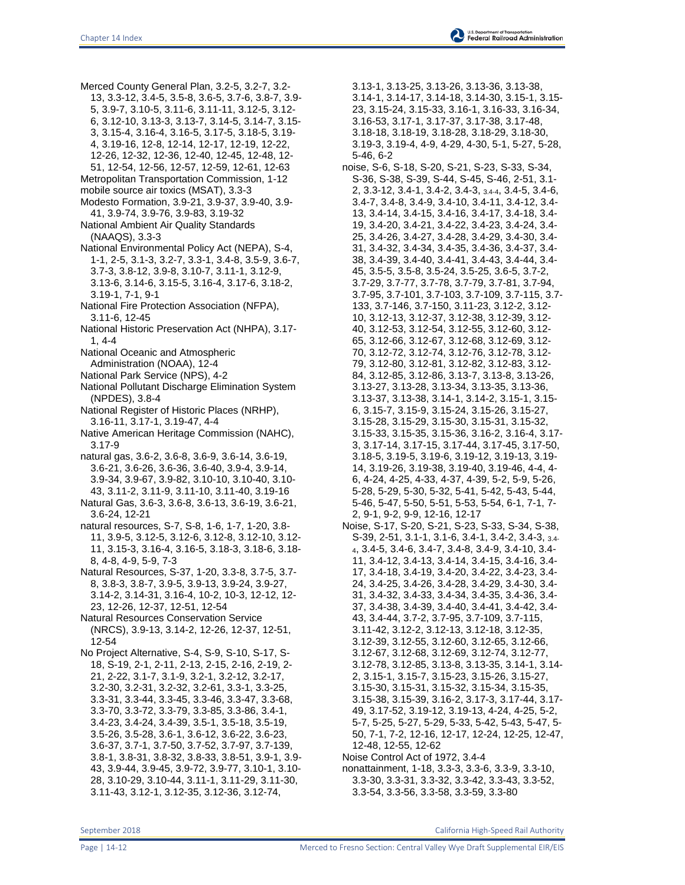- Merced County General Plan, 3.2-5, 3.2-7, 3.2- 13, 3.3-12, 3.4-5, 3.5-8, 3.6-5, 3.7-6, 3.8-7, 3.9- 5, 3.9-7, 3.10-5, 3.11-6, 3.11-11, 3.12-5, 3.12- 6, 3.12-10, 3.13-3, 3.13-7, 3.14-5, 3.14-7, 3.15- 3, 3.15-4, 3.16-4, 3.16-5, 3.17-5, 3.18-5, 3.19- 4, 3.19-16, 12-8, 12-14, 12-17, 12-19, 12-22, 12-26, 12-32, 12-36, 12-40, 12-45, 12-48, 12- 51, 12-54, 12-56, 12-57, 12-59, 12-61, 12-63
- Metropolitan Transportation Commission, 1-12
- mobile source air toxics (MSAT), 3.3-3 Modesto Formation, 3.9-21, 3.9-37, 3.9-40, 3.9- 41, 3.9-74, 3.9-76, 3.9-83, 3.19-32
- National Ambient Air Quality Standards (NAAQS), 3.3-3
- National Environmental Policy Act (NEPA), S-4, 1-1, 2-5, 3.1-3, 3.2-7, 3.3-1, 3.4-8, 3.5-9, 3.6-7, 3.7-3, 3.8-12, 3.9-8, 3.10-7, 3.11-1, 3.12-9, 3.13-6, 3.14-6, 3.15-5, 3.16-4, 3.17-6, 3.18-2, 3.19-1, 7-1, 9-1
- National Fire Protection Association (NFPA), 3.11-6, 12-45
- National Historic Preservation Act (NHPA), 3.17- 1, 4-4
- National Oceanic and Atmospheric
- Administration (NOAA), 12-4
- National Park Service (NPS), 4-2
- National Pollutant Discharge Elimination System (NPDES), 3.8-4
- National Register of Historic Places (NRHP), 3.16-11, 3.17-1, 3.19-47, 4-4
- Native American Heritage Commission (NAHC), 3.17-9
- natural gas, 3.6-2, 3.6-8, 3.6-9, 3.6-14, 3.6-19, 3.6-21, 3.6-26, 3.6-36, 3.6-40, 3.9-4, 3.9-14, 3.9-34, 3.9-67, 3.9-82, 3.10-10, 3.10-40, 3.10- 43, 3.11-2, 3.11-9, 3.11-10, 3.11-40, 3.19-16
- Natural Gas, 3.6-3, 3.6-8, 3.6-13, 3.6-19, 3.6-21, 3.6-24, 12-21
- natural resources, S-7, S-8, 1-6, 1-7, 1-20, 3.8- 11, 3.9-5, 3.12-5, 3.12-6, 3.12-8, 3.12-10, 3.12- 11, 3.15-3, 3.16-4, 3.16-5, 3.18-3, 3.18-6, 3.18- 8, 4-8, 4-9, 5-9, 7-3
- Natural Resources, S-37, 1-20, 3.3-8, 3.7-5, 3.7- 8, 3.8-3, 3.8-7, 3.9-5, 3.9-13, 3.9-24, 3.9-27, 3.14-2, 3.14-31, 3.16-4, 10-2, 10-3, 12-12, 12- 23, 12-26, 12-37, 12-51, 12-54
- Natural Resources Conservation Service (NRCS), 3.9-13, 3.14-2, 12-26, 12-37, 12-51, 12-54
- No Project Alternative, S-4, S-9, S-10, S-17, S-18, S-19, 2-1, 2-11, 2-13, 2-15, 2-16, 2-19, 2- 21, 2-22, 3.1-7, 3.1-9, 3.2-1, 3.2-12, 3.2-17, 3.2-30, 3.2-31, 3.2-32, 3.2-61, 3.3-1, 3.3-25, 3.3-31, 3.3-44, 3.3-45, 3.3-46, 3.3-47, 3.3-68, 3.3-70, 3.3-72, 3.3-79, 3.3-85, 3.3-86, 3.4-1, 3.4-23, 3.4-24, 3.4-39, 3.5-1, 3.5-18, 3.5-19, 3.5-26, 3.5-28, 3.6-1, 3.6-12, 3.6-22, 3.6-23, 3.6-37, 3.7-1, 3.7-50, 3.7-52, 3.7-97, 3.7-139, 3.8-1, 3.8-31, 3.8-32, 3.8-33, 3.8-51, 3.9-1, 3.9- 43, 3.9-44, 3.9-45, 3.9-72, 3.9-77, 3.10-1, 3.10- 28, 3.10-29, 3.10-44, 3.11-1, 3.11-29, 3.11-30, 3.11-43, 3.12-1, 3.12-35, 3.12-36, 3.12-74,
- 3.13-1, 3.13-25, 3.13-26, 3.13-36, 3.13-38, 3.14-1, 3.14-17, 3.14-18, 3.14-30, 3.15-1, 3.15- 23, 3.15-24, 3.15-33, 3.16-1, 3.16-33, 3.16-34, 3.16-53, 3.17-1, 3.17-37, 3.17-38, 3.17-48, 3.18-18, 3.18-19, 3.18-28, 3.18-29, 3.18-30, 3.19-3, 3.19-4, 4-9, 4-29, 4-30, 5-1, 5-27, 5-28, 5-46, 6-2
- noise, S-6, S-18, S-20, S-21, S-23, S-33, S-34, S-36, S-38, S-39, S-44, S-45, S-46, 2-51, 3.1- 2, 3.3-12, 3.4-1, 3.4-2, 3.4-3, 3.4-4, 3.4-5, 3.4-6, 3.4-7, 3.4-8, 3.4-9, 3.4-10, 3.4-11, 3.4-12, 3.4- 13, 3.4-14, 3.4-15, 3.4-16, 3.4-17, 3.4-18, 3.4- 19, 3.4-20, 3.4-21, 3.4-22, 3.4-23, 3.4-24, 3.4- 25, 3.4-26, 3.4-27, 3.4-28, 3.4-29, 3.4-30, 3.4- 31, 3.4-32, 3.4-34, 3.4-35, 3.4-36, 3.4-37, 3.4- 38, 3.4-39, 3.4-40, 3.4-41, 3.4-43, 3.4-44, 3.4- 45, 3.5-5, 3.5-8, 3.5-24, 3.5-25, 3.6-5, 3.7-2, 3.7-29, 3.7-77, 3.7-78, 3.7-79, 3.7-81, 3.7-94, 3.7-95, 3.7-101, 3.7-103, 3.7-109, 3.7-115, 3.7- 133, 3.7-146, 3.7-150, 3.11-23, 3.12-2, 3.12- 10, 3.12-13, 3.12-37, 3.12-38, 3.12-39, 3.12- 40, 3.12-53, 3.12-54, 3.12-55, 3.12-60, 3.12- 65, 3.12-66, 3.12-67, 3.12-68, 3.12-69, 3.12- 70, 3.12-72, 3.12-74, 3.12-76, 3.12-78, 3.12- 79, 3.12-80, 3.12-81, 3.12-82, 3.12-83, 3.12- 84, 3.12-85, 3.12-86, 3.13-7, 3.13-8, 3.13-26, 3.13-27, 3.13-28, 3.13-34, 3.13-35, 3.13-36, 3.13-37, 3.13-38, 3.14-1, 3.14-2, 3.15-1, 3.15- 6, 3.15-7, 3.15-9, 3.15-24, 3.15-26, 3.15-27, 3.15-28, 3.15-29, 3.15-30, 3.15-31, 3.15-32, 3.15-33, 3.15-35, 3.15-36, 3.16-2, 3.16-4, 3.17- 3, 3.17-14, 3.17-15, 3.17-44, 3.17-45, 3.17-50, 3.18-5, 3.19-5, 3.19-6, 3.19-12, 3.19-13, 3.19- 14, 3.19-26, 3.19-38, 3.19-40, 3.19-46, 4-4, 4- 6, 4-24, 4-25, 4-33, 4-37, 4-39, 5-2, 5-9, 5-26, 5-28, 5-29, 5-30, 5-32, 5-41, 5-42, 5-43, 5-44, 5-46, 5-47, 5-50, 5-51, 5-53, 5-54, 6-1, 7-1, 7- 2, 9-1, 9-2, 9-9, 12-16, 12-17
- Noise, S-17, S-20, S-21, S-23, S-33, S-34, S-38, S-39, 2-51, 3.1-1, 3.1-6, 3.4-1, 3.4-2, 3.4-3, 3.4- <sup>4</sup>, 3.4-5, 3.4-6, 3.4-7, 3.4-8, 3.4-9, 3.4-10, 3.4- 11, 3.4-12, 3.4-13, 3.4-14, 3.4-15, 3.4-16, 3.4- 17, 3.4-18, 3.4-19, 3.4-20, 3.4-22, 3.4-23, 3.4- 24, 3.4-25, 3.4-26, 3.4-28, 3.4-29, 3.4-30, 3.4- 31, 3.4-32, 3.4-33, 3.4-34, 3.4-35, 3.4-36, 3.4- 37, 3.4-38, 3.4-39, 3.4-40, 3.4-41, 3.4-42, 3.4- 43, 3.4-44, 3.7-2, 3.7-95, 3.7-109, 3.7-115, 3.11-42, 3.12-2, 3.12-13, 3.12-18, 3.12-35, 3.12-39, 3.12-55, 3.12-60, 3.12-65, 3.12-66, 3.12-67, 3.12-68, 3.12-69, 3.12-74, 3.12-77, 3.12-78, 3.12-85, 3.13-8, 3.13-35, 3.14-1, 3.14- 2, 3.15-1, 3.15-7, 3.15-23, 3.15-26, 3.15-27, 3.15-30, 3.15-31, 3.15-32, 3.15-34, 3.15-35, 3.15-38, 3.15-39, 3.16-2, 3.17-3, 3.17-44, 3.17- 49, 3.17-52, 3.19-12, 3.19-13, 4-24, 4-25, 5-2, 5-7, 5-25, 5-27, 5-29, 5-33, 5-42, 5-43, 5-47, 5- 50, 7-1, 7-2, 12-16, 12-17, 12-24, 12-25, 12-47, 12-48, 12-55, 12-62
- Noise Control Act of 1972, 3.4-4
- nonattainment, 1-18, 3.3-3, 3.3-6, 3.3-9, 3.3-10, 3.3-30, 3.3-31, 3.3-32, 3.3-42, 3.3-43, 3.3-52, 3.3-54, 3.3-56, 3.3-58, 3.3-59, 3.3-80

September 2018 California High-Speed Rail Authority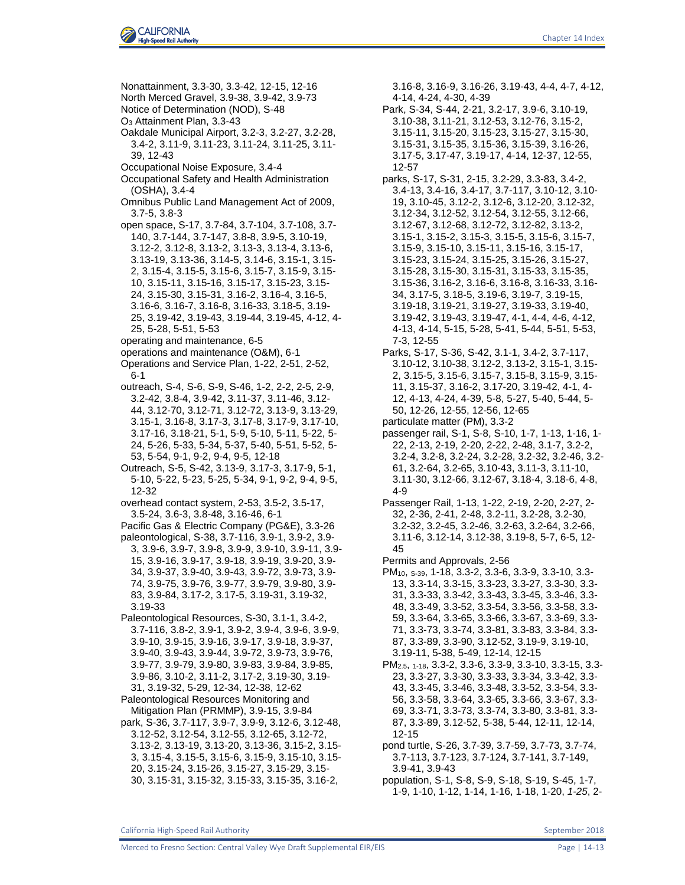

Nonattainment, 3.3-30, 3.3-42, 12-15, 12-16 North Merced Gravel, 3.9-38, 3.9-42, 3.9-73 Notice of Determination (NOD), S-48 O<sup>3</sup> Attainment Plan, 3.3-43 Oakdale Municipal Airport, 3.2-3, 3.2-27, 3.2-28, 3.4-2, 3.11-9, 3.11-23, 3.11-24, 3.11-25, 3.11- 39, 12-43 Occupational Noise Exposure, 3.4-4 Occupational Safety and Health Administration (OSHA), 3.4-4 Omnibus Public Land Management Act of 2009, 3.7-5, 3.8-3 open space, S-17, 3.7-84, 3.7-104, 3.7-108, 3.7- 140, 3.7-144, 3.7-147, 3.8-8, 3.9-5, 3.10-19, 3.12-2, 3.12-8, 3.13-2, 3.13-3, 3.13-4, 3.13-6, 3.13-19, 3.13-36, 3.14-5, 3.14-6, 3.15-1, 3.15- 2, 3.15-4, 3.15-5, 3.15-6, 3.15-7, 3.15-9, 3.15- 10, 3.15-11, 3.15-16, 3.15-17, 3.15-23, 3.15- 24, 3.15-30, 3.15-31, 3.16-2, 3.16-4, 3.16-5, 3.16-6, 3.16-7, 3.16-8, 3.16-33, 3.18-5, 3.19- 25, 3.19-42, 3.19-43, 3.19-44, 3.19-45, 4-12, 4- 25, 5-28, 5-51, 5-53 operating and maintenance, 6-5 operations and maintenance (O&M), 6-1 Operations and Service Plan, 1-22, 2-51, 2-52, 6-1 outreach, S-4, S-6, S-9, S-46, 1-2, 2-2, 2-5, 2-9, 3.2-42, 3.8-4, 3.9-42, 3.11-37, 3.11-46, 3.12- 44, 3.12-70, 3.12-71, 3.12-72, 3.13-9, 3.13-29, 3.15-1, 3.16-8, 3.17-3, 3.17-8, 3.17-9, 3.17-10, 3.17-16, 3.18-21, 5-1, 5-9, 5-10, 5-11, 5-22, 5- 24, 5-26, 5-33, 5-34, 5-37, 5-40, 5-51, 5-52, 5- 53, 5-54, 9-1, 9-2, 9-4, 9-5, 12-18 Outreach, S-5, S-42, 3.13-9, 3.17-3, 3.17-9, 5-1, 5-10, 5-22, 5-23, 5-25, 5-34, 9-1, 9-2, 9-4, 9-5, 12-32 overhead contact system, 2-53, 3.5-2, 3.5-17, 3.5-24, 3.6-3, 3.8-48, 3.16-46, 6-1 Pacific Gas & Electric Company (PG&E), 3.3-26 paleontological, S-38, 3.7-116, 3.9-1, 3.9-2, 3.9- 3, 3.9-6, 3.9-7, 3.9-8, 3.9-9, 3.9-10, 3.9-11, 3.9- 15, 3.9-16, 3.9-17, 3.9-18, 3.9-19, 3.9-20, 3.9- 34, 3.9-37, 3.9-40, 3.9-43, 3.9-72, 3.9-73, 3.9- 74, 3.9-75, 3.9-76, 3.9-77, 3.9-79, 3.9-80, 3.9- 83, 3.9-84, 3.17-2, 3.17-5, 3.19-31, 3.19-32, 3.19-33 Paleontological Resources, S-30, 3.1-1, 3.4-2, 3.7-116, 3.8-2, 3.9-1, 3.9-2, 3.9-4, 3.9-6, 3.9-9, 3.9-10, 3.9-15, 3.9-16, 3.9-17, 3.9-18, 3.9-37, 3.9-40, 3.9-43, 3.9-44, 3.9-72, 3.9-73, 3.9-76, 3.9-77, 3.9-79, 3.9-80, 3.9-83, 3.9-84, 3.9-85, 3.9-86, 3.10-2, 3.11-2, 3.17-2, 3.19-30, 3.19- 31, 3.19-32, 5-29, 12-34, 12-38, 12-62 Paleontological Resources Monitoring and Mitigation Plan (PRMMP), 3.9-15, 3.9-84 park, S-36, 3.7-117, 3.9-7, 3.9-9, 3.12-6, 3.12-48, 3.12-52, 3.12-54, 3.12-55, 3.12-65, 3.12-72, 3.13-2, 3.13-19, 3.13-20, 3.13-36, 3.15-2, 3.15- 3, 3.15-4, 3.15-5, 3.15-6, 3.15-9, 3.15-10, 3.15- 20, 3.15-24, 3.15-26, 3.15-27, 3.15-29, 3.15-

3.16-8, 3.16-9, 3.16-26, 3.19-43, 4-4, 4-7, 4-12, 4-14, 4-24, 4-30, 4-39

- Park, S-34, S-44, 2-21, 3.2-17, 3.9-6, 3.10-19, 3.10-38, 3.11-21, 3.12-53, 3.12-76, 3.15-2, 3.15-11, 3.15-20, 3.15-23, 3.15-27, 3.15-30, 3.15-31, 3.15-35, 3.15-36, 3.15-39, 3.16-26, 3.17-5, 3.17-47, 3.19-17, 4-14, 12-37, 12-55, 12-57
- parks, S-17, S-31, 2-15, 3.2-29, 3.3-83, 3.4-2, 3.4-13, 3.4-16, 3.4-17, 3.7-117, 3.10-12, 3.10- 19, 3.10-45, 3.12-2, 3.12-6, 3.12-20, 3.12-32, 3.12-34, 3.12-52, 3.12-54, 3.12-55, 3.12-66, 3.12-67, 3.12-68, 3.12-72, 3.12-82, 3.13-2, 3.15-1, 3.15-2, 3.15-3, 3.15-5, 3.15-6, 3.15-7, 3.15-9, 3.15-10, 3.15-11, 3.15-16, 3.15-17, 3.15-23, 3.15-24, 3.15-25, 3.15-26, 3.15-27, 3.15-28, 3.15-30, 3.15-31, 3.15-33, 3.15-35, 3.15-36, 3.16-2, 3.16-6, 3.16-8, 3.16-33, 3.16- 34, 3.17-5, 3.18-5, 3.19-6, 3.19-7, 3.19-15, 3.19-18, 3.19-21, 3.19-27, 3.19-33, 3.19-40, 3.19-42, 3.19-43, 3.19-47, 4-1, 4-4, 4-6, 4-12, 4-13, 4-14, 5-15, 5-28, 5-41, 5-44, 5-51, 5-53, 7-3, 12-55
- Parks, S-17, S-36, S-42, 3.1-1, 3.4-2, 3.7-117, 3.10-12, 3.10-38, 3.12-2, 3.13-2, 3.15-1, 3.15- 2, 3.15-5, 3.15-6, 3.15-7, 3.15-8, 3.15-9, 3.15- 11, 3.15-37, 3.16-2, 3.17-20, 3.19-42, 4-1, 4- 12, 4-13, 4-24, 4-39, 5-8, 5-27, 5-40, 5-44, 5- 50, 12-26, 12-55, 12-56, 12-65 particulate matter (PM), 3.3-2
- passenger rail, S-1, S-8, S-10, 1-7, 1-13, 1-16, 1- 22, 2-13, 2-19, 2-20, 2-22, 2-48, 3.1-7, 3.2-2, 3.2-4, 3.2-8, 3.2-24, 3.2-28, 3.2-32, 3.2-46, 3.2- 61, 3.2-64, 3.2-65, 3.10-43, 3.11-3, 3.11-10, 3.11-30, 3.12-66, 3.12-67, 3.18-4, 3.18-6, 4-8, 4-9
- Passenger Rail, 1-13, 1-22, 2-19, 2-20, 2-27, 2- 32, 2-36, 2-41, 2-48, 3.2-11, 3.2-28, 3.2-30, 3.2-32, 3.2-45, 3.2-46, 3.2-63, 3.2-64, 3.2-66, 3.11-6, 3.12-14, 3.12-38, 3.19-8, 5-7, 6-5, 12- 45
- Permits and Approvals, 2-56
- PM10, S-39, 1-18, 3.3-2, 3.3-6, 3.3-9, 3.3-10, 3.3- 13, 3.3-14, 3.3-15, 3.3-23, 3.3-27, 3.3-30, 3.3- 31, 3.3-33, 3.3-42, 3.3-43, 3.3-45, 3.3-46, 3.3- 48, 3.3-49, 3.3-52, 3.3-54, 3.3-56, 3.3-58, 3.3- 59, 3.3-64, 3.3-65, 3.3-66, 3.3-67, 3.3-69, 3.3- 71, 3.3-73, 3.3-74, 3.3-81, 3.3-83, 3.3-84, 3.3- 87, 3.3-89, 3.3-90, 3.12-52, 3.19-9, 3.19-10, 3.19-11, 5-38, 5-49, 12-14, 12-15

PM2.5, 1-18, 3.3-2, 3.3-6, 3.3-9, 3.3-10, 3.3-15, 3.3- 23, 3.3-27, 3.3-30, 3.3-33, 3.3-34, 3.3-42, 3.3- 43, 3.3-45, 3.3-46, 3.3-48, 3.3-52, 3.3-54, 3.3- 56, 3.3-58, 3.3-64, 3.3-65, 3.3-66, 3.3-67, 3.3- 69, 3.3-71, 3.3-73, 3.3-74, 3.3-80, 3.3-81, 3.3- 87, 3.3-89, 3.12-52, 5-38, 5-44, 12-11, 12-14, 12-15

pond turtle, S-26, 3.7-39, 3.7-59, 3.7-73, 3.7-74, 3.7-113, 3.7-123, 3.7-124, 3.7-141, 3.7-149, 3.9-41, 3.9-43

population, S-1, S-8, S-9, S-18, S-19, S-45, 1-7, 1-9, 1-10, 1-12, 1-14, 1-16, 1-18, 1-20, *1-25*, 2-

30, 3.15-31, 3.15-32, 3.15-33, 3.15-35, 3.16-2,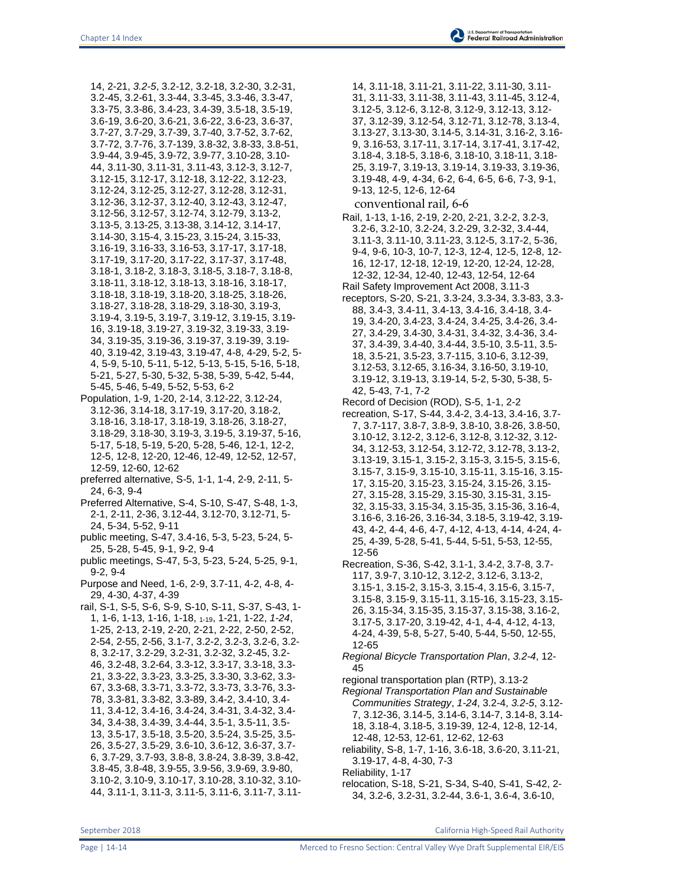14, 2-21, *3.2-5*, 3.2-12, 3.2-18, 3.2-30, 3.2-31, 3.2-45, 3.2-61, 3.3-44, 3.3-45, 3.3-46, 3.3-47, 3.3-75, 3.3-86, 3.4-23, 3.4-39, 3.5-18, 3.5-19, 3.6-19, 3.6-20, 3.6-21, 3.6-22, 3.6-23, 3.6-37, 3.7-27, 3.7-29, 3.7-39, 3.7-40, 3.7-52, 3.7-62, 3.7-72, 3.7-76, 3.7-139, 3.8-32, 3.8-33, 3.8-51, 3.9-44, 3.9-45, 3.9-72, 3.9-77, 3.10-28, 3.10- 44, 3.11-30, 3.11-31, 3.11-43, 3.12-3, 3.12-7, 3.12-15, 3.12-17, 3.12-18, 3.12-22, 3.12-23, 3.12-24, 3.12-25, 3.12-27, 3.12-28, 3.12-31, 3.12-36, 3.12-37, 3.12-40, 3.12-43, 3.12-47, 3.12-56, 3.12-57, 3.12-74, 3.12-79, 3.13-2, 3.13-5, 3.13-25, 3.13-38, 3.14-12, 3.14-17, 3.14-30, 3.15-4, 3.15-23, 3.15-24, 3.15-33, 3.16-19, 3.16-33, 3.16-53, 3.17-17, 3.17-18, 3.17-19, 3.17-20, 3.17-22, 3.17-37, 3.17-48, 3.18-1, 3.18-2, 3.18-3, 3.18-5, 3.18-7, 3.18-8, 3.18-11, 3.18-12, 3.18-13, 3.18-16, 3.18-17, 3.18-18, 3.18-19, 3.18-20, 3.18-25, 3.18-26, 3.18-27, 3.18-28, 3.18-29, 3.18-30, 3.19-3, 3.19-4, 3.19-5, 3.19-7, 3.19-12, 3.19-15, 3.19- 16, 3.19-18, 3.19-27, 3.19-32, 3.19-33, 3.19- 34, 3.19-35, 3.19-36, 3.19-37, 3.19-39, 3.19- 40, 3.19-42, 3.19-43, 3.19-47, 4-8, 4-29, 5-2, 5- 4, 5-9, 5-10, 5-11, 5-12, 5-13, 5-15, 5-16, 5-18, 5-21, 5-27, 5-30, 5-32, 5-38, 5-39, 5-42, 5-44, 5-45, 5-46, 5-49, 5-52, 5-53, 6-2

- Population, 1-9, 1-20, 2-14, 3.12-22, 3.12-24, 3.12-36, 3.14-18, 3.17-19, 3.17-20, 3.18-2, 3.18-16, 3.18-17, 3.18-19, 3.18-26, 3.18-27, 3.18-29, 3.18-30, 3.19-3, 3.19-5, 3.19-37, 5-16, 5-17, 5-18, 5-19, 5-20, 5-28, 5-46, 12-1, 12-2, 12-5, 12-8, 12-20, 12-46, 12-49, 12-52, 12-57, 12-59, 12-60, 12-62
- preferred alternative, S-5, 1-1, 1-4, 2-9, 2-11, 5- 24, 6-3, 9-4
- Preferred Alternative, S-4, S-10, S-47, S-48, 1-3, 2-1, 2-11, 2-36, 3.12-44, 3.12-70, 3.12-71, 5- 24, 5-34, 5-52, 9-11
- public meeting, S-47, 3.4-16, 5-3, 5-23, 5-24, 5- 25, 5-28, 5-45, 9-1, 9-2, 9-4
- public meetings, S-47, 5-3, 5-23, 5-24, 5-25, 9-1, 9-2, 9-4
- Purpose and Need, 1-6, 2-9, 3.7-11, 4-2, 4-8, 4- 29, 4-30, 4-37, 4-39
- rail, S-1, S-5, S-6, S-9, S-10, S-11, S-37, S-43, 1- 1, 1-6, 1-13, 1-16, 1-18, 1-19, 1-21, 1-22, *1-24*, 1-25, 2-13, 2-19, 2-20, 2-21, 2-22, 2-50, 2-52, 2-54, 2-55, 2-56, 3.1-7, 3.2-2, 3.2-3, 3.2-6, 3.2- 8, 3.2-17, 3.2-29, 3.2-31, 3.2-32, 3.2-45, 3.2- 46, 3.2-48, 3.2-64, 3.3-12, 3.3-17, 3.3-18, 3.3- 21, 3.3-22, 3.3-23, 3.3-25, 3.3-30, 3.3-62, 3.3- 67, 3.3-68, 3.3-71, 3.3-72, 3.3-73, 3.3-76, 3.3- 78, 3.3-81, 3.3-82, 3.3-89, 3.4-2, 3.4-10, 3.4- 11, 3.4-12, 3.4-16, 3.4-24, 3.4-31, 3.4-32, 3.4- 34, 3.4-38, 3.4-39, 3.4-44, 3.5-1, 3.5-11, 3.5- 13, 3.5-17, 3.5-18, 3.5-20, 3.5-24, 3.5-25, 3.5- 26, 3.5-27, 3.5-29, 3.6-10, 3.6-12, 3.6-37, 3.7- 6, 3.7-29, 3.7-93, 3.8-8, 3.8-24, 3.8-39, 3.8-42, 3.8-45, 3.8-48, 3.9-55, 3.9-56, 3.9-69, 3.9-80, 3.10-2, 3.10-9, 3.10-17, 3.10-28, 3.10-32, 3.10- 44, 3.11-1, 3.11-3, 3.11-5, 3.11-6, 3.11-7, 3.11-

14, 3.11-18, 3.11-21, 3.11-22, 3.11-30, 3.11- 31, 3.11-33, 3.11-38, 3.11-43, 3.11-45, 3.12-4, 3.12-5, 3.12-6, 3.12-8, 3.12-9, 3.12-13, 3.12- 37, 3.12-39, 3.12-54, 3.12-71, 3.12-78, 3.13-4, 3.13-27, 3.13-30, 3.14-5, 3.14-31, 3.16-2, 3.16- 9, 3.16-53, 3.17-11, 3.17-14, 3.17-41, 3.17-42, 3.18-4, 3.18-5, 3.18-6, 3.18-10, 3.18-11, 3.18- 25, 3.19-7, 3.19-13, 3.19-14, 3.19-33, 3.19-36, 3.19-48, 4-9, 4-34, 6-2, 6-4, 6-5, 6-6, 7-3, 9-1, 9-13, 12-5, 12-6, 12-64

- conventional rail, 6-6
- Rail, 1-13, 1-16, 2-19, 2-20, 2-21, 3.2-2, 3.2-3, 3.2-6, 3.2-10, 3.2-24, 3.2-29, 3.2-32, 3.4-44, 3.11-3, 3.11-10, 3.11-23, 3.12-5, 3.17-2, 5-36, 9-4, 9-6, 10-3, 10-7, 12-3, 12-4, 12-5, 12-8, 12- 16, 12-17, 12-18, 12-19, 12-20, 12-24, 12-28, 12-32, 12-34, 12-40, 12-43, 12-54, 12-64
- Rail Safety Improvement Act 2008, 3.11-3 receptors, S-20, S-21, 3.3-24, 3.3-34, 3.3-83, 3.3- 88, 3.4-3, 3.4-11, 3.4-13, 3.4-16, 3.4-18, 3.4- 19, 3.4-20, 3.4-23, 3.4-24, 3.4-25, 3.4-26, 3.4- 27, 3.4-29, 3.4-30, 3.4-31, 3.4-32, 3.4-36, 3.4- 37, 3.4-39, 3.4-40, 3.4-44, 3.5-10, 3.5-11, 3.5- 18, 3.5-21, 3.5-23, 3.7-115, 3.10-6, 3.12-39, 3.12-53, 3.12-65, 3.16-34, 3.16-50, 3.19-10, 3.19-12, 3.19-13, 3.19-14, 5-2, 5-30, 5-38, 5-
- 42, 5-43, 7-1, 7-2 Record of Decision (ROD), S-5, 1-1, 2-2
- recreation, S-17, S-44, 3.4-2, 3.4-13, 3.4-16, 3.7- 7, 3.7-117, 3.8-7, 3.8-9, 3.8-10, 3.8-26, 3.8-50, 3.10-12, 3.12-2, 3.12-6, 3.12-8, 3.12-32, 3.12- 34, 3.12-53, 3.12-54, 3.12-72, 3.12-78, 3.13-2, 3.13-19, 3.15-1, 3.15-2, 3.15-3, 3.15-5, 3.15-6, 3.15-7, 3.15-9, 3.15-10, 3.15-11, 3.15-16, 3.15- 17, 3.15-20, 3.15-23, 3.15-24, 3.15-26, 3.15- 27, 3.15-28, 3.15-29, 3.15-30, 3.15-31, 3.15- 32, 3.15-33, 3.15-34, 3.15-35, 3.15-36, 3.16-4, 3.16-6, 3.16-26, 3.16-34, 3.18-5, 3.19-42, 3.19- 43, 4-2, 4-4, 4-6, 4-7, 4-12, 4-13, 4-14, 4-24, 4- 25, 4-39, 5-28, 5-41, 5-44, 5-51, 5-53, 12-55, 12-56
- Recreation, S-36, S-42, 3.1-1, 3.4-2, 3.7-8, 3.7- 117, 3.9-7, 3.10-12, 3.12-2, 3.12-6, 3.13-2, 3.15-1, 3.15-2, 3.15-3, 3.15-4, 3.15-6, 3.15-7, 3.15-8, 3.15-9, 3.15-11, 3.15-16, 3.15-23, 3.15- 26, 3.15-34, 3.15-35, 3.15-37, 3.15-38, 3.16-2, 3.17-5, 3.17-20, 3.19-42, 4-1, 4-4, 4-12, 4-13, 4-24, 4-39, 5-8, 5-27, 5-40, 5-44, 5-50, 12-55, 12-65
- *Regional Bicycle Transportation Plan*, *3.2-4*, 12- 45
- regional transportation plan (RTP), 3.13-2
- *Regional Transportation Plan and Sustainable Communities Strategy*, *1-24*, 3.2-4, *3.2-5*, 3.12- 7, 3.12-36, 3.14-5, 3.14-6, 3.14-7, 3.14-8, 3.14- 18, 3.18-4, 3.18-5, 3.19-39, 12-4, 12-8, 12-14, 12-48, 12-53, 12-61, 12-62, 12-63
- reliability, S-8, 1-7, 1-16, 3.6-18, 3.6-20, 3.11-21, 3.19-17, 4-8, 4-30, 7-3
- Reliability, 1-17
- relocation, S-18, S-21, S-34, S-40, S-41, S-42, 2- 34, 3.2-6, 3.2-31, 3.2-44, 3.6-1, 3.6-4, 3.6-10,

September 2018 California High-Speed Rail Authority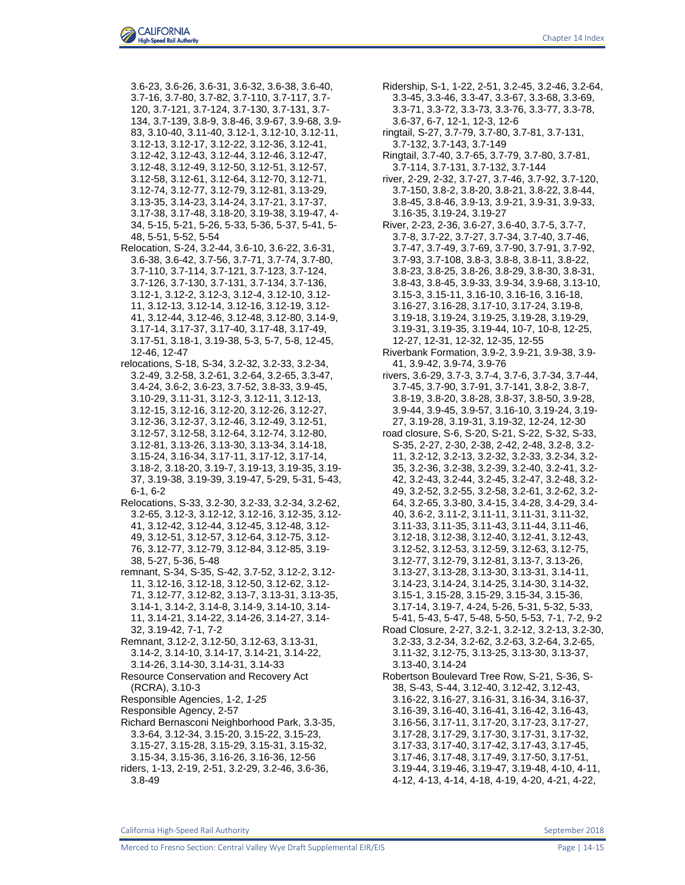3.6-23, 3.6-26, 3.6-31, 3.6-32, 3.6-38, 3.6-40, 3.7-16, 3.7-80, 3.7-82, 3.7-110, 3.7-117, 3.7- 120, 3.7-121, 3.7-124, 3.7-130, 3.7-131, 3.7- 134, 3.7-139, 3.8-9, 3.8-46, 3.9-67, 3.9-68, 3.9- 83, 3.10-40, 3.11-40, 3.12-1, 3.12-10, 3.12-11, 3.12-13, 3.12-17, 3.12-22, 3.12-36, 3.12-41, 3.12-42, 3.12-43, 3.12-44, 3.12-46, 3.12-47, 3.12-48, 3.12-49, 3.12-50, 3.12-51, 3.12-57, 3.12-58, 3.12-61, 3.12-64, 3.12-70, 3.12-71, 3.12-74, 3.12-77, 3.12-79, 3.12-81, 3.13-29, 3.13-35, 3.14-23, 3.14-24, 3.17-21, 3.17-37, 3.17-38, 3.17-48, 3.18-20, 3.19-38, 3.19-47, 4- 34, 5-15, 5-21, 5-26, 5-33, 5-36, 5-37, 5-41, 5- 48, 5-51, 5-52, 5-54

Relocation, S-24, 3.2-44, 3.6-10, 3.6-22, 3.6-31, 3.6-38, 3.6-42, 3.7-56, 3.7-71, 3.7-74, 3.7-80, 3.7-110, 3.7-114, 3.7-121, 3.7-123, 3.7-124, 3.7-126, 3.7-130, 3.7-131, 3.7-134, 3.7-136, 3.12-1, 3.12-2, 3.12-3, 3.12-4, 3.12-10, 3.12- 11, 3.12-13, 3.12-14, 3.12-16, 3.12-19, 3.12- 41, 3.12-44, 3.12-46, 3.12-48, 3.12-80, 3.14-9, 3.17-14, 3.17-37, 3.17-40, 3.17-48, 3.17-49, 3.17-51, 3.18-1, 3.19-38, 5-3, 5-7, 5-8, 12-45, 12-46, 12-47

relocations, S-18, S-34, 3.2-32, 3.2-33, 3.2-34, 3.2-49, 3.2-58, 3.2-61, 3.2-64, 3.2-65, 3.3-47, 3.4-24, 3.6-2, 3.6-23, 3.7-52, 3.8-33, 3.9-45, 3.10-29, 3.11-31, 3.12-3, 3.12-11, 3.12-13, 3.12-15, 3.12-16, 3.12-20, 3.12-26, 3.12-27, 3.12-36, 3.12-37, 3.12-46, 3.12-49, 3.12-51, 3.12-57, 3.12-58, 3.12-64, 3.12-74, 3.12-80, 3.12-81, 3.13-26, 3.13-30, 3.13-34, 3.14-18, 3.15-24, 3.16-34, 3.17-11, 3.17-12, 3.17-14, 3.18-2, 3.18-20, 3.19-7, 3.19-13, 3.19-35, 3.19- 37, 3.19-38, 3.19-39, 3.19-47, 5-29, 5-31, 5-43, 6-1, 6-2

Relocations, S-33, 3.2-30, 3.2-33, 3.2-34, 3.2-62, 3.2-65, 3.12-3, 3.12-12, 3.12-16, 3.12-35, 3.12- 41, 3.12-42, 3.12-44, 3.12-45, 3.12-48, 3.12- 49, 3.12-51, 3.12-57, 3.12-64, 3.12-75, 3.12- 76, 3.12-77, 3.12-79, 3.12-84, 3.12-85, 3.19- 38, 5-27, 5-36, 5-48

remnant, S-34, S-35, S-42, 3.7-52, 3.12-2, 3.12- 11, 3.12-16, 3.12-18, 3.12-50, 3.12-62, 3.12- 71, 3.12-77, 3.12-82, 3.13-7, 3.13-31, 3.13-35, 3.14-1, 3.14-2, 3.14-8, 3.14-9, 3.14-10, 3.14- 11, 3.14-21, 3.14-22, 3.14-26, 3.14-27, 3.14- 32, 3.19-42, 7-1, 7-2

Remnant, 3.12-2, 3.12-50, 3.12-63, 3.13-31, 3.14-2, 3.14-10, 3.14-17, 3.14-21, 3.14-22, 3.14-26, 3.14-30, 3.14-31, 3.14-33

Resource Conservation and Recovery Act (RCRA), 3.10-3

Responsible Agencies, 1-2, *1-25*

Responsible Agency, 2-57

Richard Bernasconi Neighborhood Park, 3.3-35, 3.3-64, 3.12-34, 3.15-20, 3.15-22, 3.15-23, 3.15-27, 3.15-28, 3.15-29, 3.15-31, 3.15-32, 3.15-34, 3.15-36, 3.16-26, 3.16-36, 12-56 riders, 1-13, 2-19, 2-51, 3.2-29, 3.2-46, 3.6-36, 3.8-49

Ridership, S-1, 1-22, 2-51, 3.2-45, 3.2-46, 3.2-64, 3.3-45, 3.3-46, 3.3-47, 3.3-67, 3.3-68, 3.3-69, 3.3-71, 3.3-72, 3.3-73, 3.3-76, 3.3-77, 3.3-78, 3.6-37, 6-7, 12-1, 12-3, 12-6

ringtail, S-27, 3.7-79, 3.7-80, 3.7-81, 3.7-131, 3.7-132, 3.7-143, 3.7-149

Ringtail, 3.7-40, 3.7-65, 3.7-79, 3.7-80, 3.7-81, 3.7-114, 3.7-131, 3.7-132, 3.7-144

river, 2-29, 2-32, 3.7-27, 3.7-46, 3.7-92, 3.7-120, 3.7-150, 3.8-2, 3.8-20, 3.8-21, 3.8-22, 3.8-44, 3.8-45, 3.8-46, 3.9-13, 3.9-21, 3.9-31, 3.9-33, 3.16-35, 3.19-24, 3.19-27

- River, 2-23, 2-36, 3.6-27, 3.6-40, 3.7-5, 3.7-7, 3.7-8, 3.7-22, 3.7-27, 3.7-34, 3.7-40, 3.7-46, 3.7-47, 3.7-49, 3.7-69, 3.7-90, 3.7-91, 3.7-92, 3.7-93, 3.7-108, 3.8-3, 3.8-8, 3.8-11, 3.8-22, 3.8-23, 3.8-25, 3.8-26, 3.8-29, 3.8-30, 3.8-31, 3.8-43, 3.8-45, 3.9-33, 3.9-34, 3.9-68, 3.13-10, 3.15-3, 3.15-11, 3.16-10, 3.16-16, 3.16-18, 3.16-27, 3.16-28, 3.17-10, 3.17-24, 3.19-8, 3.19-18, 3.19-24, 3.19-25, 3.19-28, 3.19-29, 3.19-31, 3.19-35, 3.19-44, 10-7, 10-8, 12-25, 12-27, 12-31, 12-32, 12-35, 12-55
- Riverbank Formation, 3.9-2, 3.9-21, 3.9-38, 3.9- 41, 3.9-42, 3.9-74, 3.9-76

rivers, 3.6-29, 3.7-3, 3.7-4, 3.7-6, 3.7-34, 3.7-44, 3.7-45, 3.7-90, 3.7-91, 3.7-141, 3.8-2, 3.8-7, 3.8-19, 3.8-20, 3.8-28, 3.8-37, 3.8-50, 3.9-28, 3.9-44, 3.9-45, 3.9-57, 3.16-10, 3.19-24, 3.19- 27, 3.19-28, 3.19-31, 3.19-32, 12-24, 12-30

road closure, S-6, S-20, S-21, S-22, S-32, S-33, S-35, 2-27, 2-30, 2-38, 2-42, 2-48, 3.2-8, 3.2- 11, 3.2-12, 3.2-13, 3.2-32, 3.2-33, 3.2-34, 3.2- 35, 3.2-36, 3.2-38, 3.2-39, 3.2-40, 3.2-41, 3.2- 42, 3.2-43, 3.2-44, 3.2-45, 3.2-47, 3.2-48, 3.2- 49, 3.2-52, 3.2-55, 3.2-58, 3.2-61, 3.2-62, 3.2- 64, 3.2-65, 3.3-80, 3.4-15, 3.4-28, 3.4-29, 3.4- 40, 3.6-2, 3.11-2, 3.11-11, 3.11-31, 3.11-32, 3.11-33, 3.11-35, 3.11-43, 3.11-44, 3.11-46, 3.12-18, 3.12-38, 3.12-40, 3.12-41, 3.12-43, 3.12-52, 3.12-53, 3.12-59, 3.12-63, 3.12-75, 3.12-77, 3.12-79, 3.12-81, 3.13-7, 3.13-26, 3.13-27, 3.13-28, 3.13-30, 3.13-31, 3.14-11, 3.14-23, 3.14-24, 3.14-25, 3.14-30, 3.14-32, 3.15-1, 3.15-28, 3.15-29, 3.15-34, 3.15-36,

3.17-14, 3.19-7, 4-24, 5-26, 5-31, 5-32, 5-33, 5-41, 5-43, 5-47, 5-48, 5-50, 5-53, 7-1, 7-2, 9-2

Road Closure, 2-27, 3.2-1, 3.2-12, 3.2-13, 3.2-30, 3.2-33, 3.2-34, 3.2-62, 3.2-63, 3.2-64, 3.2-65, 3.11-32, 3.12-75, 3.13-25, 3.13-30, 3.13-37, 3.13-40, 3.14-24

Robertson Boulevard Tree Row, S-21, S-36, S-38, S-43, S-44, 3.12-40, 3.12-42, 3.12-43, 3.16-22, 3.16-27, 3.16-31, 3.16-34, 3.16-37, 3.16-39, 3.16-40, 3.16-41, 3.16-42, 3.16-43, 3.16-56, 3.17-11, 3.17-20, 3.17-23, 3.17-27, 3.17-28, 3.17-29, 3.17-30, 3.17-31, 3.17-32, 3.17-33, 3.17-40, 3.17-42, 3.17-43, 3.17-45, 3.17-46, 3.17-48, 3.17-49, 3.17-50, 3.17-51, 3.19-44, 3.19-46, 3.19-47, 3.19-48, 4-10, 4-11, 4-12, 4-13, 4-14, 4-18, 4-19, 4-20, 4-21, 4-22,

California High-Speed Rail Authority September 2018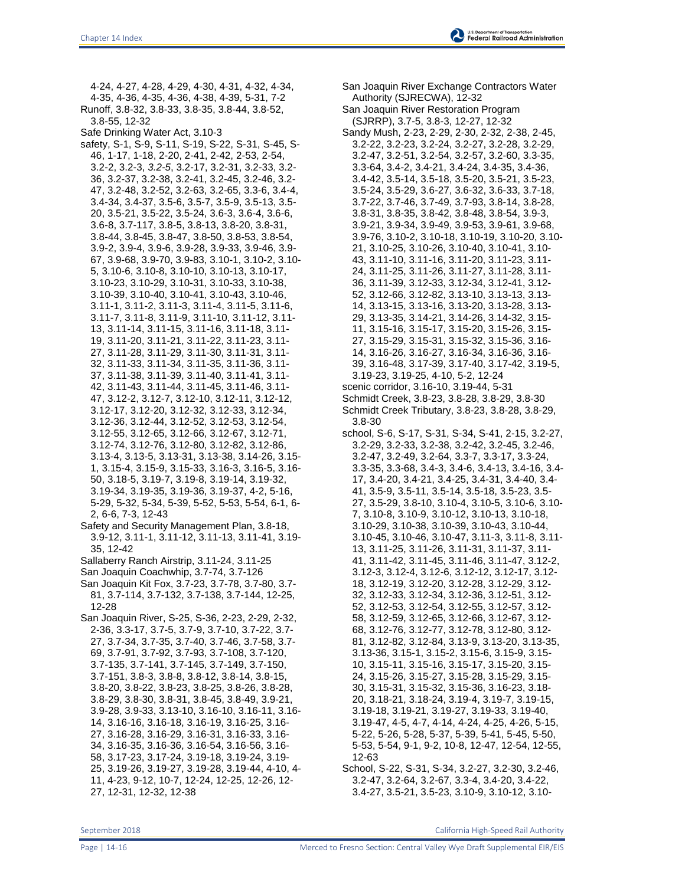4-24, 4-27, 4-28, 4-29, 4-30, 4-31, 4-32, 4-34, 4-35, 4-36, 4-35, 4-36, 4-38, 4-39, 5-31, 7-2 Runoff, 3.8-32, 3.8-33, 3.8-35, 3.8-44, 3.8-52, 3.8-55, 12-32 Safe Drinking Water Act, 3.10-3 safety, S-1, S-9, S-11, S-19, S-22, S-31, S-45, S-46, 1-17, 1-18, 2-20, 2-41, 2-42, 2-53, 2-54, 3.2-2, 3.2-3, *3.2-5*, 3.2-17, 3.2-31, 3.2-33, 3.2- 36, 3.2-37, 3.2-38, 3.2-41, 3.2-45, 3.2-46, 3.2- 47, 3.2-48, 3.2-52, 3.2-63, 3.2-65, 3.3-6, 3.4-4, 3.4-34, 3.4-37, 3.5-6, 3.5-7, 3.5-9, 3.5-13, 3.5- 20, 3.5-21, 3.5-22, 3.5-24, 3.6-3, 3.6-4, 3.6-6, 3.6-8, 3.7-117, 3.8-5, 3.8-13, 3.8-20, 3.8-31, 3.8-44, 3.8-45, 3.8-47, 3.8-50, 3.8-53, 3.8-54, 3.9-2, 3.9-4, 3.9-6, 3.9-28, 3.9-33, 3.9-46, 3.9- 67, 3.9-68, 3.9-70, 3.9-83, 3.10-1, 3.10-2, 3.10- 5, 3.10-6, 3.10-8, 3.10-10, 3.10-13, 3.10-17, 3.10-23, 3.10-29, 3.10-31, 3.10-33, 3.10-38, 3.10-39, 3.10-40, 3.10-41, 3.10-43, 3.10-46, 3.11-1, 3.11-2, 3.11-3, 3.11-4, 3.11-5, 3.11-6, 3.11-7, 3.11-8, 3.11-9, 3.11-10, 3.11-12, 3.11- 13, 3.11-14, 3.11-15, 3.11-16, 3.11-18, 3.11- 19, 3.11-20, 3.11-21, 3.11-22, 3.11-23, 3.11- 27, 3.11-28, 3.11-29, 3.11-30, 3.11-31, 3.11- 32, 3.11-33, 3.11-34, 3.11-35, 3.11-36, 3.11- 37, 3.11-38, 3.11-39, 3.11-40, 3.11-41, 3.11- 42, 3.11-43, 3.11-44, 3.11-45, 3.11-46, 3.11- 47, 3.12-2, 3.12-7, 3.12-10, 3.12-11, 3.12-12, 3.12-17, 3.12-20, 3.12-32, 3.12-33, 3.12-34, 3.12-36, 3.12-44, 3.12-52, 3.12-53, 3.12-54, 3.12-55, 3.12-65, 3.12-66, 3.12-67, 3.12-71, 3.12-74, 3.12-76, 3.12-80, 3.12-82, 3.12-86, 3.13-4, 3.13-5, 3.13-31, 3.13-38, 3.14-26, 3.15- 1, 3.15-4, 3.15-9, 3.15-33, 3.16-3, 3.16-5, 3.16- 50, 3.18-5, 3.19-7, 3.19-8, 3.19-14, 3.19-32, 3.19-34, 3.19-35, 3.19-36, 3.19-37, 4-2, 5-16, 5-29, 5-32, 5-34, 5-39, 5-52, 5-53, 5-54, 6-1, 6- 2, 6-6, 7-3, 12-43 Safety and Security Management Plan, 3.8-18, 3.9-12, 3.11-1, 3.11-12, 3.11-13, 3.11-41, 3.19- 35, 12-42 Sallaberry Ranch Airstrip, 3.11-24, 3.11-25 San Joaquin Coachwhip, 3.7-74, 3.7-126 San Joaquin Kit Fox, 3.7-23, 3.7-78, 3.7-80, 3.7- 81, 3.7-114, 3.7-132, 3.7-138, 3.7-144, 12-25, 12-28 San Joaquin River, S-25, S-36, 2-23, 2-29, 2-32, 2-36, 3.3-17, 3.7-5, 3.7-9, 3.7-10, 3.7-22, 3.7- 27, 3.7-34, 3.7-35, 3.7-40, 3.7-46, 3.7-58, 3.7- 69, 3.7-91, 3.7-92, 3.7-93, 3.7-108, 3.7-120, 3.7-135, 3.7-141, 3.7-145, 3.7-149, 3.7-150, 3.7-151, 3.8-3, 3.8-8, 3.8-12, 3.8-14, 3.8-15, 3.8-20, 3.8-22, 3.8-23, 3.8-25, 3.8-26, 3.8-28, 3.8-29, 3.8-30, 3.8-31, 3.8-45, 3.8-49, 3.9-21,

3.9-28, 3.9-33, 3.13-10, 3.16-10, 3.16-11, 3.16- 14, 3.16-16, 3.16-18, 3.16-19, 3.16-25, 3.16- 27, 3.16-28, 3.16-29, 3.16-31, 3.16-33, 3.16- 34, 3.16-35, 3.16-36, 3.16-54, 3.16-56, 3.16- 58, 3.17-23, 3.17-24, 3.19-18, 3.19-24, 3.19- 25, 3.19-26, 3.19-27, 3.19-28, 3.19-44, 4-10, 4- 11, 4-23, 9-12, 10-7, 12-24, 12-25, 12-26, 12- 27, 12-31, 12-32, 12-38

San Joaquin River Exchange Contractors Water Authority (SJRECWA), 12-32 San Joaquin River Restoration Program (SJRRP), 3.7-5, 3.8-3, 12-27, 12-32 Sandy Mush, 2-23, 2-29, 2-30, 2-32, 2-38, 2-45, 3.2-22, 3.2-23, 3.2-24, 3.2-27, 3.2-28, 3.2-29, 3.2-47, 3.2-51, 3.2-54, 3.2-57, 3.2-60, 3.3-35, 3.3-64, 3.4-2, 3.4-21, 3.4-24, 3.4-35, 3.4-36, 3.4-42, 3.5-14, 3.5-18, 3.5-20, 3.5-21, 3.5-23, 3.5-24, 3.5-29, 3.6-27, 3.6-32, 3.6-33, 3.7-18, 3.7-22, 3.7-46, 3.7-49, 3.7-93, 3.8-14, 3.8-28, 3.8-31, 3.8-35, 3.8-42, 3.8-48, 3.8-54, 3.9-3, 3.9-21, 3.9-34, 3.9-49, 3.9-53, 3.9-61, 3.9-68, 3.9-76, 3.10-2, 3.10-18, 3.10-19, 3.10-20, 3.10- 21, 3.10-25, 3.10-26, 3.10-40, 3.10-41, 3.10- 43, 3.11-10, 3.11-16, 3.11-20, 3.11-23, 3.11- 24, 3.11-25, 3.11-26, 3.11-27, 3.11-28, 3.11- 36, 3.11-39, 3.12-33, 3.12-34, 3.12-41, 3.12- 52, 3.12-66, 3.12-82, 3.13-10, 3.13-13, 3.13- 14, 3.13-15, 3.13-16, 3.13-20, 3.13-28, 3.13- 29, 3.13-35, 3.14-21, 3.14-26, 3.14-32, 3.15- 11, 3.15-16, 3.15-17, 3.15-20, 3.15-26, 3.15- 27, 3.15-29, 3.15-31, 3.15-32, 3.15-36, 3.16- 14, 3.16-26, 3.16-27, 3.16-34, 3.16-36, 3.16- 39, 3.16-48, 3.17-39, 3.17-40, 3.17-42, 3.19-5, 3.19-23, 3.19-25, 4-10, 5-2, 12-24 scenic corridor, 3.16-10, 3.19-44, 5-31 Schmidt Creek, 3.8-23, 3.8-28, 3.8-29, 3.8-30 Schmidt Creek Tributary, 3.8-23, 3.8-28, 3.8-29, 3.8-30 school, S-6, S-17, S-31, S-34, S-41, 2-15, 3.2-27, 3.2-29, 3.2-33, 3.2-38, 3.2-42, 3.2-45, 3.2-46, 3.2-47, 3.2-49, 3.2-64, 3.3-7, 3.3-17, 3.3-24, 3.3-35, 3.3-68, 3.4-3, 3.4-6, 3.4-13, 3.4-16, 3.4- 17, 3.4-20, 3.4-21, 3.4-25, 3.4-31, 3.4-40, 3.4- 41, 3.5-9, 3.5-11, 3.5-14, 3.5-18, 3.5-23, 3.5- 27, 3.5-29, 3.8-10, 3.10-4, 3.10-5, 3.10-6, 3.10- 7, 3.10-8, 3.10-9, 3.10-12, 3.10-13, 3.10-18, 3.10-29, 3.10-38, 3.10-39, 3.10-43, 3.10-44, 3.10-45, 3.10-46, 3.10-47, 3.11-3, 3.11-8, 3.11- 13, 3.11-25, 3.11-26, 3.11-31, 3.11-37, 3.11- 41, 3.11-42, 3.11-45, 3.11-46, 3.11-47, 3.12-2, 3.12-3, 3.12-4, 3.12-6, 3.12-12, 3.12-17, 3.12- 18, 3.12-19, 3.12-20, 3.12-28, 3.12-29, 3.12- 32, 3.12-33, 3.12-34, 3.12-36, 3.12-51, 3.12- 52, 3.12-53, 3.12-54, 3.12-55, 3.12-57, 3.12- 58, 3.12-59, 3.12-65, 3.12-66, 3.12-67, 3.12- 68, 3.12-76, 3.12-77, 3.12-78, 3.12-80, 3.12- 81, 3.12-82, 3.12-84, 3.13-9, 3.13-20, 3.13-35, 3.13-36, 3.15-1, 3.15-2, 3.15-6, 3.15-9, 3.15- 10, 3.15-11, 3.15-16, 3.15-17, 3.15-20, 3.15- 24, 3.15-26, 3.15-27, 3.15-28, 3.15-29, 3.15- 30, 3.15-31, 3.15-32, 3.15-36, 3.16-23, 3.18- 20, 3.18-21, 3.18-24, 3.19-4, 3.19-7, 3.19-15, 3.19-18, 3.19-21, 3.19-27, 3.19-33, 3.19-40, 3.19-47, 4-5, 4-7, 4-14, 4-24, 4-25, 4-26, 5-15, 5-22, 5-26, 5-28, 5-37, 5-39, 5-41, 5-45, 5-50, 5-53, 5-54, 9-1, 9-2, 10-8, 12-47, 12-54, 12-55, 12-63

School, S-22, S-31, S-34, 3.2-27, 3.2-30, 3.2-46, 3.2-47, 3.2-64, 3.2-67, 3.3-4, 3.4-20, 3.4-22, 3.4-27, 3.5-21, 3.5-23, 3.10-9, 3.10-12, 3.10-

September 2018 California High-Speed Rail Authority

Page | 14-16 **Merced to Fresno Section: Central Valley Wye Draft Supplemental EIR/EIS**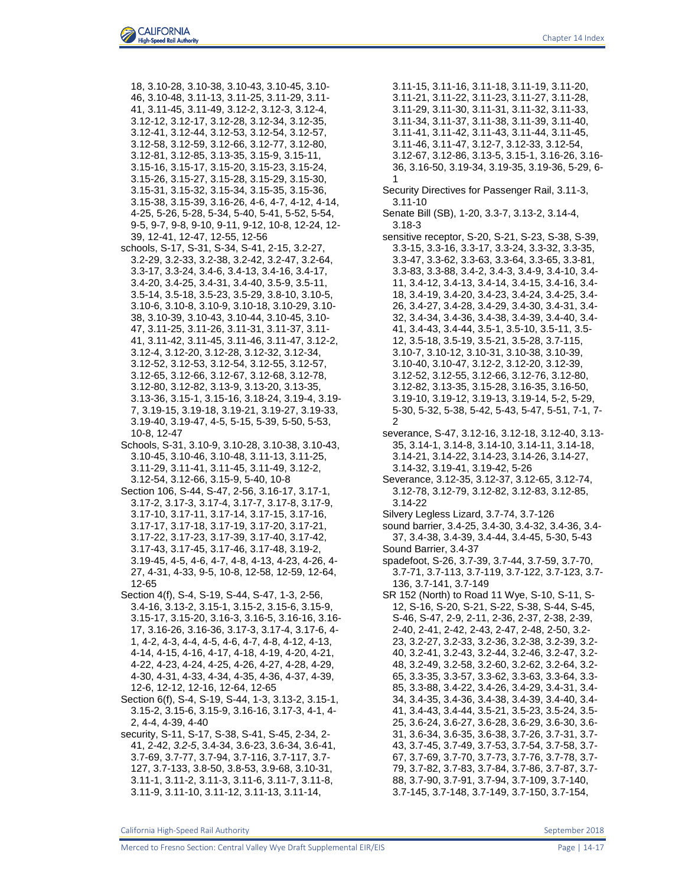- 18, 3.10-28, 3.10-38, 3.10-43, 3.10-45, 3.10- 46, 3.10-48, 3.11-13, 3.11-25, 3.11-29, 3.11- 41, 3.11-45, 3.11-49, 3.12-2, 3.12-3, 3.12-4, 3.12-12, 3.12-17, 3.12-28, 3.12-34, 3.12-35, 3.12-41, 3.12-44, 3.12-53, 3.12-54, 3.12-57, 3.12-58, 3.12-59, 3.12-66, 3.12-77, 3.12-80, 3.12-81, 3.12-85, 3.13-35, 3.15-9, 3.15-11, 3.15-16, 3.15-17, 3.15-20, 3.15-23, 3.15-24, 3.15-26, 3.15-27, 3.15-28, 3.15-29, 3.15-30, 3.15-31, 3.15-32, 3.15-34, 3.15-35, 3.15-36, 3.15-38, 3.15-39, 3.16-26, 4-6, 4-7, 4-12, 4-14, 4-25, 5-26, 5-28, 5-34, 5-40, 5-41, 5-52, 5-54, 9-5, 9-7, 9-8, 9-10, 9-11, 9-12, 10-8, 12-24, 12- 39, 12-41, 12-47, 12-55, 12-56
- schools, S-17, S-31, S-34, S-41, 2-15, 3.2-27, 3.2-29, 3.2-33, 3.2-38, 3.2-42, 3.2-47, 3.2-64, 3.3-17, 3.3-24, 3.4-6, 3.4-13, 3.4-16, 3.4-17, 3.4-20, 3.4-25, 3.4-31, 3.4-40, 3.5-9, 3.5-11, 3.5-14, 3.5-18, 3.5-23, 3.5-29, 3.8-10, 3.10-5, 3.10-6, 3.10-8, 3.10-9, 3.10-18, 3.10-29, 3.10- 38, 3.10-39, 3.10-43, 3.10-44, 3.10-45, 3.10- 47, 3.11-25, 3.11-26, 3.11-31, 3.11-37, 3.11- 41, 3.11-42, 3.11-45, 3.11-46, 3.11-47, 3.12-2, 3.12-4, 3.12-20, 3.12-28, 3.12-32, 3.12-34, 3.12-52, 3.12-53, 3.12-54, 3.12-55, 3.12-57, 3.12-65, 3.12-66, 3.12-67, 3.12-68, 3.12-78, 3.12-80, 3.12-82, 3.13-9, 3.13-20, 3.13-35, 3.13-36, 3.15-1, 3.15-16, 3.18-24, 3.19-4, 3.19- 7, 3.19-15, 3.19-18, 3.19-21, 3.19-27, 3.19-33, 3.19-40, 3.19-47, 4-5, 5-15, 5-39, 5-50, 5-53, 10-8, 12-47
- Schools, S-31, 3.10-9, 3.10-28, 3.10-38, 3.10-43, 3.10-45, 3.10-46, 3.10-48, 3.11-13, 3.11-25, 3.11-29, 3.11-41, 3.11-45, 3.11-49, 3.12-2, 3.12-54, 3.12-66, 3.15-9, 5-40, 10-8
- Section 106, S-44, S-47, 2-56, 3.16-17, 3.17-1, 3.17-2, 3.17-3, 3.17-4, 3.17-7, 3.17-8, 3.17-9, 3.17-10, 3.17-11, 3.17-14, 3.17-15, 3.17-16, 3.17-17, 3.17-18, 3.17-19, 3.17-20, 3.17-21, 3.17-22, 3.17-23, 3.17-39, 3.17-40, 3.17-42, 3.17-43, 3.17-45, 3.17-46, 3.17-48, 3.19-2, 3.19-45, 4-5, 4-6, 4-7, 4-8, 4-13, 4-23, 4-26, 4- 27, 4-31, 4-33, 9-5, 10-8, 12-58, 12-59, 12-64, 12-65
- Section 4(f), S-4, S-19, S-44, S-47, 1-3, 2-56, 3.4-16, 3.13-2, 3.15-1, 3.15-2, 3.15-6, 3.15-9, 3.15-17, 3.15-20, 3.16-3, 3.16-5, 3.16-16, 3.16- 17, 3.16-26, 3.16-36, 3.17-3, 3.17-4, 3.17-6, 4- 1, 4-2, 4-3, 4-4, 4-5, 4-6, 4-7, 4-8, 4-12, 4-13, 4-14, 4-15, 4-16, 4-17, 4-18, 4-19, 4-20, 4-21, 4-22, 4-23, 4-24, 4-25, 4-26, 4-27, 4-28, 4-29, 4-30, 4-31, 4-33, 4-34, 4-35, 4-36, 4-37, 4-39, 12-6, 12-12, 12-16, 12-64, 12-65
- Section 6(f), S-4, S-19, S-44, 1-3, 3.13-2, 3.15-1, 3.15-2, 3.15-6, 3.15-9, 3.16-16, 3.17-3, 4-1, 4- 2, 4-4, 4-39, 4-40
- security, S-11, S-17, S-38, S-41, S-45, 2-34, 2- 41, 2-42, *3.2-5*, 3.4-34, 3.6-23, 3.6-34, 3.6-41, 3.7-69, 3.7-77, 3.7-94, 3.7-116, 3.7-117, 3.7- 127, 3.7-133, 3.8-50, 3.8-53, 3.9-68, 3.10-31, 3.11-1, 3.11-2, 3.11-3, 3.11-6, 3.11-7, 3.11-8, 3.11-9, 3.11-10, 3.11-12, 3.11-13, 3.11-14,
- 3.11-15, 3.11-16, 3.11-18, 3.11-19, 3.11-20, 3.11-21, 3.11-22, 3.11-23, 3.11-27, 3.11-28, 3.11-29, 3.11-30, 3.11-31, 3.11-32, 3.11-33, 3.11-34, 3.11-37, 3.11-38, 3.11-39, 3.11-40, 3.11-41, 3.11-42, 3.11-43, 3.11-44, 3.11-45, 3.11-46, 3.11-47, 3.12-7, 3.12-33, 3.12-54, 3.12-67, 3.12-86, 3.13-5, 3.15-1, 3.16-26, 3.16- 36, 3.16-50, 3.19-34, 3.19-35, 3.19-36, 5-29, 6- 1
- Security Directives for Passenger Rail, 3.11-3, 3.11-10
- Senate Bill (SB), 1-20, 3.3-7, 3.13-2, 3.14-4, 3.18-3
- sensitive receptor, S-20, S-21, S-23, S-38, S-39, 3.3-15, 3.3-16, 3.3-17, 3.3-24, 3.3-32, 3.3-35, 3.3-47, 3.3-62, 3.3-63, 3.3-64, 3.3-65, 3.3-81, 3.3-83, 3.3-88, 3.4-2, 3.4-3, 3.4-9, 3.4-10, 3.4- 11, 3.4-12, 3.4-13, 3.4-14, 3.4-15, 3.4-16, 3.4- 18, 3.4-19, 3.4-20, 3.4-23, 3.4-24, 3.4-25, 3.4- 26, 3.4-27, 3.4-28, 3.4-29, 3.4-30, 3.4-31, 3.4- 32, 3.4-34, 3.4-36, 3.4-38, 3.4-39, 3.4-40, 3.4- 41, 3.4-43, 3.4-44, 3.5-1, 3.5-10, 3.5-11, 3.5- 12, 3.5-18, 3.5-19, 3.5-21, 3.5-28, 3.7-115, 3.10-7, 3.10-12, 3.10-31, 3.10-38, 3.10-39, 3.10-40, 3.10-47, 3.12-2, 3.12-20, 3.12-39, 3.12-52, 3.12-55, 3.12-66, 3.12-76, 3.12-80, 3.12-82, 3.13-35, 3.15-28, 3.16-35, 3.16-50, 3.19-10, 3.19-12, 3.19-13, 3.19-14, 5-2, 5-29, 5-30, 5-32, 5-38, 5-42, 5-43, 5-47, 5-51, 7-1, 7-  $\mathfrak{p}$
- severance, S-47, 3.12-16, 3.12-18, 3.12-40, 3.13- 35, 3.14-1, 3.14-8, 3.14-10, 3.14-11, 3.14-18, 3.14-21, 3.14-22, 3.14-23, 3.14-26, 3.14-27, 3.14-32, 3.19-41, 3.19-42, 5-26
- Severance, 3.12-35, 3.12-37, 3.12-65, 3.12-74, 3.12-78, 3.12-79, 3.12-82, 3.12-83, 3.12-85, 3.14-22
- Silvery Legless Lizard, 3.7-74, 3.7-126
- sound barrier, 3.4-25, 3.4-30, 3.4-32, 3.4-36, 3.4- 37, 3.4-38, 3.4-39, 3.4-44, 3.4-45, 5-30, 5-43 Sound Barrier, 3.4-37
- spadefoot, S-26, 3.7-39, 3.7-44, 3.7-59, 3.7-70, 3.7-71, 3.7-113, 3.7-119, 3.7-122, 3.7-123, 3.7- 136, 3.7-141, 3.7-149
- SR 152 (North) to Road 11 Wye, S-10, S-11, S-12, S-16, S-20, S-21, S-22, S-38, S-44, S-45, S-46, S-47, 2-9, 2-11, 2-36, 2-37, 2-38, 2-39, 2-40, 2-41, 2-42, 2-43, 2-47, 2-48, 2-50, 3.2- 23, 3.2-27, 3.2-33, 3.2-36, 3.2-38, 3.2-39, 3.2- 40, 3.2-41, 3.2-43, 3.2-44, 3.2-46, 3.2-47, 3.2- 48, 3.2-49, 3.2-58, 3.2-60, 3.2-62, 3.2-64, 3.2- 65, 3.3-35, 3.3-57, 3.3-62, 3.3-63, 3.3-64, 3.3- 85, 3.3-88, 3.4-22, 3.4-26, 3.4-29, 3.4-31, 3.4- 34, 3.4-35, 3.4-36, 3.4-38, 3.4-39, 3.4-40, 3.4- 41, 3.4-43, 3.4-44, 3.5-21, 3.5-23, 3.5-24, 3.5- 25, 3.6-24, 3.6-27, 3.6-28, 3.6-29, 3.6-30, 3.6- 31, 3.6-34, 3.6-35, 3.6-38, 3.7-26, 3.7-31, 3.7- 43, 3.7-45, 3.7-49, 3.7-53, 3.7-54, 3.7-58, 3.7- 67, 3.7-69, 3.7-70, 3.7-73, 3.7-76, 3.7-78, 3.7- 79, 3.7-82, 3.7-83, 3.7-84, 3.7-86, 3.7-87, 3.7- 88, 3.7-90, 3.7-91, 3.7-94, 3.7-109, 3.7-140, 3.7-145, 3.7-148, 3.7-149, 3.7-150, 3.7-154,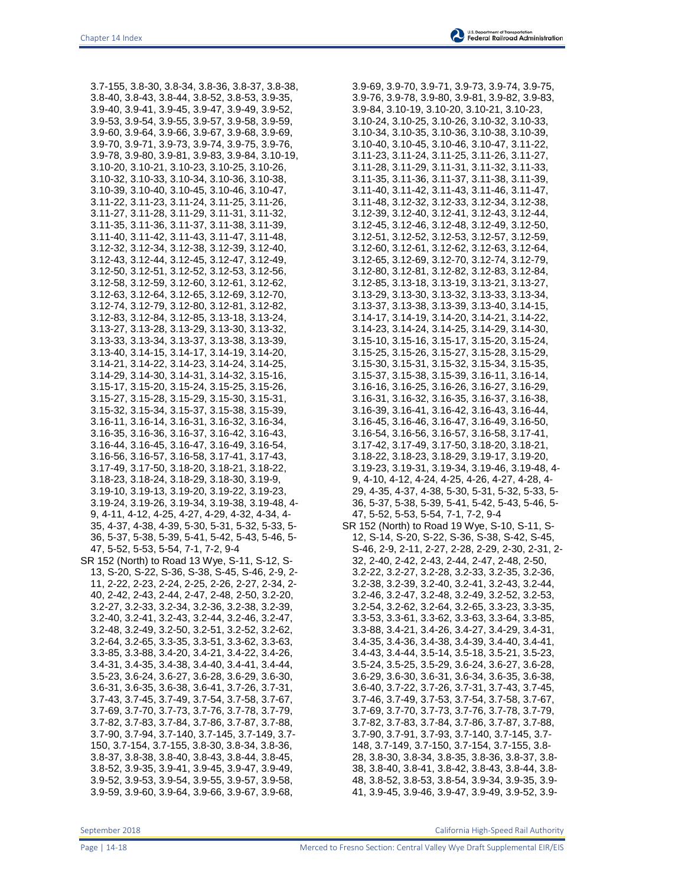3.7-155, 3.8-30, 3.8-34, 3.8-36, 3.8-37, 3.8-38, 3.8-40, 3.8-43, 3.8-44, 3.8-52, 3.8-53, 3.9-35, 3.9-40, 3.9-41, 3.9-45, 3.9-47, 3.9-49, 3.9-52, 3.9-53, 3.9-54, 3.9-55, 3.9-57, 3.9-58, 3.9-59, 3.9-60, 3.9-64, 3.9-66, 3.9-67, 3.9-68, 3.9-69, 3.9-70, 3.9-71, 3.9-73, 3.9-74, 3.9-75, 3.9-76, 3.9-78, 3.9-80, 3.9-81, 3.9-83, 3.9-84, 3.10-19, 3.10-20, 3.10-21, 3.10-23, 3.10-25, 3.10-26, 3.10-32, 3.10-33, 3.10-34, 3.10-36, 3.10-38, 3.10-39, 3.10-40, 3.10-45, 3.10-46, 3.10-47, 3.11-22, 3.11-23, 3.11-24, 3.11-25, 3.11-26, 3.11-27, 3.11-28, 3.11-29, 3.11-31, 3.11-32, 3.11-35, 3.11-36, 3.11-37, 3.11-38, 3.11-39, 3.11-40, 3.11-42, 3.11-43, 3.11-47, 3.11-48, 3.12-32, 3.12-34, 3.12-38, 3.12-39, 3.12-40, 3.12-43, 3.12-44, 3.12-45, 3.12-47, 3.12-49, 3.12-50, 3.12-51, 3.12-52, 3.12-53, 3.12-56, 3.12-58, 3.12-59, 3.12-60, 3.12-61, 3.12-62, 3.12-63, 3.12-64, 3.12-65, 3.12-69, 3.12-70, 3.12-74, 3.12-79, 3.12-80, 3.12-81, 3.12-82, 3.12-83, 3.12-84, 3.12-85, 3.13-18, 3.13-24, 3.13-27, 3.13-28, 3.13-29, 3.13-30, 3.13-32, 3.13-33, 3.13-34, 3.13-37, 3.13-38, 3.13-39, 3.13-40, 3.14-15, 3.14-17, 3.14-19, 3.14-20, 3.14-21, 3.14-22, 3.14-23, 3.14-24, 3.14-25, 3.14-29, 3.14-30, 3.14-31, 3.14-32, 3.15-16, 3.15-17, 3.15-20, 3.15-24, 3.15-25, 3.15-26, 3.15-27, 3.15-28, 3.15-29, 3.15-30, 3.15-31, 3.15-32, 3.15-34, 3.15-37, 3.15-38, 3.15-39, 3.16-11, 3.16-14, 3.16-31, 3.16-32, 3.16-34, 3.16-35, 3.16-36, 3.16-37, 3.16-42, 3.16-43, 3.16-44, 3.16-45, 3.16-47, 3.16-49, 3.16-54, 3.16-56, 3.16-57, 3.16-58, 3.17-41, 3.17-43, 3.17-49, 3.17-50, 3.18-20, 3.18-21, 3.18-22, 3.18-23, 3.18-24, 3.18-29, 3.18-30, 3.19-9, 3.19-10, 3.19-13, 3.19-20, 3.19-22, 3.19-23, 3.19-24, 3.19-26, 3.19-34, 3.19-38, 3.19-48, 4- 9, 4-11, 4-12, 4-25, 4-27, 4-29, 4-32, 4-34, 4- 35, 4-37, 4-38, 4-39, 5-30, 5-31, 5-32, 5-33, 5- 36, 5-37, 5-38, 5-39, 5-41, 5-42, 5-43, 5-46, 5- 47, 5-52, 5-53, 5-54, 7-1, 7-2, 9-4 SR 152 (North) to Road 13 Wye, S-11, S-12, S-13, S-20, S-22, S-36, S-38, S-45, S-46, 2-9, 2- 11, 2-22, 2-23, 2-24, 2-25, 2-26, 2-27, 2-34, 2- 40, 2-42, 2-43, 2-44, 2-47, 2-48, 2-50, 3.2-20, 3.2-27, 3.2-33, 3.2-34, 3.2-36, 3.2-38, 3.2-39, 3.2-40, 3.2-41, 3.2-43, 3.2-44, 3.2-46, 3.2-47, 3.2-48, 3.2-49, 3.2-50, 3.2-51, 3.2-52, 3.2-62, 3.2-64, 3.2-65, 3.3-35, 3.3-51, 3.3-62, 3.3-63, 3.3-85, 3.3-88, 3.4-20, 3.4-21, 3.4-22, 3.4-26, 3.4-31, 3.4-35, 3.4-38, 3.4-40, 3.4-41, 3.4-44, 3.5-23, 3.6-24, 3.6-27, 3.6-28, 3.6-29, 3.6-30, 3.6-31, 3.6-35, 3.6-38, 3.6-41, 3.7-26, 3.7-31, 3.7-43, 3.7-45, 3.7-49, 3.7-54, 3.7-58, 3.7-67, 3.7-69, 3.7-70, 3.7-73, 3.7-76, 3.7-78, 3.7-79, 3.7-82, 3.7-83, 3.7-84, 3.7-86, 3.7-87, 3.7-88, 3.7-90, 3.7-94, 3.7-140, 3.7-145, 3.7-149, 3.7- 150, 3.7-154, 3.7-155, 3.8-30, 3.8-34, 3.8-36, 3.8-37, 3.8-38, 3.8-40, 3.8-43, 3.8-44, 3.8-45, 3.8-52, 3.9-35, 3.9-41, 3.9-45, 3.9-47, 3.9-49, 3.9-52, 3.9-53, 3.9-54, 3.9-55, 3.9-57, 3.9-58, 3.9-59, 3.9-60, 3.9-64, 3.9-66, 3.9-67, 3.9-68,

3.9-69, 3.9-70, 3.9-71, 3.9-73, 3.9-74, 3.9-75, 3.9-76, 3.9-78, 3.9-80, 3.9-81, 3.9-82, 3.9-83, 3.9-84, 3.10-19, 3.10-20, 3.10-21, 3.10-23, 3.10-24, 3.10-25, 3.10-26, 3.10-32, 3.10-33, 3.10-34, 3.10-35, 3.10-36, 3.10-38, 3.10-39, 3.10-40, 3.10-45, 3.10-46, 3.10-47, 3.11-22, 3.11-23, 3.11-24, 3.11-25, 3.11-26, 3.11-27, 3.11-28, 3.11-29, 3.11-31, 3.11-32, 3.11-33, 3.11-35, 3.11-36, 3.11-37, 3.11-38, 3.11-39, 3.11-40, 3.11-42, 3.11-43, 3.11-46, 3.11-47, 3.11-48, 3.12-32, 3.12-33, 3.12-34, 3.12-38, 3.12-39, 3.12-40, 3.12-41, 3.12-43, 3.12-44, 3.12-45, 3.12-46, 3.12-48, 3.12-49, 3.12-50, 3.12-51, 3.12-52, 3.12-53, 3.12-57, 3.12-59, 3.12-60, 3.12-61, 3.12-62, 3.12-63, 3.12-64, 3.12-65, 3.12-69, 3.12-70, 3.12-74, 3.12-79, 3.12-80, 3.12-81, 3.12-82, 3.12-83, 3.12-84, 3.12-85, 3.13-18, 3.13-19, 3.13-21, 3.13-27, 3.13-29, 3.13-30, 3.13-32, 3.13-33, 3.13-34, 3.13-37, 3.13-38, 3.13-39, 3.13-40, 3.14-15, 3.14-17, 3.14-19, 3.14-20, 3.14-21, 3.14-22, 3.14-23, 3.14-24, 3.14-25, 3.14-29, 3.14-30, 3.15-10, 3.15-16, 3.15-17, 3.15-20, 3.15-24, 3.15-25, 3.15-26, 3.15-27, 3.15-28, 3.15-29, 3.15-30, 3.15-31, 3.15-32, 3.15-34, 3.15-35, 3.15-37, 3.15-38, 3.15-39, 3.16-11, 3.16-14, 3.16-16, 3.16-25, 3.16-26, 3.16-27, 3.16-29, 3.16-31, 3.16-32, 3.16-35, 3.16-37, 3.16-38, 3.16-39, 3.16-41, 3.16-42, 3.16-43, 3.16-44, 3.16-45, 3.16-46, 3.16-47, 3.16-49, 3.16-50, 3.16-54, 3.16-56, 3.16-57, 3.16-58, 3.17-41, 3.17-42, 3.17-49, 3.17-50, 3.18-20, 3.18-21, 3.18-22, 3.18-23, 3.18-29, 3.19-17, 3.19-20, 3.19-23, 3.19-31, 3.19-34, 3.19-46, 3.19-48, 4- 9, 4-10, 4-12, 4-24, 4-25, 4-26, 4-27, 4-28, 4- 29, 4-35, 4-37, 4-38, 5-30, 5-31, 5-32, 5-33, 5- 36, 5-37, 5-38, 5-39, 5-41, 5-42, 5-43, 5-46, 5- 47, 5-52, 5-53, 5-54, 7-1, 7-2, 9-4 SR 152 (North) to Road 19 Wye, S-10, S-11, S-12, S-14, S-20, S-22, S-36, S-38, S-42, S-45, S-46, 2-9, 2-11, 2-27, 2-28, 2-29, 2-30, 2-31, 2- 32, 2-40, 2-42, 2-43, 2-44, 2-47, 2-48, 2-50, 3.2-22, 3.2-27, 3.2-28, 3.2-33, 3.2-35, 3.2-36, 3.2-38, 3.2-39, 3.2-40, 3.2-41, 3.2-43, 3.2-44, 3.2-46, 3.2-47, 3.2-48, 3.2-49, 3.2-52, 3.2-53, 3.2-54, 3.2-62, 3.2-64, 3.2-65, 3.3-23, 3.3-35, 3.3-53, 3.3-61, 3.3-62, 3.3-63, 3.3-64, 3.3-85, 3.3-88, 3.4-21, 3.4-26, 3.4-27, 3.4-29, 3.4-31, 3.4-35, 3.4-36, 3.4-38, 3.4-39, 3.4-40, 3.4-41, 3.4-43, 3.4-44, 3.5-14, 3.5-18, 3.5-21, 3.5-23, 3.5-24, 3.5-25, 3.5-29, 3.6-24, 3.6-27, 3.6-28, 3.6-29, 3.6-30, 3.6-31, 3.6-34, 3.6-35, 3.6-38, 3.6-40, 3.7-22, 3.7-26, 3.7-31, 3.7-43, 3.7-45, 3.7-46, 3.7-49, 3.7-53, 3.7-54, 3.7-58, 3.7-67, 3.7-69, 3.7-70, 3.7-73, 3.7-76, 3.7-78, 3.7-79, 3.7-82, 3.7-83, 3.7-84, 3.7-86, 3.7-87, 3.7-88, 3.7-90, 3.7-91, 3.7-93, 3.7-140, 3.7-145, 3.7- 148, 3.7-149, 3.7-150, 3.7-154, 3.7-155, 3.8- 28, 3.8-30, 3.8-34, 3.8-35, 3.8-36, 3.8-37, 3.8- 38, 3.8-40, 3.8-41, 3.8-42, 3.8-43, 3.8-44, 3.8- 48, 3.8-52, 3.8-53, 3.8-54, 3.9-34, 3.9-35, 3.9- 41, 3.9-45, 3.9-46, 3.9-47, 3.9-49, 3.9-52, 3.9-

September 2018 California High-Speed Rail Authority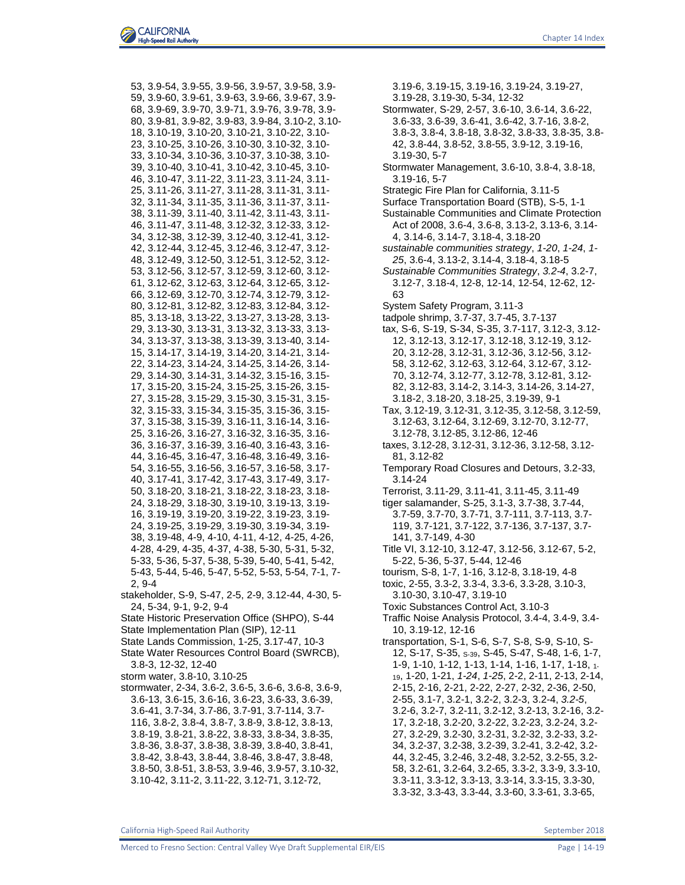53, 3.9-54, 3.9-55, 3.9-56, 3.9-57, 3.9-58, 3.9- 59, 3.9-60, 3.9-61, 3.9-63, 3.9-66, 3.9-67, 3.9- 68, 3.9-69, 3.9-70, 3.9-71, 3.9-76, 3.9-78, 3.9- 80, 3.9-81, 3.9-82, 3.9-83, 3.9-84, 3.10-2, 3.10- 18, 3.10-19, 3.10-20, 3.10-21, 3.10-22, 3.10- 23, 3.10-25, 3.10-26, 3.10-30, 3.10-32, 3.10- 33, 3.10-34, 3.10-36, 3.10-37, 3.10-38, 3.10- 39, 3.10-40, 3.10-41, 3.10-42, 3.10-45, 3.10- 46, 3.10-47, 3.11-22, 3.11-23, 3.11-24, 3.11- 25, 3.11-26, 3.11-27, 3.11-28, 3.11-31, 3.11- 32, 3.11-34, 3.11-35, 3.11-36, 3.11-37, 3.11- 38, 3.11-39, 3.11-40, 3.11-42, 3.11-43, 3.11- 46, 3.11-47, 3.11-48, 3.12-32, 3.12-33, 3.12- 34, 3.12-38, 3.12-39, 3.12-40, 3.12-41, 3.12- 42, 3.12-44, 3.12-45, 3.12-46, 3.12-47, 3.12- 48, 3.12-49, 3.12-50, 3.12-51, 3.12-52, 3.12- 53, 3.12-56, 3.12-57, 3.12-59, 3.12-60, 3.12- 61, 3.12-62, 3.12-63, 3.12-64, 3.12-65, 3.12- 66, 3.12-69, 3.12-70, 3.12-74, 3.12-79, 3.12- 80, 3.12-81, 3.12-82, 3.12-83, 3.12-84, 3.12- 85, 3.13-18, 3.13-22, 3.13-27, 3.13-28, 3.13- 29, 3.13-30, 3.13-31, 3.13-32, 3.13-33, 3.13- 34, 3.13-37, 3.13-38, 3.13-39, 3.13-40, 3.14- 15, 3.14-17, 3.14-19, 3.14-20, 3.14-21, 3.14- 22, 3.14-23, 3.14-24, 3.14-25, 3.14-26, 3.14- 29, 3.14-30, 3.14-31, 3.14-32, 3.15-16, 3.15- 17, 3.15-20, 3.15-24, 3.15-25, 3.15-26, 3.15- 27, 3.15-28, 3.15-29, 3.15-30, 3.15-31, 3.15- 32, 3.15-33, 3.15-34, 3.15-35, 3.15-36, 3.15- 37, 3.15-38, 3.15-39, 3.16-11, 3.16-14, 3.16- 25, 3.16-26, 3.16-27, 3.16-32, 3.16-35, 3.16- 36, 3.16-37, 3.16-39, 3.16-40, 3.16-43, 3.16- 44, 3.16-45, 3.16-47, 3.16-48, 3.16-49, 3.16- 54, 3.16-55, 3.16-56, 3.16-57, 3.16-58, 3.17- 40, 3.17-41, 3.17-42, 3.17-43, 3.17-49, 3.17- 50, 3.18-20, 3.18-21, 3.18-22, 3.18-23, 3.18- 24, 3.18-29, 3.18-30, 3.19-10, 3.19-13, 3.19- 16, 3.19-19, 3.19-20, 3.19-22, 3.19-23, 3.19- 24, 3.19-25, 3.19-29, 3.19-30, 3.19-34, 3.19- 38, 3.19-48, 4-9, 4-10, 4-11, 4-12, 4-25, 4-26, 4-28, 4-29, 4-35, 4-37, 4-38, 5-30, 5-31, 5-32, 5-33, 5-36, 5-37, 5-38, 5-39, 5-40, 5-41, 5-42, 5-43, 5-44, 5-46, 5-47, 5-52, 5-53, 5-54, 7-1, 7- 2, 9-4 stakeholder, S-9, S-47, 2-5, 2-9, 3.12-44, 4-30, 5- 24, 5-34, 9-1, 9-2, 9-4 State Historic Preservation Office (SHPO), S-44

- 
- State Implementation Plan (SIP), 12-11 State Lands Commission, 1-25, 3.17-47, 10-3
- State Water Resources Control Board (SWRCB), 3.8-3, 12-32, 12-40
- storm water, 3.8-10, 3.10-25
- stormwater, 2-34, 3.6-2, 3.6-5, 3.6-6, 3.6-8, 3.6-9, 3.6-13, 3.6-15, 3.6-16, 3.6-23, 3.6-33, 3.6-39, 3.6-41, 3.7-34, 3.7-86, 3.7-91, 3.7-114, 3.7- 116, 3.8-2, 3.8-4, 3.8-7, 3.8-9, 3.8-12, 3.8-13, 3.8-19, 3.8-21, 3.8-22, 3.8-33, 3.8-34, 3.8-35, 3.8-36, 3.8-37, 3.8-38, 3.8-39, 3.8-40, 3.8-41, 3.8-42, 3.8-43, 3.8-44, 3.8-46, 3.8-47, 3.8-48, 3.8-50, 3.8-51, 3.8-53, 3.9-46, 3.9-57, 3.10-32, 3.10-42, 3.11-2, 3.11-22, 3.12-71, 3.12-72,

3.19-6, 3.19-15, 3.19-16, 3.19-24, 3.19-27, 3.19-28, 3.19-30, 5-34, 12-32 Stormwater, S-29, 2-57, 3.6-10, 3.6-14, 3.6-22, 3.6-33, 3.6-39, 3.6-41, 3.6-42, 3.7-16, 3.8-2, 3.8-3, 3.8-4, 3.8-18, 3.8-32, 3.8-33, 3.8-35, 3.8- 42, 3.8-44, 3.8-52, 3.8-55, 3.9-12, 3.19-16, 3.19-30, 5-7 Stormwater Management, 3.6-10, 3.8-4, 3.8-18, 3.19-16, 5-7 Strategic Fire Plan for California, 3.11-5 Surface Transportation Board (STB), S-5, 1-1 Sustainable Communities and Climate Protection Act of 2008, 3.6-4, 3.6-8, 3.13-2, 3.13-6, 3.14- 4, 3.14-6, 3.14-7, 3.18-4, 3.18-20 *sustainable communities strategy*, *1-20*, *1-24*, *1- 25*, 3.6-4, 3.13-2, 3.14-4, 3.18-4, 3.18-5 *Sustainable Communities Strategy*, *3.2-4*, 3.2-7, 3.12-7, 3.18-4, 12-8, 12-14, 12-54, 12-62, 12- 63 System Safety Program, 3.11-3 tadpole shrimp, 3.7-37, 3.7-45, 3.7-137 tax, S-6, S-19, S-34, S-35, 3.7-117, 3.12-3, 3.12- 12, 3.12-13, 3.12-17, 3.12-18, 3.12-19, 3.12- 20, 3.12-28, 3.12-31, 3.12-36, 3.12-56, 3.12- 58, 3.12-62, 3.12-63, 3.12-64, 3.12-67, 3.12- 70, 3.12-74, 3.12-77, 3.12-78, 3.12-81, 3.12- 82, 3.12-83, 3.14-2, 3.14-3, 3.14-26, 3.14-27, 3.18-2, 3.18-20, 3.18-25, 3.19-39, 9-1 Tax, 3.12-19, 3.12-31, 3.12-35, 3.12-58, 3.12-59, 3.12-63, 3.12-64, 3.12-69, 3.12-70, 3.12-77, 3.12-78, 3.12-85, 3.12-86, 12-46 taxes, 3.12-28, 3.12-31, 3.12-36, 3.12-58, 3.12- 81, 3.12-82 Temporary Road Closures and Detours, 3.2-33, 3.14-24 Terrorist, 3.11-29, 3.11-41, 3.11-45, 3.11-49 tiger salamander, S-25, 3.1-3, 3.7-38, 3.7-44, 3.7-59, 3.7-70, 3.7-71, 3.7-111, 3.7-113, 3.7- 119, 3.7-121, 3.7-122, 3.7-136, 3.7-137, 3.7- 141, 3.7-149, 4-30 Title VI, 3.12-10, 3.12-47, 3.12-56, 3.12-67, 5-2, 5-22, 5-36, 5-37, 5-44, 12-46 tourism, S-8, 1-7, 1-16, 3.12-8, 3.18-19, 4-8 toxic, 2-55, 3.3-2, 3.3-4, 3.3-6, 3.3-28, 3.10-3, 3.10-30, 3.10-47, 3.19-10 Toxic Substances Control Act, 3.10-3 Traffic Noise Analysis Protocol, 3.4-4, 3.4-9, 3.4- 10, 3.19-12, 12-16 transportation, S-1, S-6, S-7, S-8, S-9, S-10, S-12, S-17, S-35, S-39, S-45, S-47, S-48, 1-6, 1-7, 1-9, 1-10, 1-12, 1-13, 1-14, 1-16, 1-17, 1-18, 1- <sup>19</sup>, 1-20, 1-21, *1-24*, *1-25*, 2-2, 2-11, 2-13, 2-14, 2-15, 2-16, 2-21, 2-22, 2-27, 2-32, 2-36, 2-50, 2-55, 3.1-7, 3.2-1, 3.2-2, 3.2-3, 3.2-4, *3.2-5*, 3.2-6, 3.2-7, 3.2-11, 3.2-12, 3.2-13, 3.2-16, 3.2- 17, 3.2-18, 3.2-20, 3.2-22, 3.2-23, 3.2-24, 3.2- 27, 3.2-29, 3.2-30, 3.2-31, 3.2-32, 3.2-33, 3.2- 34, 3.2-37, 3.2-38, 3.2-39, 3.2-41, 3.2-42, 3.2- 44, 3.2-45, 3.2-46, 3.2-48, 3.2-52, 3.2-55, 3.2- 58, 3.2-61, 3.2-64, 3.2-65, 3.3-2, 3.3-9, 3.3-10, 3.3-11, 3.3-12, 3.3-13, 3.3-14, 3.3-15, 3.3-30, 3.3-32, 3.3-43, 3.3-44, 3.3-60, 3.3-61, 3.3-65,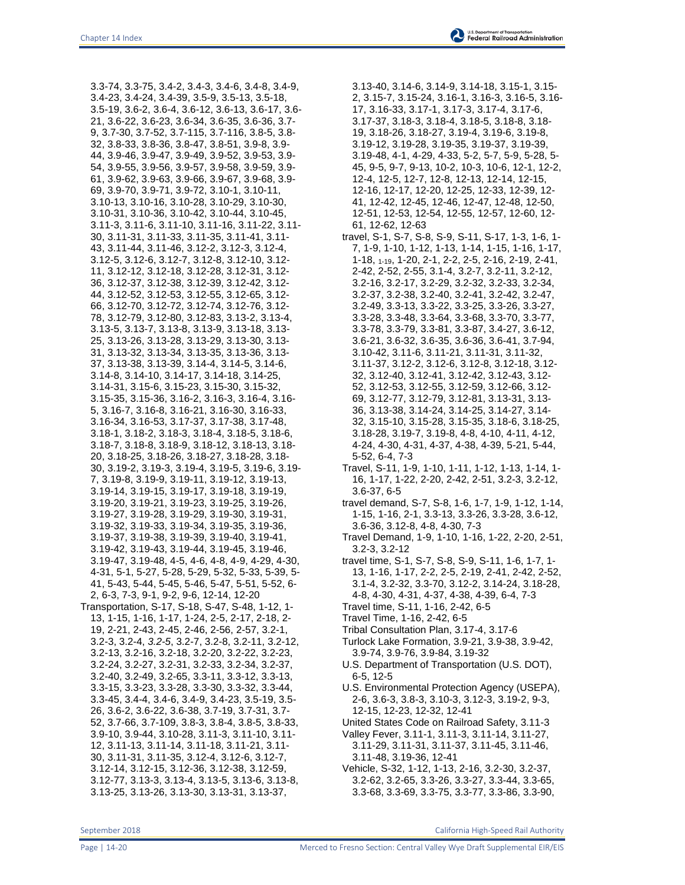3.3-74, 3.3-75, 3.4-2, 3.4-3, 3.4-6, 3.4-8, 3.4-9, 3.4-23, 3.4-24, 3.4-39, 3.5-9, 3.5-13, 3.5-18, 3.5-19, 3.6-2, 3.6-4, 3.6-12, 3.6-13, 3.6-17, 3.6- 21, 3.6-22, 3.6-23, 3.6-34, 3.6-35, 3.6-36, 3.7- 9, 3.7-30, 3.7-52, 3.7-115, 3.7-116, 3.8-5, 3.8- 32, 3.8-33, 3.8-36, 3.8-47, 3.8-51, 3.9-8, 3.9- 44, 3.9-46, 3.9-47, 3.9-49, 3.9-52, 3.9-53, 3.9- 54, 3.9-55, 3.9-56, 3.9-57, 3.9-58, 3.9-59, 3.9- 61, 3.9-62, 3.9-63, 3.9-66, 3.9-67, 3.9-68, 3.9- 69, 3.9-70, 3.9-71, 3.9-72, 3.10-1, 3.10-11, 3.10-13, 3.10-16, 3.10-28, 3.10-29, 3.10-30, 3.10-31, 3.10-36, 3.10-42, 3.10-44, 3.10-45, 3.11-3, 3.11-6, 3.11-10, 3.11-16, 3.11-22, 3.11- 30, 3.11-31, 3.11-33, 3.11-35, 3.11-41, 3.11- 43, 3.11-44, 3.11-46, 3.12-2, 3.12-3, 3.12-4, 3.12-5, 3.12-6, 3.12-7, 3.12-8, 3.12-10, 3.12- 11, 3.12-12, 3.12-18, 3.12-28, 3.12-31, 3.12- 36, 3.12-37, 3.12-38, 3.12-39, 3.12-42, 3.12- 44, 3.12-52, 3.12-53, 3.12-55, 3.12-65, 3.12- 66, 3.12-70, 3.12-72, 3.12-74, 3.12-76, 3.12- 78, 3.12-79, 3.12-80, 3.12-83, 3.13-2, 3.13-4, 3.13-5, 3.13-7, 3.13-8, 3.13-9, 3.13-18, 3.13- 25, 3.13-26, 3.13-28, 3.13-29, 3.13-30, 3.13- 31, 3.13-32, 3.13-34, 3.13-35, 3.13-36, 3.13- 37, 3.13-38, 3.13-39, 3.14-4, 3.14-5, 3.14-6, 3.14-8, 3.14-10, 3.14-17, 3.14-18, 3.14-25, 3.14-31, 3.15-6, 3.15-23, 3.15-30, 3.15-32, 3.15-35, 3.15-36, 3.16-2, 3.16-3, 3.16-4, 3.16- 5, 3.16-7, 3.16-8, 3.16-21, 3.16-30, 3.16-33, 3.16-34, 3.16-53, 3.17-37, 3.17-38, 3.17-48, 3.18-1, 3.18-2, 3.18-3, 3.18-4, 3.18-5, 3.18-6, 3.18-7, 3.18-8, 3.18-9, 3.18-12, 3.18-13, 3.18- 20, 3.18-25, 3.18-26, 3.18-27, 3.18-28, 3.18- 30, 3.19-2, 3.19-3, 3.19-4, 3.19-5, 3.19-6, 3.19- 7, 3.19-8, 3.19-9, 3.19-11, 3.19-12, 3.19-13, 3.19-14, 3.19-15, 3.19-17, 3.19-18, 3.19-19, 3.19-20, 3.19-21, 3.19-23, 3.19-25, 3.19-26, 3.19-27, 3.19-28, 3.19-29, 3.19-30, 3.19-31, 3.19-32, 3.19-33, 3.19-34, 3.19-35, 3.19-36, 3.19-37, 3.19-38, 3.19-39, 3.19-40, 3.19-41, 3.19-42, 3.19-43, 3.19-44, 3.19-45, 3.19-46, 3.19-47, 3.19-48, 4-5, 4-6, 4-8, 4-9, 4-29, 4-30, 4-31, 5-1, 5-27, 5-28, 5-29, 5-32, 5-33, 5-39, 5- 41, 5-43, 5-44, 5-45, 5-46, 5-47, 5-51, 5-52, 6- 2, 6-3, 7-3, 9-1, 9-2, 9-6, 12-14, 12-20 Transportation, S-17, S-18, S-47, S-48, 1-12, 1- 13, 1-15, 1-16, 1-17, 1-24, 2-5, 2-17, 2-18, 2- 19, 2-21, 2-43, 2-45, 2-46, 2-56, 2-57, 3.2-1, 3.2-3, 3.2-4, *3.2-5*, 3.2-7, 3.2-8, 3.2-11, 3.2-12, 3.2-13, 3.2-16, 3.2-18, 3.2-20, 3.2-22, 3.2-23, 3.2-24, 3.2-27, 3.2-31, 3.2-33, 3.2-34, 3.2-37, 3.2-40, 3.2-49, 3.2-65, 3.3-11, 3.3-12, 3.3-13, 3.3-15, 3.3-23, 3.3-28, 3.3-30, 3.3-32, 3.3-44, 3.3-45, 3.4-4, 3.4-6, 3.4-9, 3.4-23, 3.5-19, 3.5- 26, 3.6-2, 3.6-22, 3.6-38, 3.7-19, 3.7-31, 3.7- 52, 3.7-66, 3.7-109, 3.8-3, 3.8-4, 3.8-5, 3.8-33, 3.9-10, 3.9-44, 3.10-28, 3.11-3, 3.11-10, 3.11- 12, 3.11-13, 3.11-14, 3.11-18, 3.11-21, 3.11- 30, 3.11-31, 3.11-35, 3.12-4, 3.12-6, 3.12-7, 3.12-14, 3.12-15, 3.12-36, 3.12-38, 3.12-59, 3.12-77, 3.13-3, 3.13-4, 3.13-5, 3.13-6, 3.13-8, 3.13-25, 3.13-26, 3.13-30, 3.13-31, 3.13-37,

3.13-40, 3.14-6, 3.14-9, 3.14-18, 3.15-1, 3.15- 2, 3.15-7, 3.15-24, 3.16-1, 3.16-3, 3.16-5, 3.16- 17, 3.16-33, 3.17-1, 3.17-3, 3.17-4, 3.17-6, 3.17-37, 3.18-3, 3.18-4, 3.18-5, 3.18-8, 3.18- 19, 3.18-26, 3.18-27, 3.19-4, 3.19-6, 3.19-8, 3.19-12, 3.19-28, 3.19-35, 3.19-37, 3.19-39, 3.19-48, 4-1, 4-29, 4-33, 5-2, 5-7, 5-9, 5-28, 5- 45, 9-5, 9-7, 9-13, 10-2, 10-3, 10-6, 12-1, 12-2, 12-4, 12-5, 12-7, 12-8, 12-13, 12-14, 12-15, 12-16, 12-17, 12-20, 12-25, 12-33, 12-39, 12- 41, 12-42, 12-45, 12-46, 12-47, 12-48, 12-50, 12-51, 12-53, 12-54, 12-55, 12-57, 12-60, 12- 61, 12-62, 12-63

- travel, S-1, S-7, S-8, S-9, S-11, S-17, 1-3, 1-6, 1- 7, 1-9, 1-10, 1-12, 1-13, 1-14, 1-15, 1-16, 1-17, 1-18, 1-19, 1-20, 2-1, 2-2, 2-5, 2-16, 2-19, 2-41, 2-42, 2-52, 2-55, 3.1-4, 3.2-7, 3.2-11, 3.2-12, 3.2-16, 3.2-17, 3.2-29, 3.2-32, 3.2-33, 3.2-34, 3.2-37, 3.2-38, 3.2-40, 3.2-41, 3.2-42, 3.2-47, 3.2-49, 3.3-13, 3.3-22, 3.3-25, 3.3-26, 3.3-27, 3.3-28, 3.3-48, 3.3-64, 3.3-68, 3.3-70, 3.3-77, 3.3-78, 3.3-79, 3.3-81, 3.3-87, 3.4-27, 3.6-12, 3.6-21, 3.6-32, 3.6-35, 3.6-36, 3.6-41, 3.7-94, 3.10-42, 3.11-6, 3.11-21, 3.11-31, 3.11-32, 3.11-37, 3.12-2, 3.12-6, 3.12-8, 3.12-18, 3.12- 32, 3.12-40, 3.12-41, 3.12-42, 3.12-43, 3.12- 52, 3.12-53, 3.12-55, 3.12-59, 3.12-66, 3.12- 69, 3.12-77, 3.12-79, 3.12-81, 3.13-31, 3.13- 36, 3.13-38, 3.14-24, 3.14-25, 3.14-27, 3.14- 32, 3.15-10, 3.15-28, 3.15-35, 3.18-6, 3.18-25, 3.18-28, 3.19-7, 3.19-8, 4-8, 4-10, 4-11, 4-12, 4-24, 4-30, 4-31, 4-37, 4-38, 4-39, 5-21, 5-44, 5-52, 6-4, 7-3
- Travel, S-11, 1-9, 1-10, 1-11, 1-12, 1-13, 1-14, 1- 16, 1-17, 1-22, 2-20, 2-42, 2-51, 3.2-3, 3.2-12, 3.6-37, 6-5
- travel demand, S-7, S-8, 1-6, 1-7, 1-9, 1-12, 1-14, 1-15, 1-16, 2-1, 3.3-13, 3.3-26, 3.3-28, 3.6-12, 3.6-36, 3.12-8, 4-8, 4-30, 7-3
- Travel Demand, 1-9, 1-10, 1-16, 1-22, 2-20, 2-51, 3.2-3, 3.2-12
- travel time, S-1, S-7, S-8, S-9, S-11, 1-6, 1-7, 1- 13, 1-16, 1-17, 2-2, 2-5, 2-19, 2-41, 2-42, 2-52, 3.1-4, 3.2-32, 3.3-70, 3.12-2, 3.14-24, 3.18-28, 4-8, 4-30, 4-31, 4-37, 4-38, 4-39, 6-4, 7-3
- Travel time, S-11, 1-16, 2-42, 6-5
- Travel Time, 1-16, 2-42, 6-5
- Tribal Consultation Plan, 3.17-4, 3.17-6
- Turlock Lake Formation, 3.9-21, 3.9-38, 3.9-42, 3.9-74, 3.9-76, 3.9-84, 3.19-32
- U.S. Department of Transportation (U.S. DOT), 6-5, 12-5
- U.S. Environmental Protection Agency (USEPA), 2-6, 3.6-3, 3.8-3, 3.10-3, 3.12-3, 3.19-2, 9-3, 12-15, 12-23, 12-32, 12-41
- United States Code on Railroad Safety, 3.11-3
- Valley Fever, 3.11-1, 3.11-3, 3.11-14, 3.11-27, 3.11-29, 3.11-31, 3.11-37, 3.11-45, 3.11-46, 3.11-48, 3.19-36, 12-41
- Vehicle, S-32, 1-12, 1-13, 2-16, 3.2-30, 3.2-37, 3.2-62, 3.2-65, 3.3-26, 3.3-27, 3.3-44, 3.3-65, 3.3-68, 3.3-69, 3.3-75, 3.3-77, 3.3-86, 3.3-90,

September 2018 **California High-Speed Rail Authority** California High-Speed Rail Authority

Page | 14-20 Merced to Fresno Section: Central Valley Wye Draft Supplemental EIR/EIS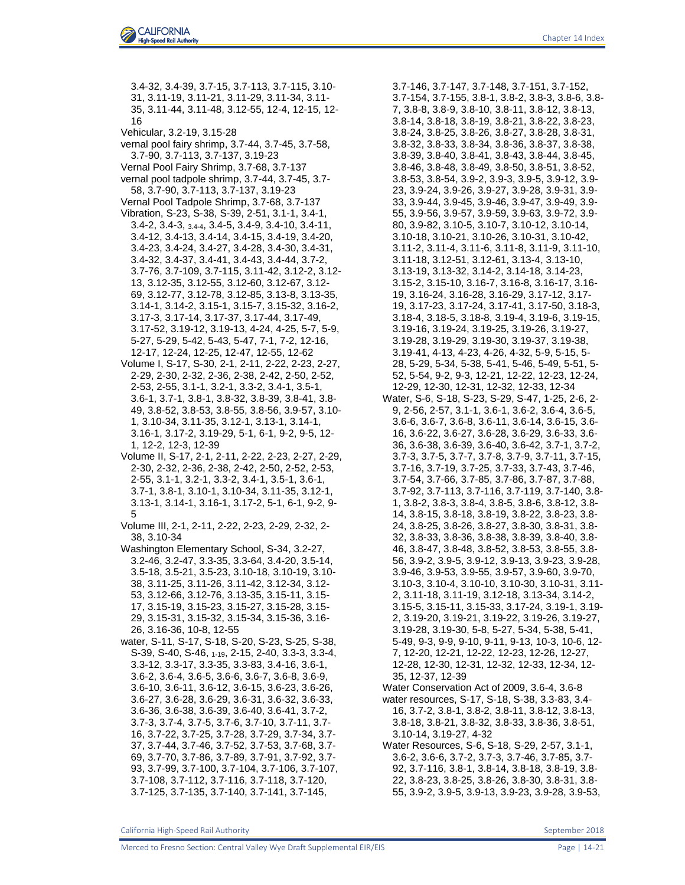16 Vehicular, 3.2-19, 3.15-28 vernal pool fairy shrimp, 3.7-44, 3.7-45, 3.7-58, 3.7-90, 3.7-113, 3.7-137, 3.19-23 Vernal Pool Fairy Shrimp, 3.7-68, 3.7-137 vernal pool tadpole shrimp, 3.7-44, 3.7-45, 3.7- 58, 3.7-90, 3.7-113, 3.7-137, 3.19-23 Vernal Pool Tadpole Shrimp, 3.7-68, 3.7-137 Vibration, S-23, S-38, S-39, 2-51, 3.1-1, 3.4-1, 3.4-2, 3.4-3, 3.4-4, 3.4-5, 3.4-9, 3.4-10, 3.4-11, 3.4-12, 3.4-13, 3.4-14, 3.4-15, 3.4-19, 3.4-20, 3.4-23, 3.4-24, 3.4-27, 3.4-28, 3.4-30, 3.4-31, 3.4-32, 3.4-37, 3.4-41, 3.4-43, 3.4-44, 3.7-2, 3.7-76, 3.7-109, 3.7-115, 3.11-42, 3.12-2, 3.12- 13, 3.12-35, 3.12-55, 3.12-60, 3.12-67, 3.12- 69, 3.12-77, 3.12-78, 3.12-85, 3.13-8, 3.13-35, 3.14-1, 3.14-2, 3.15-1, 3.15-7, 3.15-32, 3.16-2, 3.17-3, 3.17-14, 3.17-37, 3.17-44, 3.17-49, 3.17-52, 3.19-12, 3.19-13, 4-24, 4-25, 5-7, 5-9, 5-27, 5-29, 5-42, 5-43, 5-47, 7-1, 7-2, 12-16, 12-17, 12-24, 12-25, 12-47, 12-55, 12-62 Volume I, S-17, S-30, 2-1, 2-11, 2-22, 2-23, 2-27, 2-29, 2-30, 2-32, 2-36, 2-38, 2-42, 2-50, 2-52, 2-53, 2-55, 3.1-1, 3.2-1, 3.3-2, 3.4-1, 3.5-1, 3.6-1, 3.7-1, 3.8-1, 3.8-32, 3.8-39, 3.8-41, 3.8- 49, 3.8-52, 3.8-53, 3.8-55, 3.8-56, 3.9-57, 3.10- 1, 3.10-34, 3.11-35, 3.12-1, 3.13-1, 3.14-1, 3.16-1, 3.17-2, 3.19-29, 5-1, 6-1, 9-2, 9-5, 12- 1, 12-2, 12-3, 12-39 Volume II, S-17, 2-1, 2-11, 2-22, 2-23, 2-27, 2-29, 2-30, 2-32, 2-36, 2-38, 2-42, 2-50, 2-52, 2-53, 2-55, 3.1-1, 3.2-1, 3.3-2, 3.4-1, 3.5-1, 3.6-1, 3.7-1, 3.8-1, 3.10-1, 3.10-34, 3.11-35, 3.12-1, 3.13-1, 3.14-1, 3.16-1, 3.17-2, 5-1, 6-1, 9-2, 9- 5 Volume III, 2-1, 2-11, 2-22, 2-23, 2-29, 2-32, 2- 38, 3.10-34 Washington Elementary School, S-34, 3.2-27, 3.2-46, 3.2-47, 3.3-35, 3.3-64, 3.4-20, 3.5-14, 3.5-18, 3.5-21, 3.5-23, 3.10-18, 3.10-19, 3.10- 38, 3.11-25, 3.11-26, 3.11-42, 3.12-34, 3.12- 53, 3.12-66, 3.12-76, 3.13-35, 3.15-11, 3.15- 17, 3.15-19, 3.15-23, 3.15-27, 3.15-28, 3.15- 29, 3.15-31, 3.15-32, 3.15-34, 3.15-36, 3.16- 26, 3.16-36, 10-8, 12-55 water, S-11, S-17, S-18, S-20, S-23, S-25, S-38, S-39, S-40, S-46, 1-19, 2-15, 2-40, 3.3-3, 3.3-4, 3.3-12, 3.3-17, 3.3-35, 3.3-83, 3.4-16, 3.6-1, 3.6-2, 3.6-4, 3.6-5, 3.6-6, 3.6-7, 3.6-8, 3.6-9, 3.6-10, 3.6-11, 3.6-12, 3.6-15, 3.6-23, 3.6-26, 3.6-27, 3.6-28, 3.6-29, 3.6-31, 3.6-32, 3.6-33, 3.6-36, 3.6-38, 3.6-39, 3.6-40, 3.6-41, 3.7-2, 3.7-3, 3.7-4, 3.7-5, 3.7-6, 3.7-10, 3.7-11, 3.7- 16, 3.7-22, 3.7-25, 3.7-28, 3.7-29, 3.7-34, 3.7- 37, 3.7-44, 3.7-46, 3.7-52, 3.7-53, 3.7-68, 3.7- 69, 3.7-70, 3.7-86, 3.7-89, 3.7-91, 3.7-92, 3.7- 93, 3.7-99, 3.7-100, 3.7-104, 3.7-106, 3.7-107, 3.7-108, 3.7-112, 3.7-116, 3.7-118, 3.7-120,

3.4-32, 3.4-39, 3.7-15, 3.7-113, 3.7-115, 3.10- 31, 3.11-19, 3.11-21, 3.11-29, 3.11-34, 3.11- 35, 3.11-44, 3.11-48, 3.12-55, 12-4, 12-15, 12-

3.7-146, 3.7-147, 3.7-148, 3.7-151, 3.7-152, 3.7-154, 3.7-155, 3.8-1, 3.8-2, 3.8-3, 3.8-6, 3.8- 7, 3.8-8, 3.8-9, 3.8-10, 3.8-11, 3.8-12, 3.8-13, 3.8-14, 3.8-18, 3.8-19, 3.8-21, 3.8-22, 3.8-23, 3.8-24, 3.8-25, 3.8-26, 3.8-27, 3.8-28, 3.8-31, 3.8-32, 3.8-33, 3.8-34, 3.8-36, 3.8-37, 3.8-38, 3.8-39, 3.8-40, 3.8-41, 3.8-43, 3.8-44, 3.8-45, 3.8-46, 3.8-48, 3.8-49, 3.8-50, 3.8-51, 3.8-52, 3.8-53, 3.8-54, 3.9-2, 3.9-3, 3.9-5, 3.9-12, 3.9- 23, 3.9-24, 3.9-26, 3.9-27, 3.9-28, 3.9-31, 3.9- 33, 3.9-44, 3.9-45, 3.9-46, 3.9-47, 3.9-49, 3.9- 55, 3.9-56, 3.9-57, 3.9-59, 3.9-63, 3.9-72, 3.9- 80, 3.9-82, 3.10-5, 3.10-7, 3.10-12, 3.10-14, 3.10-18, 3.10-21, 3.10-26, 3.10-31, 3.10-42, 3.11-2, 3.11-4, 3.11-6, 3.11-8, 3.11-9, 3.11-10, 3.11-18, 3.12-51, 3.12-61, 3.13-4, 3.13-10, 3.13-19, 3.13-32, 3.14-2, 3.14-18, 3.14-23, 3.15-2, 3.15-10, 3.16-7, 3.16-8, 3.16-17, 3.16- 19, 3.16-24, 3.16-28, 3.16-29, 3.17-12, 3.17- 19, 3.17-23, 3.17-24, 3.17-41, 3.17-50, 3.18-3, 3.18-4, 3.18-5, 3.18-8, 3.19-4, 3.19-6, 3.19-15, 3.19-16, 3.19-24, 3.19-25, 3.19-26, 3.19-27, 3.19-28, 3.19-29, 3.19-30, 3.19-37, 3.19-38, 3.19-41, 4-13, 4-23, 4-26, 4-32, 5-9, 5-15, 5- 28, 5-29, 5-34, 5-38, 5-41, 5-46, 5-49, 5-51, 5- 52, 5-54, 9-2, 9-3, 12-21, 12-22, 12-23, 12-24, 12-29, 12-30, 12-31, 12-32, 12-33, 12-34 Water, S-6, S-18, S-23, S-29, S-47, 1-25, 2-6, 2- 9, 2-56, 2-57, 3.1-1, 3.6-1, 3.6-2, 3.6-4, 3.6-5, 3.6-6, 3.6-7, 3.6-8, 3.6-11, 3.6-14, 3.6-15, 3.6- 16, 3.6-22, 3.6-27, 3.6-28, 3.6-29, 3.6-33, 3.6- 36, 3.6-38, 3.6-39, 3.6-40, 3.6-42, 3.7-1, 3.7-2, 3.7-3, 3.7-5, 3.7-7, 3.7-8, 3.7-9, 3.7-11, 3.7-15, 3.7-16, 3.7-19, 3.7-25, 3.7-33, 3.7-43, 3.7-46, 3.7-54, 3.7-66, 3.7-85, 3.7-86, 3.7-87, 3.7-88, 3.7-92, 3.7-113, 3.7-116, 3.7-119, 3.7-140, 3.8- 1, 3.8-2, 3.8-3, 3.8-4, 3.8-5, 3.8-6, 3.8-12, 3.8- 14, 3.8-15, 3.8-18, 3.8-19, 3.8-22, 3.8-23, 3.8- 24, 3.8-25, 3.8-26, 3.8-27, 3.8-30, 3.8-31, 3.8- 32, 3.8-33, 3.8-36, 3.8-38, 3.8-39, 3.8-40, 3.8- 46, 3.8-47, 3.8-48, 3.8-52, 3.8-53, 3.8-55, 3.8- 56, 3.9-2, 3.9-5, 3.9-12, 3.9-13, 3.9-23, 3.9-28, 3.9-46, 3.9-53, 3.9-55, 3.9-57, 3.9-60, 3.9-70, 3.10-3, 3.10-4, 3.10-10, 3.10-30, 3.10-31, 3.11- 2, 3.11-18, 3.11-19, 3.12-18, 3.13-34, 3.14-2, 3.15-5, 3.15-11, 3.15-33, 3.17-24, 3.19-1, 3.19- 2, 3.19-20, 3.19-21, 3.19-22, 3.19-26, 3.19-27, 3.19-28, 3.19-30, 5-8, 5-27, 5-34, 5-38, 5-41, 5-49, 9-3, 9-9, 9-10, 9-11, 9-13, 10-3, 10-6, 12- 7, 12-20, 12-21, 12-22, 12-23, 12-26, 12-27, 12-28, 12-30, 12-31, 12-32, 12-33, 12-34, 12- 35, 12-37, 12-39 Water Conservation Act of 2009, 3.6-4, 3.6-8 water resources, S-17, S-18, S-38, 3.3-83, 3.4- 16, 3.7-2, 3.8-1, 3.8-2, 3.8-11, 3.8-12, 3.8-13,

3.8-18, 3.8-21, 3.8-32, 3.8-33, 3.8-36, 3.8-51, 3.10-14, 3.19-27, 4-32

Water Resources, S-6, S-18, S-29, 2-57, 3.1-1, 3.6-2, 3.6-6, 3.7-2, 3.7-3, 3.7-46, 3.7-85, 3.7- 92, 3.7-116, 3.8-1, 3.8-14, 3.8-18, 3.8-19, 3.8- 22, 3.8-23, 3.8-25, 3.8-26, 3.8-30, 3.8-31, 3.8- 55, 3.9-2, 3.9-5, 3.9-13, 3.9-23, 3.9-28, 3.9-53,

3.7-125, 3.7-135, 3.7-140, 3.7-141, 3.7-145,